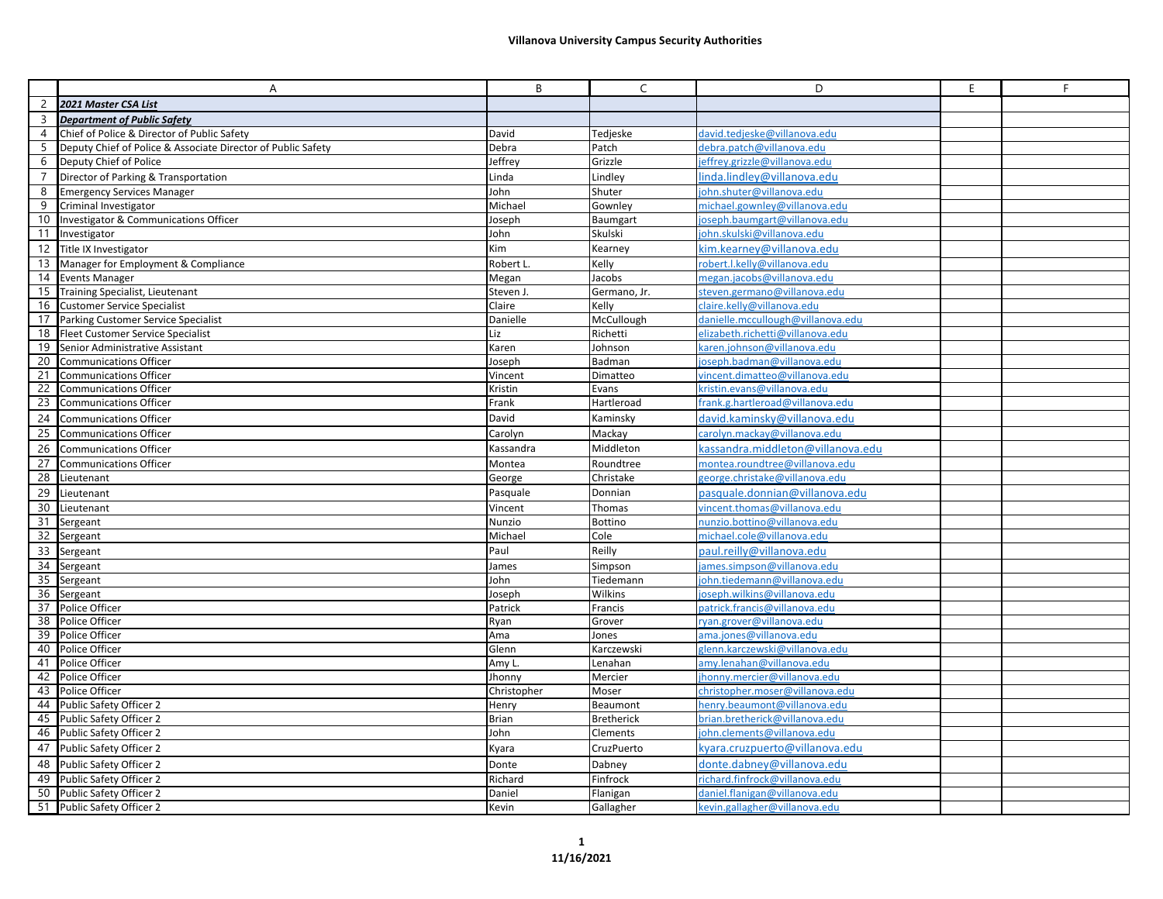|                 | Α                                                            | B            | $\mathsf{C}$      | D                                 | E. | F |
|-----------------|--------------------------------------------------------------|--------------|-------------------|-----------------------------------|----|---|
| $\overline{2}$  | 2021 Master CSA List                                         |              |                   |                                   |    |   |
| 3               | Department of Public Safety                                  |              |                   |                                   |    |   |
| 4               | Chief of Police & Director of Public Safety                  | David        | Tedjeske          | david.tedjeske@villanova.edu      |    |   |
| 5               | Deputy Chief of Police & Associate Director of Public Safety | Debra        | Patch             | debra.patch@villanova.edu         |    |   |
| 6               | Deputy Chief of Police                                       | Jeffrey      | Grizzle           | jeffrey.grizzle@villanova.edu     |    |   |
| 7               | Director of Parking & Transportation                         | Linda        | Lindley           | linda.lindley@villanova.edu       |    |   |
| 8               | <b>Emergency Services Manager</b>                            | John         | Shuter            | iohn.shuter@villanova.edu         |    |   |
| 9               | Criminal Investigator                                        | Michael      | Gownley           | michael.gownley@yillanoya.edu     |    |   |
| 10              | Investigator & Communications Officer                        | Joseph       | Baumgart          | joseph.baumgart@villanova.edu     |    |   |
| 11 <sup>1</sup> | Investigator                                                 | John         | Skulski           | john.skulski@villanova.edu        |    |   |
| 12              | Title IX Investigator                                        | Kim          | Kearney           | kim.kearney@villanova.edu         |    |   |
| 13              | Manager for Employment & Compliance                          | Robert L     | Kelly             | robert.l.kelly@villanova.edu      |    |   |
| 14              | <b>Events Manager</b>                                        | Megan        | Jacobs            | megan.iacobs@villanova.edu        |    |   |
|                 | 15 Training Specialist, Lieutenant                           | Steven J.    | Germano, Jr.      | steven.germano@villanova.edu      |    |   |
| 16              | <b>Customer Service Specialist</b>                           | Claire       | Kelly             | claire.kelly@villanova.edu        |    |   |
| 17              | Parking Customer Service Specialist                          | Danielle     | McCullough        | danielle.mccullough@villanova.edu |    |   |
| 18              | <b>Fleet Customer Service Specialist</b>                     | Liz          | Richetti          | elizabeth.richetti@villanova.edu  |    |   |
| 19              | Senior Administrative Assistant                              | Karen        | Johnson           | karen.johnson@villanova.edu       |    |   |
| 20              | <b>Communications Officer</b>                                | Joseph       | Badman            | ioseph.badman@villanova.edu       |    |   |
| 21              | <b>Communications Officer</b>                                | Vincent      | Dimatteo          | vincent.dimatteo@villanova.edu    |    |   |
| 22              | <b>Communications Officer</b>                                | Kristin      | Evans             | kristin.evans@villanova.edu       |    |   |
| 23              | <b>Communications Officer</b>                                | Frank        | Hartleroad        | frank.g.hartleroad@villanova.edu  |    |   |
| 24              | <b>Communications Officer</b>                                | David        | Kaminsky          | david.kaminsky@villanova.edu      |    |   |
| 25              | <b>Communications Officer</b>                                | Carolyn      | Mackay            | carolyn.mackay@villanova.edu      |    |   |
| 26              | <b>Communications Officer</b>                                | Kassandra    | Middleton         | kassandra.middleton@villanova.edu |    |   |
| 27              | <b>Communications Officer</b>                                | Montea       | Roundtree         | montea.roundtree@villanova.edu    |    |   |
| 28              | Lieutenant                                                   | George       | Christake         | george.christake@villanova.edu    |    |   |
| 29              | Lieutenant                                                   | Pasquale     | Donnian           | pasquale.donnian@villanova.edu    |    |   |
| 30              | Lieutenant                                                   | Vincent      | Thomas            | vincent.thomas@villanova.edu      |    |   |
| 31              | Sergeant                                                     | Nunzio       | Bottino           | nunzio.bottino@villanova.edu      |    |   |
| 32              | Sergeant                                                     | Michael      | Cole              | michael.cole@villanova.edu        |    |   |
| 33              | Sergeant                                                     | Paul         | Reilly            | paul.reilly@villanova.edu         |    |   |
| 34              | Sergeant                                                     | James        | Simpson           | james.simpson@villanova.edu       |    |   |
| 35              | Sergeant                                                     | John         | Tiedemann         | iohn.tiedemann@villanova.edu      |    |   |
| 36              | Sergeant                                                     | Joseph       | Wilkins           | joseph.wilkins@villanova.edu      |    |   |
| 37              | Police Officer                                               | Patrick      | Francis           | patrick.francis@villanova.edu     |    |   |
| 38              | Police Officer                                               | Ryan         | Grover            | ryan.grover@villanova.edu         |    |   |
| 39              | Police Officer                                               | Ama          | Jones             | ama.iones@villanova.edu           |    |   |
| 40              | Police Officer                                               | Glenn        | Karczewski        | glenn.karczewski@villanova.edu    |    |   |
| 41              | Police Officer                                               | Amy L.       | Lenahan           | amy.lenahan@villanova.edu         |    |   |
| 42              | Police Officer                                               | Jhonny       | Mercier           | ihonny.mercier@villanova.edu      |    |   |
| 43              | Police Officer                                               | Christopher  | Moser             | christopher.moser@villanova.edu   |    |   |
| 44              | <b>Public Safety Officer 2</b>                               | Henry        | Beaumont          | henry.beaumont@villanova.edu      |    |   |
| 45              | Public Safety Officer 2                                      | <b>Brian</b> | <b>Bretherick</b> | brian.bretherick@villanova.edu    |    |   |
| 46              | Public Safety Officer 2                                      | John         | Clements          | john.clements@villanova.edu       |    |   |
| 47              | Public Safety Officer 2                                      | Kyara        | CruzPuerto        | kyara.cruzpuerto@villanova.edu    |    |   |
| 48              | Public Safety Officer 2                                      | Donte        | Dabney            | donte.dabney@villanova.edu        |    |   |
| 49              | <b>Public Safety Officer 2</b>                               | Richard      | Finfrock          | richard.finfrock@villanova.edu    |    |   |
| 50              | Public Safety Officer 2                                      | Daniel       | Flanigan          | daniel.flanigan@villanova.edu     |    |   |
|                 | 51 Public Safety Officer 2                                   | Kevin        | Gallagher         | kevin.gallagher@villanova.edu     |    |   |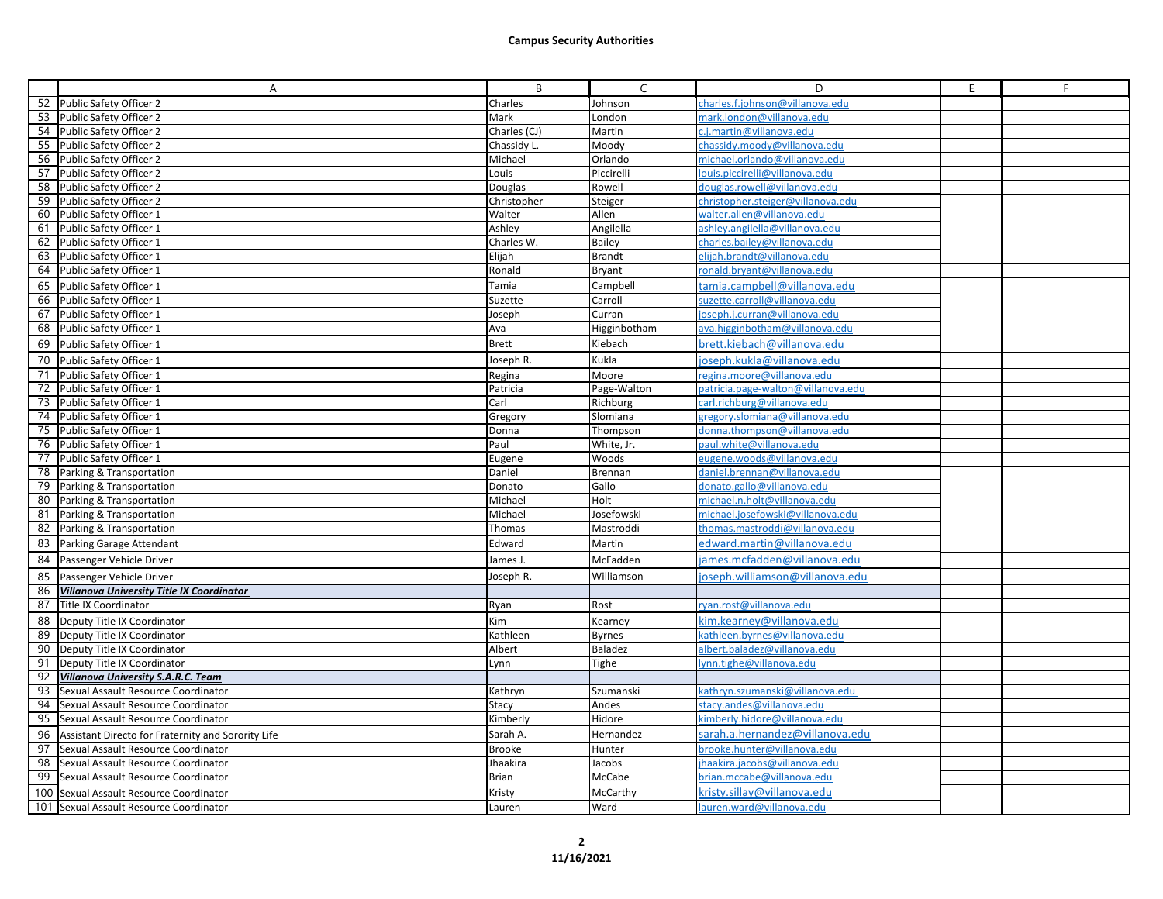|    | Α                                                                                            | B                  | $\mathsf{C}$     | D                                                             | E | F |
|----|----------------------------------------------------------------------------------------------|--------------------|------------------|---------------------------------------------------------------|---|---|
|    | 52 Public Safety Officer 2                                                                   | Charles            | Johnson          | charles.f.johnson@villanova.edu                               |   |   |
|    | 53 Public Safety Officer 2                                                                   | Mark               | London           | mark.london@villanova.edu                                     |   |   |
|    | 54 Public Safety Officer 2                                                                   | Charles (CJ)       | Martin           | c.i.martin@villanova.edu                                      |   |   |
|    | 55 Public Safety Officer 2                                                                   | Chassidy L.        | Moody            | chassidy.moody@villanova.edu                                  |   |   |
|    | 56 Public Safety Officer 2                                                                   | Michael            | Orlando          | michael.orlando@villanova.edu                                 |   |   |
|    | 57 Public Safety Officer 2                                                                   | Louis              | Piccirelli       | louis.piccirelli@villanova.edu                                |   |   |
|    | 58 Public Safety Officer 2                                                                   | Douglas            | Rowell           | douglas.rowell@villanova.edu                                  |   |   |
|    | 59 Public Safety Officer 2                                                                   | Christopher        | Steiger          | christopher.steiger@villanova.edu                             |   |   |
| 60 | Public Safety Officer 1                                                                      | Walter             | Allen            | walter.allen@villanova.edu                                    |   |   |
|    | 61 Public Safety Officer 1                                                                   | Ashley             | Angilella        | ashley.angilella@villanova.edu                                |   |   |
|    | 62 Public Safety Officer 1                                                                   | Charles W.         | Bailey           | charles.bailey@villanova.edu                                  |   |   |
| 63 | Public Safety Officer 1                                                                      | Elijah             | <b>Brandt</b>    | elijah.brandt@villanova.edu                                   |   |   |
|    | 64 Public Safety Officer 1                                                                   | Ronald             | <b>Bryant</b>    | ronald.bryant@villanova.edu                                   |   |   |
| 65 | Public Safety Officer 1                                                                      | Tamia              | Campbell         | tamia.campbell@villanova.edu                                  |   |   |
|    | 66 Public Safety Officer 1                                                                   | Suzette            | Carroll          | suzette.carroll@villanova.edu                                 |   |   |
| 67 | Public Safety Officer 1                                                                      | Joseph             | Curran           | oseph.j.curran@villanova.edu                                  |   |   |
|    | 68 Public Safety Officer 1                                                                   | Ava                | Higginbotham     | ava.higginbotham@villanova.edu                                |   |   |
| 69 | Public Safety Officer 1                                                                      | <b>Brett</b>       | Kiebach          | brett.kiebach@villanova.edu                                   |   |   |
| 70 | Public Safety Officer 1                                                                      | Joseph R.          | Kukla            | joseph.kukla@villanova.edu                                    |   |   |
|    | 71 Public Safety Officer 1                                                                   | Regina             | Moore            | regina.moore@villanova.edu                                    |   |   |
|    | 72 Public Safety Officer 1                                                                   | Patricia           | Page-Walton      | patricia.page-walton@villanova.edu                            |   |   |
|    | 73 Public Safety Officer 1                                                                   | Carl               | Richburg         | carl.richburg@villanova.edu                                   |   |   |
|    | 74 Public Safety Officer 1                                                                   | Gregory            | Slomiana         | gregory.slomiana@villanova.edu                                |   |   |
|    | 75 Public Safety Officer 1                                                                   | Donna              | Thompson         | donna.thompson@villanova.edu                                  |   |   |
|    | 76 Public Safety Officer 1                                                                   | Paul               | White, Jr.       | paul.white@villanova.edu                                      |   |   |
|    | 77 Public Safety Officer 1                                                                   | Eugene             | Woods            | eugene.woods@villanova.edu                                    |   |   |
|    | 78 Parking & Transportation                                                                  | Daniel             | Brennan          | daniel.brennan@villanova.edu                                  |   |   |
|    | 79 Parking & Transportation                                                                  | Donato             | Gallo            | donato.gallo@villanova.edu                                    |   |   |
| 80 | Parking & Transportation                                                                     | Michael            | Holt             | michael.n.holt@villanova.edu                                  |   |   |
| 81 | Parking & Transportation                                                                     | Michael            | Josefowski       | michael.josefowski@villanova.edu                              |   |   |
| 82 | Parking & Transportation                                                                     | Thomas             | Mastroddi        | thomas.mastroddi@villanova.edu                                |   |   |
| 83 | Parking Garage Attendant                                                                     | Edward             | Martin           | edward.martin@villanova.edu                                   |   |   |
|    | 84 Passenger Vehicle Driver                                                                  | James J.           | McFadden         | ames.mcfadden@villanova.edu                                   |   |   |
| 85 | Passenger Vehicle Driver                                                                     | Joseph R.          | Williamson       | joseph.williamson@villanova.edu                               |   |   |
| 86 | Villanova University Title IX Coordinator                                                    |                    |                  |                                                               |   |   |
|    | 87 Title IX Coordinator                                                                      | Ryan               | Rost             | ryan.rost@villanova.edu                                       |   |   |
|    |                                                                                              |                    |                  |                                                               |   |   |
|    | 88   Deputy Title IX Coordinator                                                             | Kim                | Kearney          | kim.kearney@villanova.edu                                     |   |   |
| 89 | Deputy Title IX Coordinator                                                                  | Kathleen           | <b>Byrnes</b>    | cathleen.byrnes@villanova.edu<br>albert.baladez@villanova.edu |   |   |
|    | 90 Deputy Title IX Coordinator                                                               | Albert             | Baladez          |                                                               |   |   |
| 92 | 91   Deputy Title IX Coordinator<br><b>Villanova University S.A.R.C. Team</b>                | Lynn               | Tighe            | lynn.tighe@villanova.edu                                      |   |   |
| 93 | Sexual Assault Resource Coordinator                                                          | Kathryn            | Szumanski        | kathryn.szumanski@villanova.edu                               |   |   |
| 94 | Sexual Assault Resource Coordinator                                                          | Stacy              | Andes            | stacy.andes@villanova.edu                                     |   |   |
|    | 95 Sexual Assault Resource Coordinator                                                       | Kimberly           | Hidore           | kimberly.hidore@villanova.edu                                 |   |   |
|    |                                                                                              | Sarah A.           | Hernandez        | sarah.a.hernandez@villanova.edu                               |   |   |
| 96 | Assistant Directo for Fraternity and Sorority Life<br>97 Sexual Assault Resource Coordinator |                    |                  | brooke.hunter@villanova.edu                                   |   |   |
| 98 | Sexual Assault Resource Coordinator                                                          | Brooke<br>Jhaakira | Hunter<br>Jacobs | jhaakira.jacobs@villanova.edu                                 |   |   |
| 99 | Sexual Assault Resource Coordinator                                                          | Brian              | McCabe           | brian.mccabe@villanova.edu                                    |   |   |
|    |                                                                                              |                    | McCarthy         |                                                               |   |   |
|    | 100 Sexual Assault Resource Coordinator                                                      | Kristy             |                  | kristy.sillay@villanova.edu                                   |   |   |
|    | 101 Sexual Assault Resource Coordinator                                                      | Lauren             | Ward             | lauren.ward@villanova.edu                                     |   |   |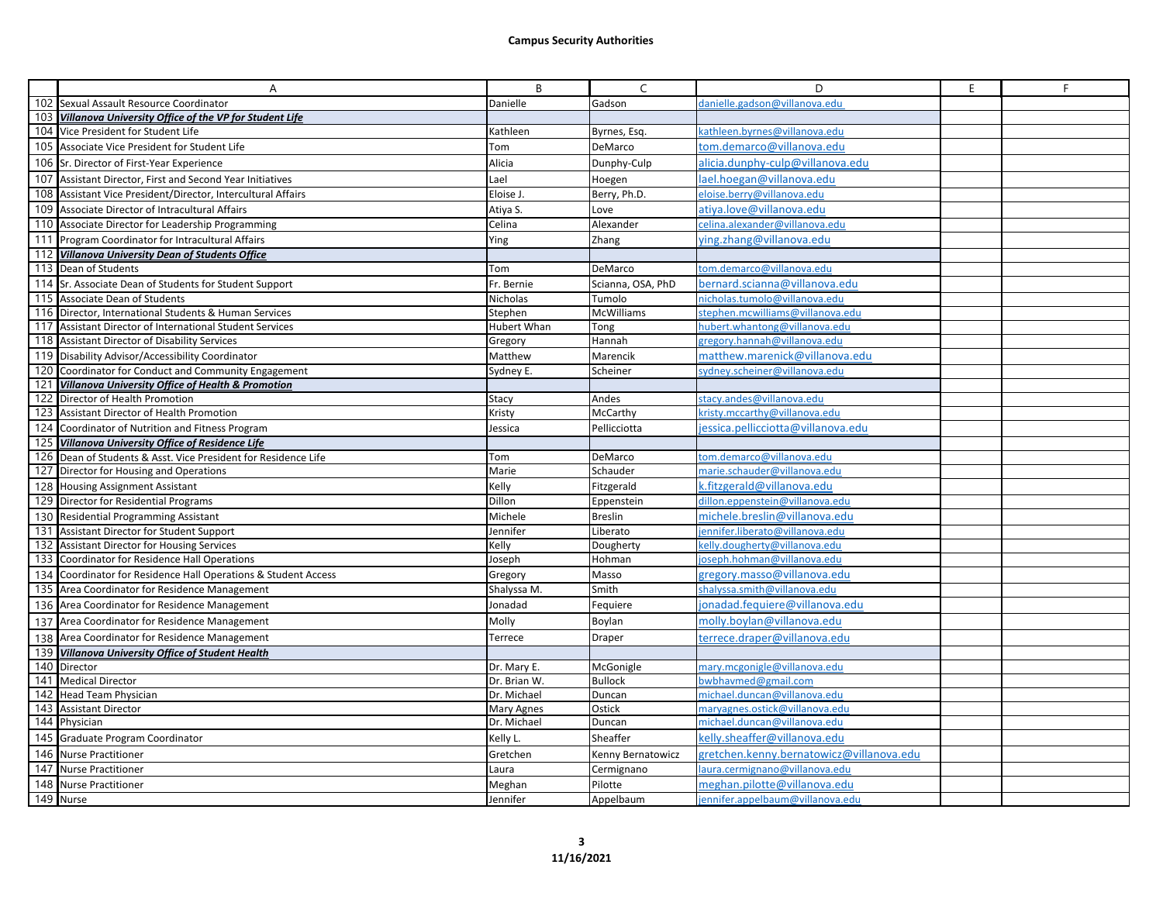|            | Α                                                                                              | B                      | $\mathsf{C}$                | D                                                                | E. | F. |
|------------|------------------------------------------------------------------------------------------------|------------------------|-----------------------------|------------------------------------------------------------------|----|----|
| 102        | Sexual Assault Resource Coordinator                                                            | Danielle               | Gadson                      | danielle.gadson@villanova.edu                                    |    |    |
| 103        | Villanova University Office of the VP for Student Life                                         |                        |                             |                                                                  |    |    |
|            | 104 Vice President for Student Life                                                            | Kathleen               | Byrnes, Esq.                | cathleen.byrnes@villanova.edu                                    |    |    |
| 105        | Associate Vice President for Student Life                                                      | Tom                    | DeMarco                     | tom.demarco@villanova.edu                                        |    |    |
|            | 106 Sr. Director of First-Year Experience                                                      | Alicia                 | Dunphy-Culp                 | alicia.dunphy-culp@villanova.edu                                 |    |    |
| 107        | Assistant Director, First and Second Year Initiatives                                          | Lael                   | Hoegen                      | lael.hoegan@villanova.edu                                        |    |    |
| 108        | Assistant Vice President/Director, Intercultural Affairs                                       | Eloise J.              | Berry, Ph.D.                | eloise.berry@villanova.edu                                       |    |    |
| 109        | Associate Director of Intracultural Affairs                                                    | Atiya S.               | Love                        | atiya.love@villanova.edu                                         |    |    |
| 110        | Associate Director for Leadership Programming                                                  | Celina                 | Alexander                   | celina.alexander@villanova.edu                                   |    |    |
| 111        | Program Coordinator for Intracultural Affairs                                                  | Ying                   | Zhang                       | ring.zhang@villanova.edu                                         |    |    |
| 112        | <b>Villanova University Dean of Students Office</b>                                            |                        |                             |                                                                  |    |    |
| 113        | Dean of Students                                                                               | Tom                    | DeMarco                     | com.demarco@villanova.edu                                        |    |    |
|            | 114 Sr. Associate Dean of Students for Student Support                                         | Fr. Bernie             | Scianna, OSA, PhD           | bernard.scianna@villanova.edu                                    |    |    |
| 115        | Associate Dean of Students                                                                     | Nicholas               | Tumolo                      | nicholas.tumolo@villanova.edu                                    |    |    |
|            | 116 Director, International Students & Human Services                                          | Stephen                | <b>McWilliams</b>           | stephen.mcwilliams@villanova.edu                                 |    |    |
| 117        | Assistant Director of International Student Services                                           | <b>Hubert Whan</b>     | Tong                        | hubert.whantong@villanova.edu                                    |    |    |
|            | 118 Assistant Director of Disability Services                                                  | Gregory                | Hannah                      | gregory.hannah@villanova.edu                                     |    |    |
|            | 119 Disability Advisor/Accessibility Coordinator                                               | Matthew                | Marencik                    | matthew.marenick@villanova.edu                                   |    |    |
|            | 120 Coordinator for Conduct and Community Engagement                                           | Sydney E.              | Scheiner                    | ydney.scheiner@villanova.edu                                     |    |    |
| 121        | <b>Villanova University Office of Health &amp; Promotion</b>                                   |                        |                             |                                                                  |    |    |
| 122        | Director of Health Promotion                                                                   | Stacy                  | Andes                       | stacy.andes@villanova.edu                                        |    |    |
| 123        | Assistant Director of Health Promotion                                                         | Kristy                 | McCarthy                    | kristy.mccarthy@villanova.edu                                    |    |    |
| 124        | Coordinator of Nutrition and Fitness Program                                                   | lessica                | Pellicciotta                | essica.pellicciotta@villanova.edu                                |    |    |
| 125        | <b>Villanova University Office of Residence Life</b>                                           |                        |                             |                                                                  |    |    |
|            | 126 Dean of Students & Asst. Vice President for Residence Life                                 | Tom                    | DeMarco                     | tom.demarco@villanova.edu                                        |    |    |
|            | 127 Director for Housing and Operations                                                        | Marie                  | Schauder                    | marie.schauder@villanova.edu                                     |    |    |
|            | 128 Housing Assignment Assistant                                                               | Kelly                  | Fitzgerald                  | c.fitzgerald@villanova.edu                                       |    |    |
|            | 129 Director for Residential Programs                                                          | Dillon                 | Eppenstein                  | dillon.eppenstein@villanova.edu                                  |    |    |
|            | 130 Residential Programming Assistant                                                          | Michele                | <b>Breslin</b>              | michele.breslin@villanova.edu                                    |    |    |
| 131        | Assistant Director for Student Support                                                         | Jennifer<br>Kelly      | Liberato                    | jennifer.liberato@villanova.edu<br>kelly.dougherty@yillanova.edu |    |    |
| 132<br>133 | <b>Assistant Director for Housing Services</b><br>Coordinator for Residence Hall Operations    | Joseph                 | Dougherty<br>Hohman         | oseph.hohman@villanova.edu                                       |    |    |
|            | 134 Coordinator for Residence Hall Operations & Student Access                                 | Gregory                | Masso                       | gregory.masso@villanova.edu                                      |    |    |
|            |                                                                                                |                        | Smith                       | shalyssa.smith@villanova.edu                                     |    |    |
|            | 135 Area Coordinator for Residence Management<br>136 Area Coordinator for Residence Management | Shalyssa M.<br>Jonadad | Fequiere                    | ionadad.fequiere@villanova.edu                                   |    |    |
|            |                                                                                                | Molly                  | Boylan                      |                                                                  |    |    |
|            | 137 Area Coordinator for Residence Management                                                  |                        |                             | molly.boylan@villanova.edu                                       |    |    |
|            | 138 Area Coordinator for Residence Management                                                  | Terrece                | Draper                      | terrece.draper@villanova.edu                                     |    |    |
|            | 139 Villanova University Office of Student Health<br>140 Director                              | Dr. Mary E.            |                             | mary.mcgonigle@villanova.edu                                     |    |    |
|            | 141 Medical Director                                                                           | Dr. Brian W.           | McGonigle<br><b>Bullock</b> | bwbhavmed@gmail.com                                              |    |    |
| 142        | <b>Head Team Physician</b>                                                                     | Dr. Michael            | Duncan                      | michael.duncan@villanova.edu                                     |    |    |
| 143        | <b>Assistant Director</b>                                                                      | Mary Agnes             | Ostick                      | maryagnes.ostick@villanova.edu                                   |    |    |
|            | 144 Physician                                                                                  | Dr. Michael            | Duncan                      | michael.duncan@villanova.edu                                     |    |    |
|            | 145 Graduate Program Coordinator                                                               | Kelly L.               | Sheaffer                    | celly.sheaffer@villanova.edu                                     |    |    |
|            | 146 Nurse Practitioner                                                                         | Gretchen               | Kenny Bernatowicz           | gretchen.kenny.bernatowicz@villanova.edu                         |    |    |
| 147        | <b>Nurse Practitioner</b>                                                                      | Laura                  | Cermignano                  | aura.cermignano@villanova.edu                                    |    |    |
| 148        | <b>Nurse Practitioner</b>                                                                      | Meghan                 | Pilotte                     | meghan.pilotte@villanova.edu                                     |    |    |
|            | 149 Nurse                                                                                      | Jennifer               | Appelbaum                   | jennifer.appelbaum@villanova.edu                                 |    |    |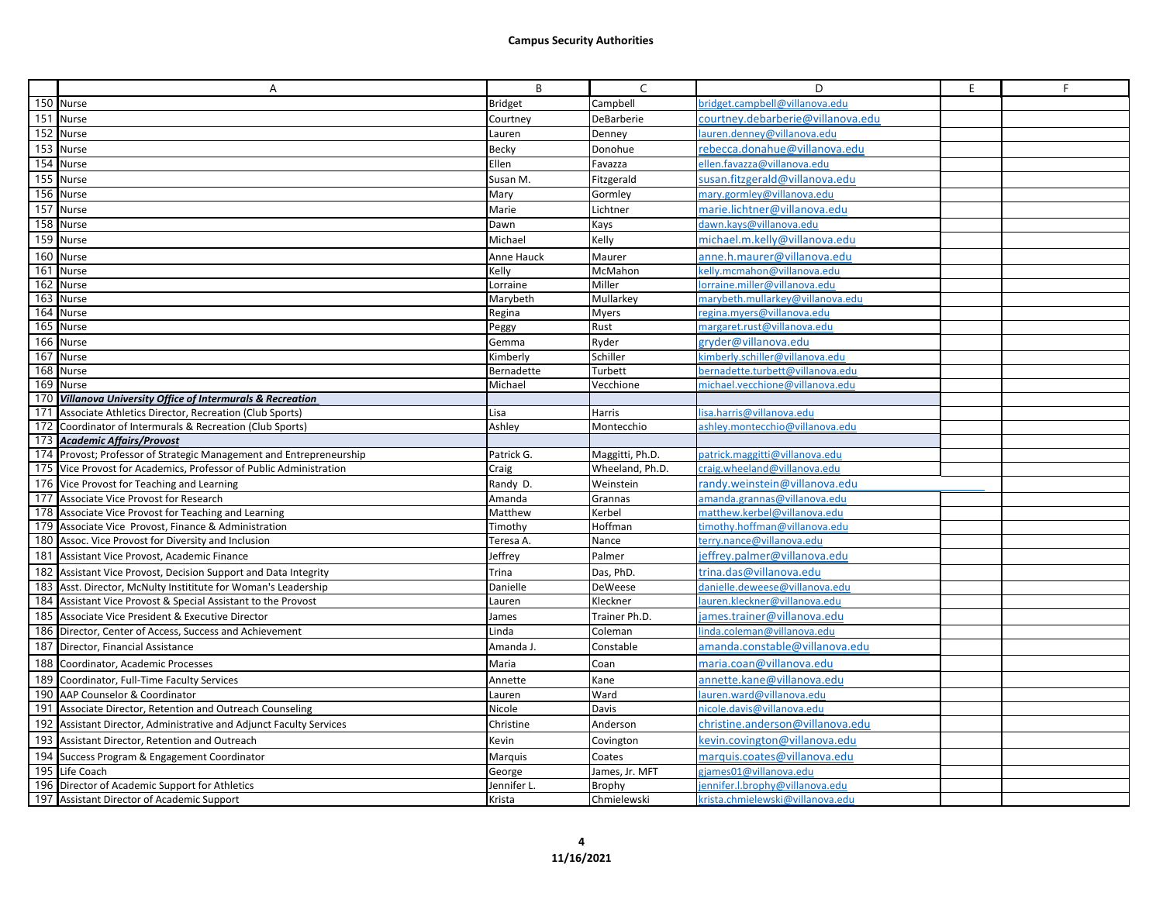|     | A                                                                                         | B              | C               | D                                 | E. | F |
|-----|-------------------------------------------------------------------------------------------|----------------|-----------------|-----------------------------------|----|---|
|     | 150 Nurse                                                                                 | <b>Bridget</b> | Campbell        | bridget.campbell@villanova.edu    |    |   |
|     | 151 Nurse                                                                                 | Courtney       | DeBarberie      | courtney.debarberie@villanova.edu |    |   |
| 152 | Nurse                                                                                     | Lauren         | Denney          | lauren.denney@villanova.edu       |    |   |
|     | 153 Nurse                                                                                 | Becky          | Donohue         | rebecca.donahue@villanova.edu     |    |   |
| 154 | Nurse                                                                                     | Ellen          | Favazza         | ellen.favazza@villanova.edu       |    |   |
|     | 155 Nurse                                                                                 | Susan M.       | Fitzgerald      | susan.fitzgerald@villanova.edu    |    |   |
|     | 156 Nurse                                                                                 | Mary           | Gormley         | mary.gormley@villanova.edu        |    |   |
| 157 | Nurse                                                                                     | Marie          | Lichtner        | marie.lichtner@villanova.edu      |    |   |
| 158 | Nurse                                                                                     | Dawn           | Kays            | dawn.kays@villanova.edu           |    |   |
| 159 | Nurse                                                                                     | Michael        | Kelly           | michael.m.kelly@villanova.edu     |    |   |
| 160 | Nurse                                                                                     | Anne Hauck     | Maurer          | anne.h.maurer@villanova.edu       |    |   |
| 161 | Nurse                                                                                     | Kelly          | McMahon         | kelly.mcmahon@villanova.edu       |    |   |
|     | 162 Nurse                                                                                 | Lorraine       | Miller          | lorraine.miller@villanova.edu     |    |   |
| 163 | Nurse                                                                                     | Marybeth       | Mullarkey       | marybeth.mullarkey@villanova.edu  |    |   |
|     | 164 Nurse                                                                                 | Regina         | <b>Myers</b>    | regina.myers@villanova.edu        |    |   |
| 165 | Nurse                                                                                     | Peggy          | Rust            | margaret.rust@villanova.edu       |    |   |
|     | 166 Nurse                                                                                 | Gemma          | Ryder           | gryder@villanova.edu              |    |   |
|     | 167 Nurse                                                                                 | Kimberly       | Schiller        | kimberly.schiller@villanova.edu   |    |   |
|     | 168 Nurse                                                                                 | Bernadette     | Turbett         | bernadette.turbett@villanova.edu  |    |   |
|     | 169 Nurse                                                                                 | Michael        | Vecchione       | michael.vecchione@villanova.edu   |    |   |
|     | 170 Villanova University Office of Intermurals & Recreation                               |                |                 |                                   |    |   |
| 171 | Associate Athletics Director, Recreation (Club Sports)                                    | Lisa           | Harris          | lisa.harris@villanova.edu         |    |   |
|     | 172 Coordinator of Intermurals & Recreation (Club Sports)<br>173 Academic Affairs/Provost | Ashley         | Montecchio      | ashley.montecchio@villanova.edu   |    |   |
|     | 174 Provost; Professor of Strategic Management and Entrepreneurship                       | Patrick G.     | Maggitti, Ph.D. | patrick.maggitti@villanova.edu    |    |   |
|     | 175 Vice Provost for Academics, Professor of Public Administration                        | Craig          | Wheeland, Ph.D. | craig.wheeland@villanova.edu      |    |   |
|     | 176 Vice Provost for Teaching and Learning                                                | Randy D.       | Weinstein       | randy.weinstein@villanova.edu     |    |   |
|     | 177 Associate Vice Provost for Research                                                   | Amanda         | Grannas         | amanda.grannas@villanova.edu      |    |   |
|     | 178 Associate Vice Provost for Teaching and Learning                                      | Matthew        | Kerbel          | matthew.kerbel@villanova.edu      |    |   |
|     | 179 Associate Vice Provost, Finance & Administration                                      | Timothy        | Hoffman         | timothy.hoffman@villanova.edu     |    |   |
|     | 180 Assoc. Vice Provost for Diversity and Inclusion                                       | Teresa A.      | Nance           | terry.nance@villanova.edu         |    |   |
|     | 181 Assistant Vice Provost, Academic Finance                                              | Jeffrey        | Palmer          | jeffrey.palmer@villanova.edu      |    |   |
|     | 182 Assistant Vice Provost, Decision Support and Data Integrity                           | Trina          | Das, PhD.       | trina.das@villanova.edu           |    |   |
| 183 | Asst. Director, McNulty Instititute for Woman's Leadership                                | Danielle       | DeWeese         | danielle.deweese@villanova.edu    |    |   |
|     | 184 Assistant Vice Provost & Special Assistant to the Provost                             | Lauren         | Kleckner        | lauren.kleckner@villanova.edu     |    |   |
|     | 185 Associate Vice President & Executive Director                                         | James          | Trainer Ph.D.   | james.trainer@villanova.edu       |    |   |
|     | 186 Director, Center of Access, Success and Achievement                                   | Linda          | Coleman         | linda.coleman@villanova.edu       |    |   |
|     | 187 Director, Financial Assistance                                                        | Amanda J.      | Constable       | amanda.constable@villanova.edu    |    |   |
|     | 188 Coordinator, Academic Processes                                                       | Maria          | Coan            | maria.coan@villanova.edu          |    |   |
|     | 189 Coordinator, Full-Time Faculty Services                                               | Annette        | Kane            | annette.kane@villanova.edu        |    |   |
|     | 190 AAP Counselor & Coordinator                                                           | Lauren         | Ward            | lauren.ward@villanova.edu         |    |   |
|     | 191 Associate Director, Retention and Outreach Counseling                                 | Nicole         | Davis           | nicole.davis@villanova.edu        |    |   |
|     | 192 Assistant Director, Administrative and Adjunct Faculty Services                       | Christine      | Anderson        | christine.anderson@villanova.edu  |    |   |
|     | 193 Assistant Director, Retention and Outreach                                            | Kevin          | Covington       | kevin.covington@villanova.edu     |    |   |
|     | 194 Success Program & Engagement Coordinator                                              | Marquis        | Coates          | marquis.coates@villanova.edu      |    |   |
| 195 | Life Coach                                                                                | George         | James, Jr. MFT  | gjames01@villanova.edu            |    |   |
| 196 | Director of Academic Support for Athletics                                                | Jennifer L     | Brophy          | jennifer.l.brophy@villanova.edu   |    |   |
|     | 197 Assistant Director of Academic Support                                                | Krista         | Chmielewski     | krista.chmielewski@villanova.edu  |    |   |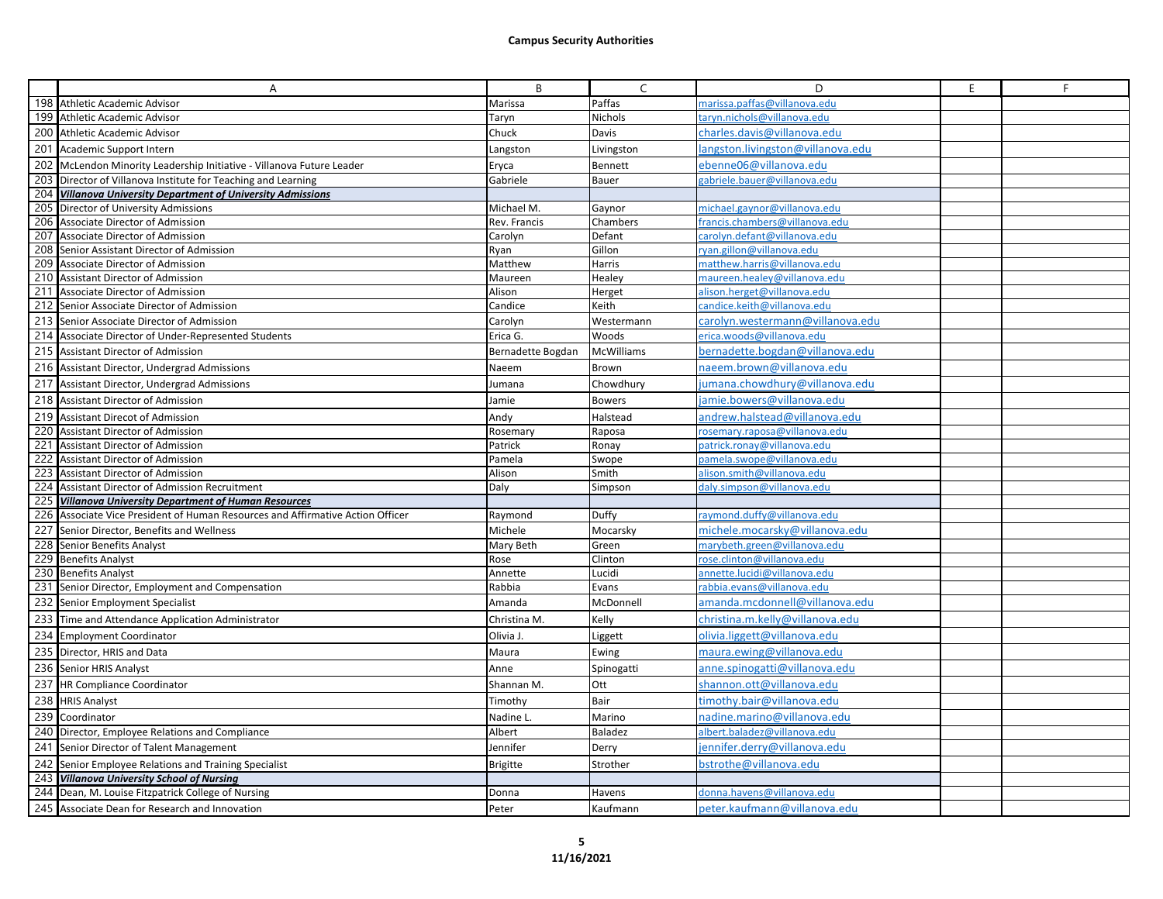|     | Α                                                                          | В                 | C                 | D                                 | E | F |
|-----|----------------------------------------------------------------------------|-------------------|-------------------|-----------------------------------|---|---|
|     | 198 Athletic Academic Advisor                                              | Marissa           | Paffas            | marissa.paffas@villanova.edu      |   |   |
| 199 | Athletic Academic Advisor                                                  | Taryn             | Nichols           | taryn.nichols@villanova.edu       |   |   |
|     | 200 Athletic Academic Advisor                                              | Chuck             | Davis             | charles.davis@villanova.edu       |   |   |
| 201 | Academic Support Intern                                                    | Langston          | Livingston        | langston.livingston@villanova.edu |   |   |
|     | 202 McLendon Minority Leadership Initiative - Villanova Future Leader      | Eryca             | Bennett           | ebenne06@villanova.edu            |   |   |
|     | 203 Director of Villanova Institute for Teaching and Learning              | Gabriele          | Bauer             | gabriele.bauer@villanova.edu      |   |   |
| 204 | <b>Villanova University Department of University Admissions</b>            |                   |                   |                                   |   |   |
| 205 | Director of University Admissions                                          | Michael M.        | Gaynor            | michael.gaynor@villanova.edu      |   |   |
| 206 | Associate Director of Admission                                            | Rev. Francis      | Chambers          | francis.chambers@villanova.edu    |   |   |
| 207 | Associate Director of Admission                                            | Carolyn           | Defant            | carolyn.defant@villanova.edu      |   |   |
| 208 | Senior Assistant Director of Admission                                     | Ryan              | Gillon            | ryan.gillon@villanova.edu         |   |   |
| 209 | Associate Director of Admission                                            | Matthew           | Harris            | matthew.harris@villanova.edu      |   |   |
|     | 210 Assistant Director of Admission                                        | Maureen           | Healey            | maureen.healey@villanova.edu      |   |   |
|     | 211 Associate Director of Admission                                        | Alison            | Herget            | alison.herget@villanova.edu       |   |   |
| 212 | Senior Associate Director of Admission                                     | Candice           | Keith             | candice.keith@villanova.edu       |   |   |
| 213 | Senior Associate Director of Admission                                     | Carolyn           | Westermann        | carolyn.westermann@villanova.edu  |   |   |
|     | 214 Associate Director of Under-Represented Students                       | Erica G.          | Woods             | erica.woods@villanova.edu         |   |   |
| 215 | Assistant Director of Admission                                            | Bernadette Bogdan | <b>McWilliams</b> | bernadette.bogdan@villanova.edu   |   |   |
|     | 216 Assistant Director, Undergrad Admissions                               | Naeem             | <b>Brown</b>      | naeem.brown@villanova.edu         |   |   |
| 217 | Assistant Director, Undergrad Admissions                                   | Jumana            | Chowdhury         | umana.chowdhury@villanova.edu     |   |   |
| 218 | Assistant Director of Admission                                            | Jamie             | <b>Bowers</b>     | jamie.bowers@villanova.edu        |   |   |
| 219 | <b>Assistant Direcot of Admission</b>                                      | Andy              | Halstead          | andrew.halstead@villanova.edu     |   |   |
| 220 | Assistant Director of Admission                                            | Rosemary          | Raposa            | rosemary.raposa@villanova.edu     |   |   |
| 221 | Assistant Director of Admission                                            | Patrick           | Ronay             | patrick.ronav@villanova.edu       |   |   |
| 222 | <b>Assistant Director of Admission</b>                                     | Pamela            | Swope             | pamela.swope@villanova.edu        |   |   |
| 223 | Assistant Director of Admission                                            | Alison            | Smith             | alison.smith@villanova.edu        |   |   |
| 224 | Assistant Director of Admission Recruitment                                | Daly              | Simpson           | daly.simpson@villanova.edu        |   |   |
|     | 225 Villanova University Department of Human Resources                     |                   |                   |                                   |   |   |
| 226 | Associate Vice President of Human Resources and Affirmative Action Officer | Raymond           | Duffy             | raymond.duffy@villanova.edu       |   |   |
| 227 | Senior Director, Benefits and Wellness                                     | Michele           | Mocarsky          | michele.mocarsky@villanova.edu    |   |   |
| 228 | Senior Benefits Analyst                                                    | Mary Beth         | Green             | marybeth.green@villanova.edu      |   |   |
| 229 | <b>Benefits Analyst</b>                                                    | Rose              | Clinton           | rose.clinton@villanova.edu        |   |   |
|     | 230 Benefits Analyst                                                       | Annette           | Lucidi            | annette.lucidi@villanova.edu      |   |   |
|     | 231 Senior Director, Employment and Compensation                           | Rabbia            | Evans             | rabbia.evans@villanova.edu        |   |   |
| 232 | Senior Employment Specialist                                               | Amanda            | McDonnell         | amanda.mcdonnell@villanova.edu    |   |   |
|     | 233 Time and Attendance Application Administrator                          | Christina M.      | Kelly             | christina.m.kelly@villanova.edu   |   |   |
| 234 | <b>Employment Coordinator</b>                                              | Olivia J.         | Liggett           | olivia.liggett@villanova.edu      |   |   |
|     | 235 Director, HRIS and Data                                                | Maura             | Ewing             | maura.ewing@villanova.edu         |   |   |
|     | 236 Senior HRIS Analyst                                                    | Anne              | Spinogatti        | anne.spinogatti@villanova.edu     |   |   |
| 237 | <b>HR Compliance Coordinator</b>                                           | Shannan M.        | Ott               | shannon.ott@villanova.edu         |   |   |
|     | 238 HRIS Analyst                                                           | Timothy           | Bair              | :imothy.bair@villanova.edu        |   |   |
| 239 | Coordinator                                                                | Nadine L.         | Marino            | nadine.marino@villanova.edu       |   |   |
|     | 240 Director, Employee Relations and Compliance                            | Albert            | <b>Baladez</b>    | albert.baladez@villanova.edu      |   |   |
|     | 241 Senior Director of Talent Management                                   | Jennifer          | Derry             | ennifer.derry@villanova.edu       |   |   |
| 242 | Senior Employee Relations and Training Specialist                          | <b>Brigitte</b>   | Strother          | bstrothe@villanova.edu            |   |   |
|     | 243 Villanova University School of Nursing                                 |                   |                   |                                   |   |   |
| 244 | Dean, M. Louise Fitzpatrick College of Nursing                             | Donna             | Havens            | donna.havens@villanova.edu        |   |   |
|     | 245 Associate Dean for Research and Innovation                             | Peter             | Kaufmann          | peter.kaufmann@villanova.edu      |   |   |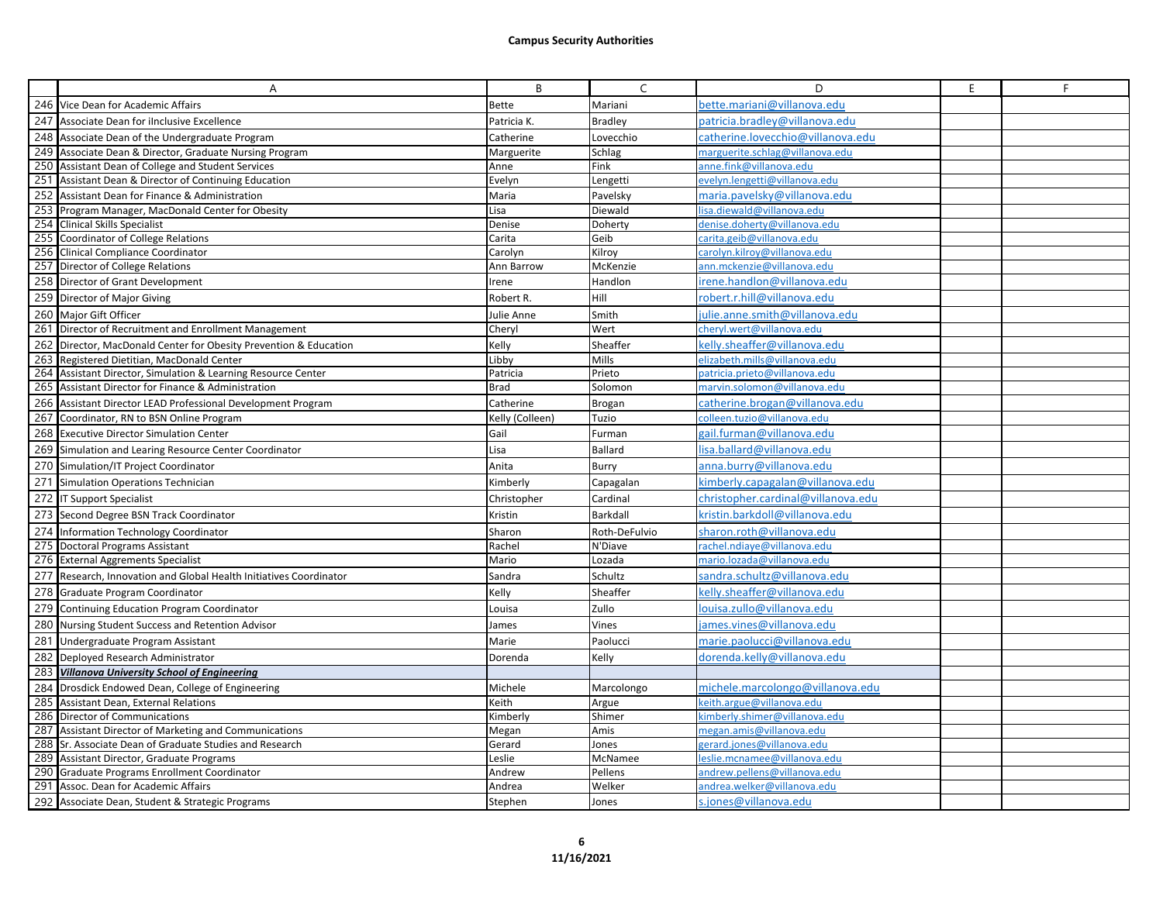|     | Α                                                                  | B               | C              | D                                  | E. | F |
|-----|--------------------------------------------------------------------|-----------------|----------------|------------------------------------|----|---|
|     | 246 Vice Dean for Academic Affairs                                 | <b>Bette</b>    | Mariani        | oette.mariani@villanova.edu        |    |   |
|     | 247 Associate Dean for ilnclusive Excellence                       | Patricia K.     | <b>Bradley</b> | patricia.bradley@villanova.edu     |    |   |
| 248 | Associate Dean of the Undergraduate Program                        | Catherine       | Lovecchio      | catherine.lovecchio@villanova.edu  |    |   |
| 249 | Associate Dean & Director, Graduate Nursing Program                | Marguerite      | Schlag         | marguerite.schlag@villanova.edu    |    |   |
| 250 | Assistant Dean of College and Student Services                     | Anne            | Fink           | anne.fink@villanova.edu            |    |   |
|     | 251 Assistant Dean & Director of Continuing Education              | Evelyn          | Lengetti       | evelyn.lengetti@villanova.edu      |    |   |
| 252 | Assistant Dean for Finance & Administration                        | Maria           | Pavelsky       | maria.pavelsky@villanova.edu       |    |   |
| 253 | Program Manager, MacDonald Center for Obesity                      | Lisa            | Diewald        | lisa.diewald@villanova.edu         |    |   |
| 254 | <b>Clinical Skills Specialist</b>                                  | Denise          | Doherty        | denise.doherty@villanova.edu       |    |   |
|     | 255 Coordinator of College Relations                               | Carita          | Geib           | carita.geib@villanova.edu          |    |   |
|     | 256 Clinical Compliance Coordinator                                | Carolyn         | Kilroy         | carolyn.kilroy@villanova.edu       |    |   |
|     | 257 Director of College Relations                                  | Ann Barrow      | McKenzie       | ann.mckenzie@villanova.edu         |    |   |
|     | 258 Director of Grant Development                                  | Irene           | Handlon        | irene.handlon@villanova.edu        |    |   |
|     | 259 Director of Major Giving                                       | Robert R.       | Hill           | robert.r.hill@villanova.edu        |    |   |
|     | 260 Major Gift Officer                                             | Julie Anne      | Smith          | julie.anne.smith@villanova.edu     |    |   |
|     | 261 Director of Recruitment and Enrollment Management              | Cheryl          | Wert           | cheryl.wert@villanova.edu          |    |   |
|     | 262 Director, MacDonald Center for Obesity Prevention & Education  | Kelly           | Sheaffer       | kelly.sheaffer@villanova.edu       |    |   |
| 263 | Registered Dietitian, MacDonald Center                             | Libby           | Mills          | elizabeth.mills@villanova.edu      |    |   |
|     | 264 Assistant Director, Simulation & Learning Resource Center      | Patricia        | Prieto         | patricia.prieto@villanova.edu      |    |   |
|     | 265 Assistant Director for Finance & Administration                | <b>Brad</b>     | Solomon        | marvin.solomon@villanova.edu       |    |   |
|     | 266 Assistant Director LEAD Professional Development Program       | Catherine       | Brogan         | catherine.brogan@villanova.edu     |    |   |
|     | 267 Coordinator, RN to BSN Online Program                          | Kelly (Colleen) | Tuzio          | colleen.tuzio@villanova.edu        |    |   |
|     | 268 Executive Director Simulation Center                           | Gail            | Furman         | gail.furman@villanova.edu          |    |   |
|     | 269 Simulation and Learing Resource Center Coordinator             | Lisa            | <b>Ballard</b> | isa.ballard@villanova.edu          |    |   |
|     | 270 Simulation/IT Project Coordinator                              | Anita           | Burry          | anna.burry@villanova.edu           |    |   |
|     | 271 Simulation Operations Technician                               | Kimberly        | Capagalan      | kimberly.capagalan@villanova.edu   |    |   |
|     | 272 IT Support Specialist                                          | Christopher     | Cardinal       | christopher.cardinal@villanova.edu |    |   |
|     | 273 Second Degree BSN Track Coordinator                            | Kristin         | Barkdall       | kristin.barkdoll@villanova.edu     |    |   |
|     | 274 Information Technology Coordinator                             | Sharon          | Roth-DeFulvio  | sharon.roth@villanova.edu          |    |   |
|     | 275 Doctoral Programs Assistant                                    | Rachel          | N'Diave        | rachel.ndiaye@villanova.edu        |    |   |
|     | 276 External Aggrements Specialist                                 | Mario           | Lozada         | mario.lozada@villanova.edu         |    |   |
|     | 277 Research, Innovation and Global Health Initiatives Coordinator | Sandra          | Schultz        | sandra.schultz@villanova.edu       |    |   |
|     | 278 Graduate Program Coordinator                                   | Kelly           | Sheaffer       | kelly.sheaffer@villanova.edu       |    |   |
|     | 279 Continuing Education Program Coordinator                       | Louisa          | Zullo          | ouisa.zullo@villanova.edu          |    |   |
|     | 280 Nursing Student Success and Retention Advisor                  | James           | Vines          | james.vines@villanova.edu          |    |   |
|     | 281 Undergraduate Program Assistant                                | Marie           | Paolucci       | marie.paolucci@villanova.edu       |    |   |
|     | 282 Deployed Research Administrator                                | Dorenda         | Kelly          | dorenda.kelly@villanova.edu        |    |   |
|     | 283 Villanova University School of Engineering                     |                 |                |                                    |    |   |
|     | 284 Drosdick Endowed Dean, College of Engineering                  | Michele         | Marcolongo     | michele.marcolongo@villanova.edu   |    |   |
|     | 285 Assistant Dean, External Relations                             | Keith           | Argue          | keith.argue@villanova.edu          |    |   |
|     | 286 Director of Communications                                     | Kimberly        | Shimer         | kimberly.shimer@villanova.edu      |    |   |
|     | 287 Assistant Director of Marketing and Communications             | Megan           | Amis           | megan.amis@villanova.edu           |    |   |
|     | 288 Sr. Associate Dean of Graduate Studies and Research            | Gerard          | Jones          | gerard.jones@villanova.edu         |    |   |
|     | 289 Assistant Director, Graduate Programs                          | Leslie          | McNamee        | leslie.mcnamee@villanova.edu       |    |   |
|     | 290 Graduate Programs Enrollment Coordinator                       | Andrew          | Pellens        | andrew.pellens@villanova.edu       |    |   |
|     | 291 Assoc. Dean for Academic Affairs                               | Andrea          | Welker         | andrea.welker@villanova.edu        |    |   |
|     | 292 Associate Dean, Student & Strategic Programs                   | Stephen         | Jones          | s.jones@villanova.edu              |    |   |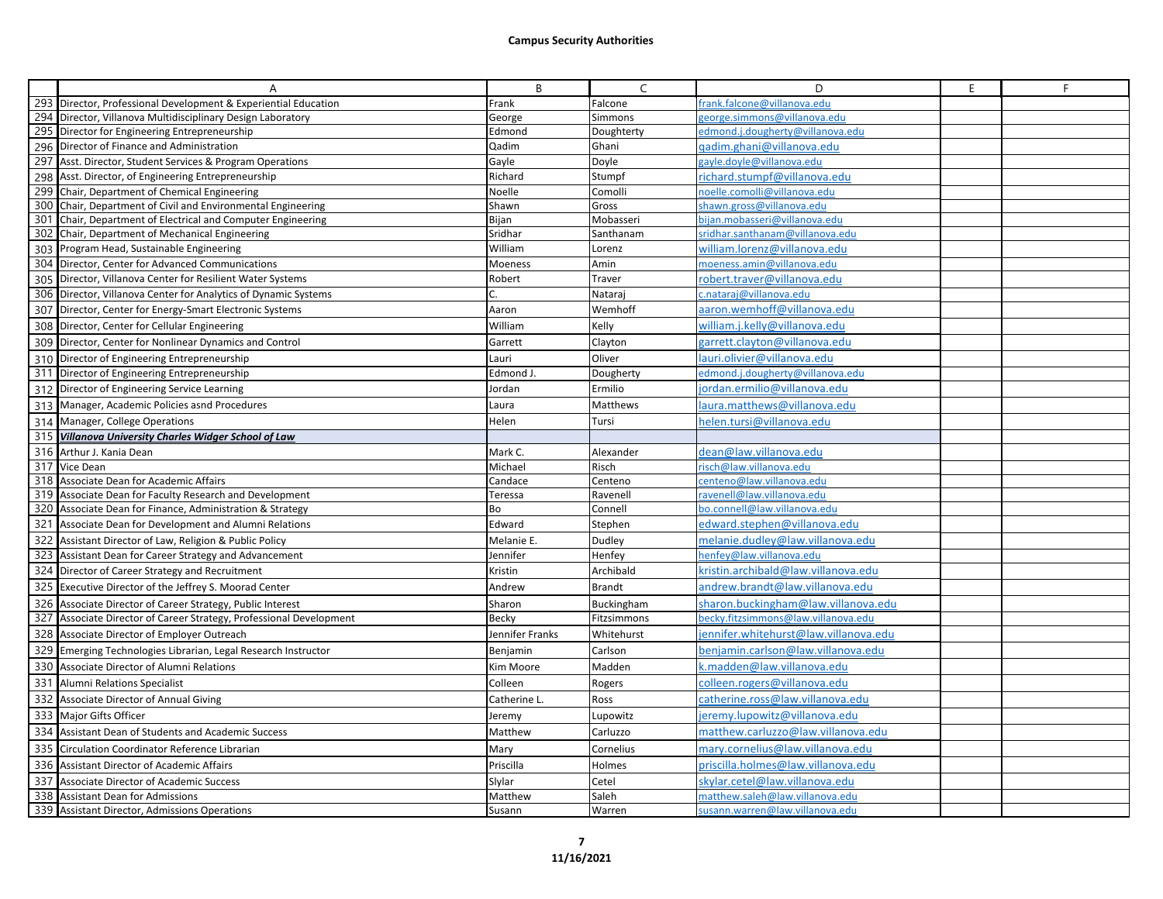|     | A                                                               | B               | $\mathsf{C}$   | D                                     | E | F. |
|-----|-----------------------------------------------------------------|-----------------|----------------|---------------------------------------|---|----|
|     | 293 Director, Professional Development & Experiential Education | Frank           | Falcone        | frank.falcone@villanova.edu           |   |    |
|     | 294 Director, Villanova Multidisciplinary Design Laboratory     | George          | Simmons        | george.simmons@villanova.edu          |   |    |
|     | 295 Director for Engineering Entrepreneurship                   | Edmond          | Doughterty     | edmond.j.dougherty@villanova.edu      |   |    |
|     | 296 Director of Finance and Administration                      | Qadim           | Ghani          | gadim.ghani@villanova.edu             |   |    |
|     | 297 Asst. Director, Student Services & Program Operations       | Gayle           | Doyle          | gayle.doyle@villanova.edu             |   |    |
|     | 298 Asst. Director, of Engineering Entrepreneurship             | Richard         | Stumpf         | richard.stumpf@villanova.edu          |   |    |
|     | 299 Chair, Department of Chemical Engineering                   | Noelle          | Comolli        | noelle.comolli@villanova.edu          |   |    |
| 300 | Chair, Department of Civil and Environmental Engineering        | Shawn           | Gross          | shawn.gross@villanova.edu             |   |    |
| 301 | Chair, Department of Electrical and Computer Engineering        | Bijan           | Mobasseri      | bijan.mobasseri@villanova.edu         |   |    |
|     | 302 Chair, Department of Mechanical Engineering                 | Sridhar         | Santhanam      | sridhar.santhanam@villanova.edu       |   |    |
|     | 303 Program Head, Sustainable Engineering                       | William         | Lorenz         | william.lorenz@villanova.edu          |   |    |
|     | 304 Director, Center for Advanced Communications                | Moeness         | Amin           | moeness.amin@villanova.edu            |   |    |
|     | 305 Director, Villanova Center for Resilient Water Systems      | Robert          | Traver         | robert.traver@villanova.edu           |   |    |
|     | 306 Director, Villanova Center for Analytics of Dynamic Systems |                 | Nataraj        | c.nataraj@villanova.edu               |   |    |
|     | 307 Director, Center for Energy-Smart Electronic Systems        | Aaron           | Wemhoff        | aaron.wemhoff@villanova.edu           |   |    |
|     | 308 Director, Center for Cellular Engineering                   | William         | Kelly          | william.j.kelly@villanova.edu         |   |    |
|     | 309 Director, Center for Nonlinear Dynamics and Control         | Garrett         | Clayton        | garrett.clayton@villanova.edu         |   |    |
|     | 310 Director of Engineering Entrepreneurship                    | Lauri           | Oliver         | lauri.olivier@villanova.edu           |   |    |
|     | 311 Director of Engineering Entrepreneurship                    | Edmond J        | Dougherty      | edmond.j.dougherty@villanova.edu      |   |    |
|     | 312 Director of Engineering Service Learning                    | Jordan          | Ermilio        | jordan.ermilio@villanova.edu          |   |    |
|     | 313 Manager, Academic Policies asnd Procedures                  | Laura           | Matthews       | aura.matthews@villanova.edu           |   |    |
|     | 314 Manager, College Operations                                 | Helen           | Tursi          | helen.tursi@villanova.edu             |   |    |
|     | 315 Villanova University Charles Widger School of Law           |                 |                |                                       |   |    |
|     | 316 Arthur J. Kania Dean                                        | Mark C.         | Alexander      | dean@law.villanova.edu                |   |    |
|     | 317 Vice Dean                                                   | Michael         | Risch          | risch@law.villanova.edu               |   |    |
|     | 318 Associate Dean for Academic Affairs                         | Candace         | Centeno        | centeno@law.villanova.edu             |   |    |
|     | 319 Associate Dean for Faculty Research and Development         | Teressa         | Ravenell       | ravenell@law.villanova.edu            |   |    |
|     | 320 Associate Dean for Finance, Administration & Strategy       | Bo              | Connell        | bo.connell@law.villanova.edu          |   |    |
| 321 | Associate Dean for Development and Alumni Relations             | Edward          | Stephen        | edward.stephen@villanova.edu          |   |    |
| 322 | Assistant Director of Law, Religion & Public Policy             | Melanie E.      | Dudley         | melanie.dudley@law.villanova.edu      |   |    |
| 323 | Assistant Dean for Career Strategy and Advancement              | Jennifer        | Henfey         | henfey@law.villanova.edu              |   |    |
|     | 324 Director of Career Strategy and Recruitment                 | Kristin         | Archibald      | kristin.archibald@law.villanova.edu   |   |    |
|     | 325 Executive Director of the Jeffrey S. Moorad Center          | Andrew          | <b>Brandt</b>  | andrew.brandt@law.villanova.edu       |   |    |
| 326 | Associate Director of Career Strategy, Public Interest          | Sharon          | Buckingham     | sharon.buckingham@law.villanova.edu   |   |    |
| 327 | Associate Director of Career Strategy, Professional Development | <b>Becky</b>    | Fitzsimmons    | becky.fitzsimmons@law.villanova.edu   |   |    |
| 328 | Associate Director of Employer Outreach                         | Jennifer Franks | Whitehurst     | jennifer.whitehurst@law.villanova.edu |   |    |
| 329 | Emerging Technologies Librarian, Legal Research Instructor      | Benjamin        | Carlson        | benjamin.carlson@law.villanova.edu    |   |    |
| 330 | Associate Director of Alumni Relations                          | Kim Moore       | Madden         | k.madden@law.villanova.edu            |   |    |
| 331 | Alumni Relations Specialist                                     | Colleen         | Rogers         | colleen.rogers@villanova.edu          |   |    |
|     | 332 Associate Director of Annual Giving                         | Catherine L.    | Ross           | catherine.ross@law.villanova.edu      |   |    |
|     | 333 Major Gifts Officer                                         | Jeremy          | Lupowitz       | jeremy.lupowitz@villanova.edu         |   |    |
| 334 | Assistant Dean of Students and Academic Success                 | Matthew         | Carluzzo       | matthew.carluzzo@law.villanova.edu    |   |    |
| 335 | Circulation Coordinator Reference Librarian                     | Mary            | Cornelius      | mary.cornelius@law.villanova.edu      |   |    |
|     | 336 Assistant Director of Academic Affairs                      | Priscilla       | Holmes         | priscilla.holmes@law.villanova.edu    |   |    |
| 337 | Associate Director of Academic Success                          | Slylar          |                | skylar.cetel@law.villanova.edu        |   |    |
| 338 | <b>Assistant Dean for Admissions</b>                            | Matthew         | Cetel<br>Saleh | matthew.saleh@law.villanova.edu       |   |    |
|     | 339 Assistant Director, Admissions Operations                   | Susann          | Warren         | susann.warren@law.villanova.edu       |   |    |
|     |                                                                 |                 |                |                                       |   |    |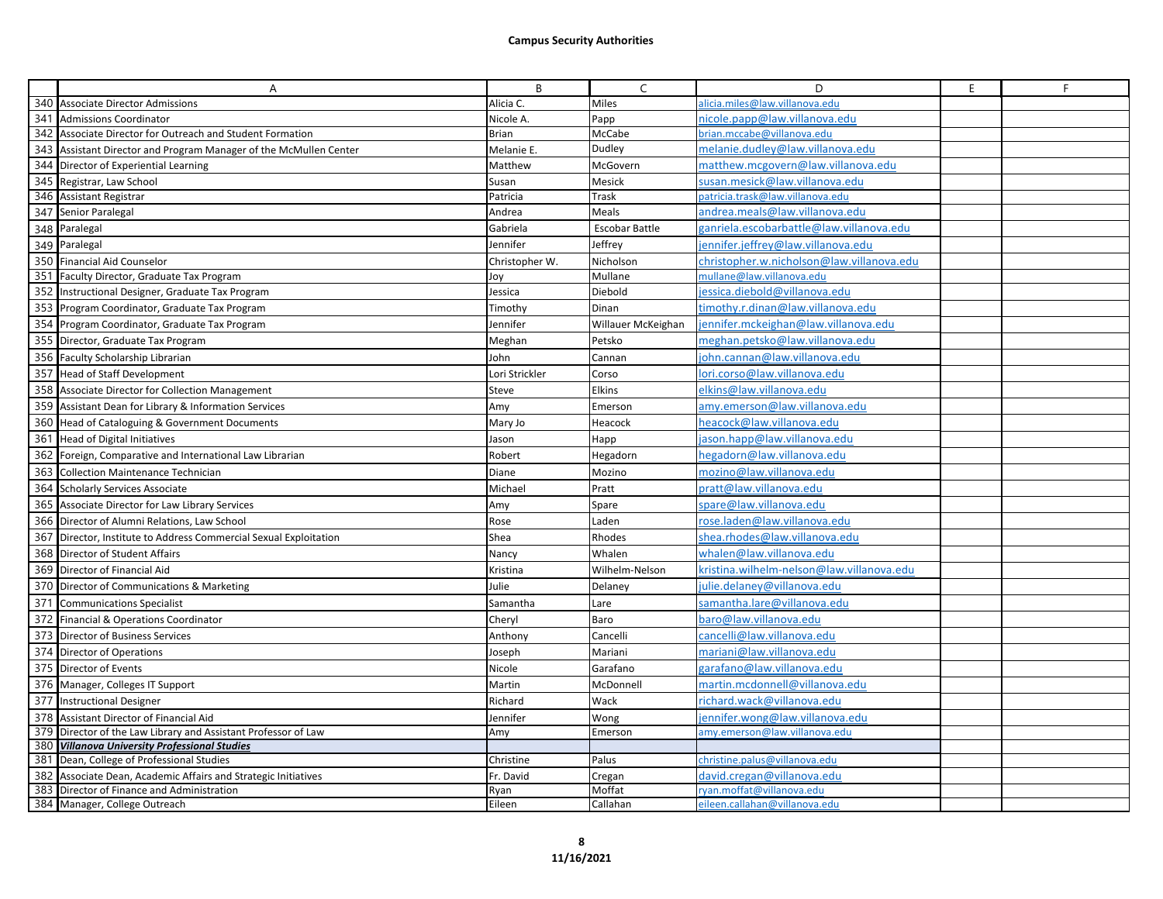|     | Α                                                                 | B              | C                  | D                                         | E | F. |
|-----|-------------------------------------------------------------------|----------------|--------------------|-------------------------------------------|---|----|
|     | 340 Associate Director Admissions                                 | Alicia C.      | Miles              | alicia.miles@law.villanova.edu            |   |    |
| 341 | <b>Admissions Coordinator</b>                                     | Nicole A.      | Papp               | nicole.papp@law.villanova.edu             |   |    |
| 342 | Associate Director for Outreach and Student Formation             | Brian          | McCabe             | brian.mccabe@villanova.edu                |   |    |
| 343 | Assistant Director and Program Manager of the McMullen Center     | Melanie E.     | Dudley             | melanie.dudley@law.villanova.edu          |   |    |
| 344 | Director of Experiential Learning                                 | Matthew        | McGovern           | matthew.mcgovern@law.villanova.edu        |   |    |
| 345 | Registrar, Law School                                             | Susan          | Mesick             | susan.mesick@law.villanova.edu            |   |    |
|     | 346 Assistant Registrar                                           | Patricia       | Trask              | patricia.trask@law.villanova.edu          |   |    |
| 347 | Senior Paralegal                                                  | Andrea         | Meals              | andrea.meals@law.villanova.edu            |   |    |
|     | 348 Paralegal                                                     | Gabriela       | Escobar Battle     | ganriela.escobarbattle@law.villanova.edu  |   |    |
|     | 349 Paralegal                                                     | Jennifer       | Jeffrey            | jennifer.jeffrey@law.villanova.edu        |   |    |
|     | 350 Financial Aid Counselor                                       | Christopher W. | Nicholson          | christopher.w.nicholson@law.villanova.edu |   |    |
|     | 351 Faculty Director, Graduate Tax Program                        | Joy            | Mullane            | mullane@law.villanova.edu                 |   |    |
| 352 | Instructional Designer, Graduate Tax Program                      | Jessica        | Diebold            | iessica.diebold@villanova.edu             |   |    |
|     | 353 Program Coordinator, Graduate Tax Program                     | Timothy        | Dinan              | timothy.r.dinan@law.villanova.edu         |   |    |
|     | 354 Program Coordinator, Graduate Tax Program                     | lennifer       | Willauer McKeighan | iennifer.mckeighan@law.villanova.edu      |   |    |
|     | 355 Director, Graduate Tax Program                                | Meghan         | Petsko             | meghan.petsko@law.villanova.edu           |   |    |
|     | 356 Faculty Scholarship Librarian                                 | John           | Cannan             | john.cannan@law.villanova.edu             |   |    |
|     | 357 Head of Staff Development                                     | Lori Strickler | Corso              | lori.corso@law.villanova.edu              |   |    |
| 358 | Associate Director for Collection Management                      | Steve          | <b>Elkins</b>      | elkins@law.villanova.edu                  |   |    |
| 359 | Assistant Dean for Library & Information Services                 | Amy            | Emerson            | amy.emerson@law.villanova.edu             |   |    |
|     | 360 Head of Cataloguing & Government Documents                    | Mary Jo        | Heacock            | heacock@law.villanova.edu                 |   |    |
| 361 | <b>Head of Digital Initiatives</b>                                | Jason          | Happ               | jason.happ@law.villanova.edu              |   |    |
| 362 | Foreign, Comparative and International Law Librarian              | Robert         | Hegadorn           | hegadorn@law.villanova.edu                |   |    |
| 363 | <b>Collection Maintenance Technician</b>                          | Diane          | Mozino             | mozino@law.villanova.edu                  |   |    |
| 364 | <b>Scholarly Services Associate</b>                               | Michael        | Pratt              | pratt@law.villanova.edu                   |   |    |
| 365 | Associate Director for Law Library Services                       | Amy            | Spare              | spare@law.villanova.edu                   |   |    |
|     | 366 Director of Alumni Relations, Law School                      | Rose           | Laden              | rose.laden@law.villanova.edu              |   |    |
|     | 367 Director, Institute to Address Commercial Sexual Exploitation | Shea           | Rhodes             | shea.rhodes@law.villanova.edu             |   |    |
|     | 368 Director of Student Affairs                                   | Nancy          | Whalen             | whalen@law.villanova.edu                  |   |    |
|     | 369 Director of Financial Aid                                     | Kristina       | Wilhelm-Nelson     | kristina.wilhelm-nelson@law.villanova.edu |   |    |
|     | 370 Director of Communications & Marketing                        | Julie          | Delaney            | ulie.delaney@villanova.edu                |   |    |
| 371 | <b>Communications Specialist</b>                                  | Samantha       | Lare               | samantha.lare@villanova.edu               |   |    |
| 372 | Financial & Operations Coordinator                                | Cheryl         | Baro               | baro@law.villanova.edu                    |   |    |
| 373 | Director of Business Services                                     | Anthony        | Cancelli           | cancelli@law.villanova.edu                |   |    |
|     | 374 Director of Operations                                        | Joseph         | Mariani            | mariani@law.villanova.edu                 |   |    |
|     | 375 Director of Events                                            | Nicole         | Garafano           | garafano@law.villanova.edu                |   |    |
|     | 376 Manager, Colleges IT Support                                  | Martin         | McDonnell          | martin.mcdonnell@villanova.edu            |   |    |
| 377 | <b>Instructional Designer</b>                                     | Richard        | Wack               | richard.wack@villanova.edu                |   |    |
|     | 378 Assistant Director of Financial Aid                           | Jennifer       | Wong               | ennifer.wong@law.villanova.edu            |   |    |
| 379 | Director of the Law Library and Assistant Professor of Law        | Amy            | Emerson            | amy.emerson@law.villanova.edu             |   |    |
|     | 380 Villanova University Professional Studies                     |                |                    |                                           |   |    |
|     | 381 Dean, College of Professional Studies                         | Christine      | Palus              | christine.palus@villanova.edu             |   |    |
| 382 | Associate Dean, Academic Affairs and Strategic Initiatives        | Fr. David      | Cregan             | david.cregan@villanova.edu                |   |    |
| 383 | Director of Finance and Administration                            | Ryan           | Moffat             | rvan.moffat@villanova.edu                 |   |    |
|     | 384 Manager, College Outreach                                     | Eileen         | Callahan           | eileen.callahan@villanova.edu             |   |    |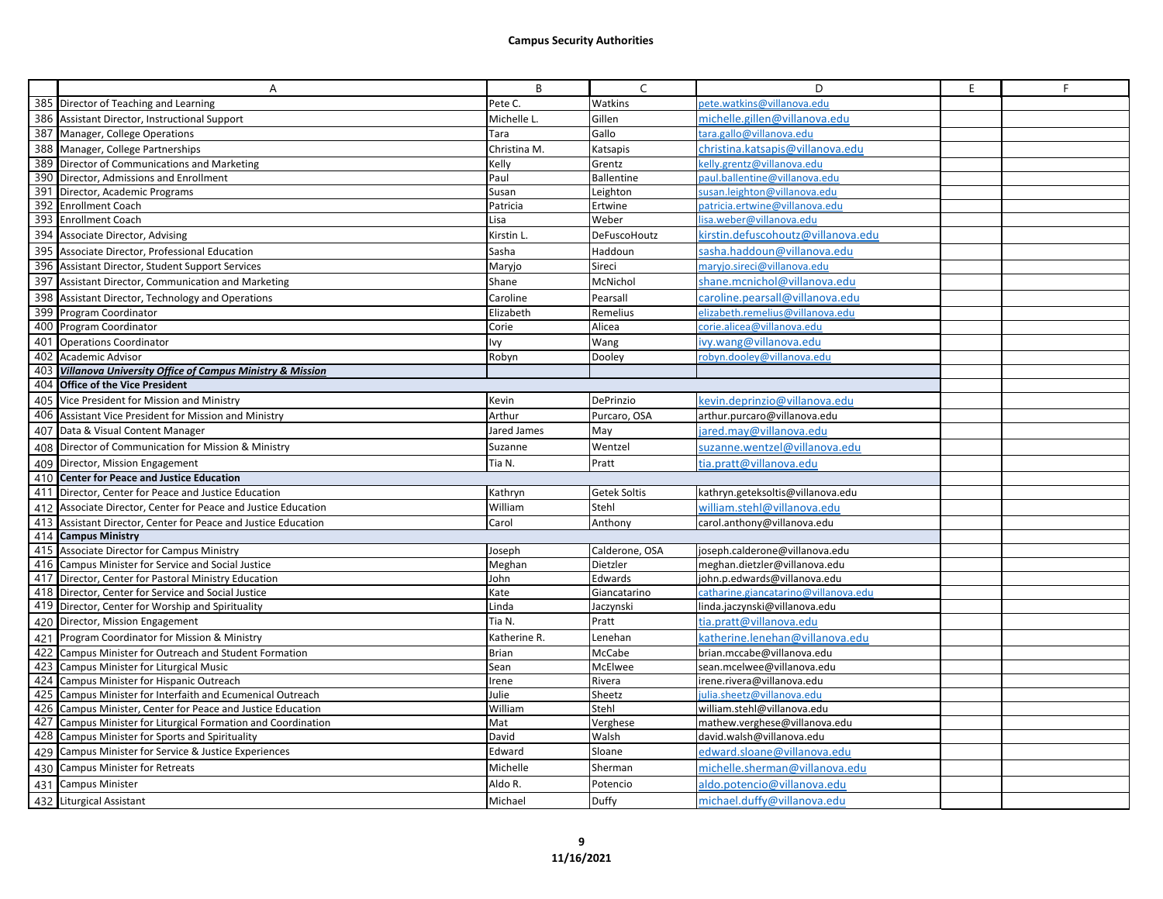|     | A                                                                                                                            | B              | $\mathsf{C}$        | D                                                            | E | F |
|-----|------------------------------------------------------------------------------------------------------------------------------|----------------|---------------------|--------------------------------------------------------------|---|---|
|     | 385 Director of Teaching and Learning                                                                                        | Pete C.        | Watkins             | pete.watkins@villanova.edu                                   |   |   |
| 386 | Assistant Director, Instructional Support                                                                                    | Michelle L.    | Gillen              | michelle.gillen@villanova.edu                                |   |   |
| 387 | Manager, College Operations                                                                                                  | Tara           | Gallo               | tara.gallo@villanova.edu                                     |   |   |
|     | 388 Manager, College Partnerships                                                                                            | Christina M.   | Katsapis            | christina.katsapis@villanova.edu                             |   |   |
|     | 389 Director of Communications and Marketing                                                                                 | Kelly          | Grentz              | celly.grentz@villanova.edu                                   |   |   |
|     | 390 Director, Admissions and Enrollment                                                                                      | Paul           | <b>Ballentine</b>   | paul.ballentine@villanova.edu                                |   |   |
| 391 | Director, Academic Programs                                                                                                  | Susan          | Leighton            | susan.leighton@villanova.edu                                 |   |   |
| 392 | <b>Enrollment Coach</b>                                                                                                      | Patricia       | Ertwine             | patricia.ertwine@villanova.edu                               |   |   |
|     | 393 Enrollment Coach                                                                                                         | Lisa           | Weber               | isa.weber@villanova.edu                                      |   |   |
| 394 | Associate Director, Advising                                                                                                 | Kirstin L      | <b>DeFuscoHoutz</b> | kirstin.defuscohoutz@villanova.edu                           |   |   |
| 395 | Associate Director, Professional Education                                                                                   | Sasha          | Haddoun             | sasha.haddoun@villanova.edu                                  |   |   |
|     | 396 Assistant Director, Student Support Services                                                                             | Maryjo         | Sireci              | maryjo.sireci@villanova.edu                                  |   |   |
| 397 | Assistant Director, Communication and Marketing                                                                              | Shane          | McNichol            | shane.mcnichol@villanova.edu                                 |   |   |
|     | 398 Assistant Director, Technology and Operations                                                                            | Caroline       | Pearsall            | caroline.pearsall@villanova.edu                              |   |   |
| 399 | Program Coordinator                                                                                                          | Elizabeth      | Remelius            | elizabeth.remelius@villanova.edu                             |   |   |
|     | 400 Program Coordinator                                                                                                      | Corie          | Alicea              | corie.alicea@villanova.edu                                   |   |   |
| 401 | <b>Operations Coordinator</b>                                                                                                | lvy            | Wang                | ivy.wang@villanova.edu                                       |   |   |
| 402 | <b>Academic Advisor</b>                                                                                                      | Robyn          | Dooley              | robyn.dooley@villanova.edu                                   |   |   |
| 403 | Villanova University Office of Campus Ministry & Mission                                                                     |                |                     |                                                              |   |   |
| 404 | <b>Office of the Vice President</b>                                                                                          |                |                     |                                                              |   |   |
| 405 | Vice President for Mission and Ministry                                                                                      | Kevin          | DePrinzio           | kevin.deprinzio@villanova.edu                                |   |   |
|     | 406 Assistant Vice President for Mission and Ministry                                                                        | Arthur         | Purcaro, OSA        | arthur.purcaro@villanova.edu                                 |   |   |
|     | 407 Data & Visual Content Manager                                                                                            | Jared James    | May                 | ared.may@villanova.edu                                       |   |   |
|     | 408 Director of Communication for Mission & Ministry                                                                         | Suzanne        | Wentzel             | suzanne.wentzel@villanova.edu                                |   |   |
|     | 409 Director, Mission Engagement                                                                                             | Tia N.         | Pratt               | tia.pratt@villanova.edu                                      |   |   |
|     | 410 Center for Peace and Justice Education                                                                                   |                |                     |                                                              |   |   |
|     | 411 Director, Center for Peace and Justice Education                                                                         | Kathryn        | Getek Soltis        | kathryn.geteksoltis@villanova.edu                            |   |   |
| 412 | Associate Director, Center for Peace and Justice Education                                                                   | William        | Stehl               | william.stehl@villanova.edu                                  |   |   |
|     | 413 Assistant Director, Center for Peace and Justice Education                                                               | Carol          | Anthony             | carol.anthony@villanova.edu                                  |   |   |
|     | 414 Campus Ministry                                                                                                          |                |                     |                                                              |   |   |
|     | 415 Associate Director for Campus Ministry                                                                                   | Joseph         | Calderone, OSA      | joseph.calderone@villanova.edu                               |   |   |
|     | 416 Campus Minister for Service and Social Justice                                                                           | Meghan         | Dietzler            | meghan.dietzler@villanova.edu                                |   |   |
|     | 417 Director, Center for Pastoral Ministry Education                                                                         | John           | Edwards             | john.p.edwards@villanova.edu                                 |   |   |
|     | 418 Director, Center for Service and Social Justice                                                                          | Kate           | Giancatarino        | catharine.giancatarino@villanova.edu                         |   |   |
|     | 419 Director, Center for Worship and Spirituality                                                                            | Linda          | Jaczynski           | linda.jaczynski@villanova.edu                                |   |   |
|     | 420 Director, Mission Engagement                                                                                             | Tia N.         | Pratt               | tia.pratt@villanova.edu                                      |   |   |
|     | 421 Program Coordinator for Mission & Ministry                                                                               | Katherine R.   | Lenehan             | katherine.lenehan@villanova.edu                              |   |   |
| 422 | Campus Minister for Outreach and Student Formation                                                                           | <b>Brian</b>   | McCabe              | brian.mccabe@villanova.edu                                   |   |   |
|     | 423 Campus Minister for Liturgical Music                                                                                     | Sean           | McElwee             | sean.mcelwee@villanova.edu                                   |   |   |
|     | 424 Campus Minister for Hispanic Outreach                                                                                    | Irene          | Rivera              | irene.rivera@villanova.edu                                   |   |   |
|     | 425 Campus Minister for Interfaith and Ecumenical Outreach                                                                   | Julie          | Sheetz<br>Stehl     | ulia.sheetz@villanova.edu                                    |   |   |
|     | 426 Campus Minister, Center for Peace and Justice Education<br>427 Campus Minister for Liturgical Formation and Coordination | William<br>Mat | Verghese            | william.stehl@villanova.edu<br>mathew.verghese@villanova.edu |   |   |
|     | 428 Campus Minister for Sports and Spirituality                                                                              | David          | Walsh               | david.walsh@villanova.edu                                    |   |   |
|     | 429 Campus Minister for Service & Justice Experiences                                                                        | Edward         | Sloane              | edward.sloane@villanova.edu                                  |   |   |
|     |                                                                                                                              | Michelle       | Sherman             |                                                              |   |   |
|     | 430 Campus Minister for Retreats                                                                                             |                |                     | michelle.sherman@villanova.edu                               |   |   |
| 431 | <b>Campus Minister</b>                                                                                                       | Aldo R.        | Potencio            | aldo.potencio@villanova.edu                                  |   |   |
|     | 432 Liturgical Assistant                                                                                                     | Michael        | Duffy               | michael.duffy@villanova.edu                                  |   |   |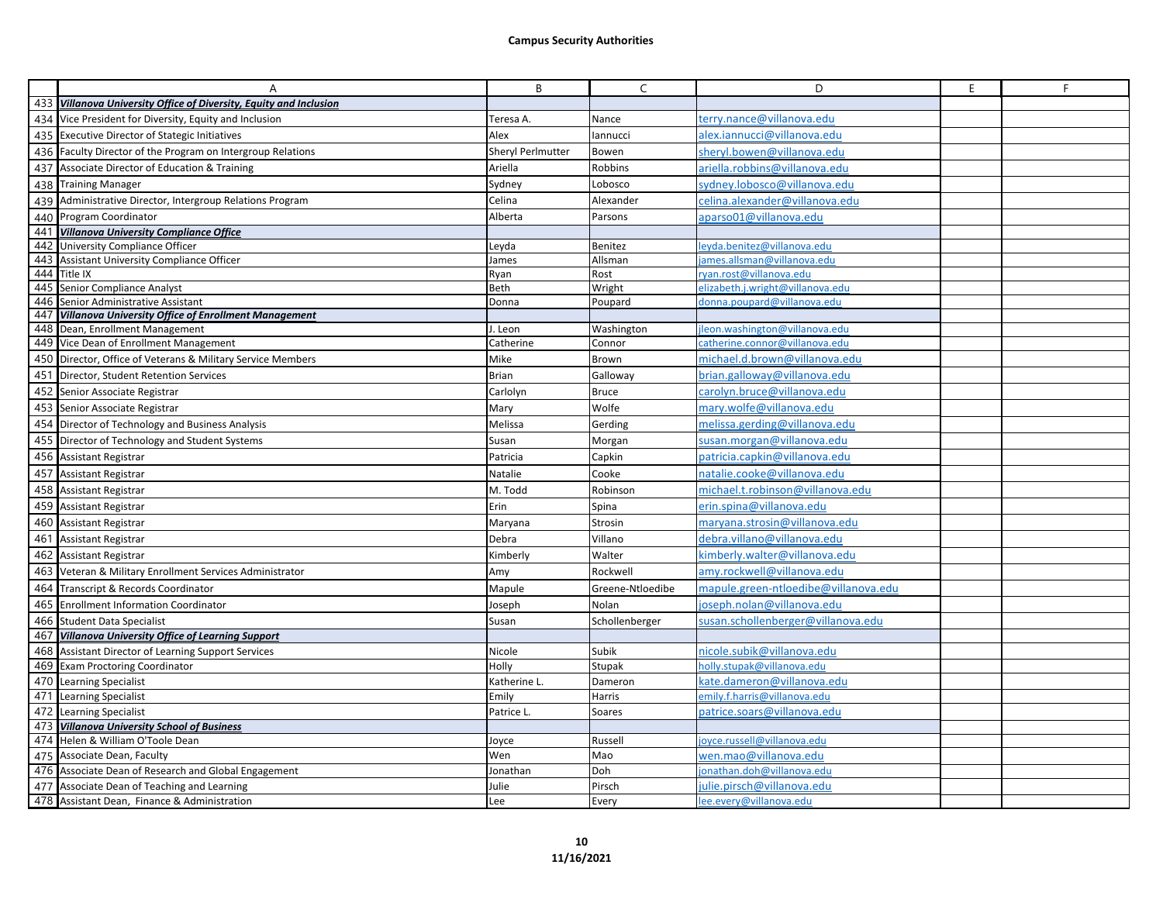|     | Α                                                                  | B                 | $\mathsf{C}$     | D                                    | E | F. |
|-----|--------------------------------------------------------------------|-------------------|------------------|--------------------------------------|---|----|
|     | 433 Villanova University Office of Diversity, Equity and Inclusion |                   |                  |                                      |   |    |
| 434 | Vice President for Diversity, Equity and Inclusion                 | Teresa A.         | Nance            | erry.nance@villanova.edu             |   |    |
|     | 435 Executive Director of Stategic Initiatives                     | Alex              | lannucci         | alex.iannucci@villanova.edu          |   |    |
|     | 436 Faculty Director of the Program on Intergroup Relations        | Sheryl Perlmutter | Bowen            | sheryl.bowen@villanova.edu           |   |    |
|     | 437 Associate Director of Education & Training                     | Ariella           | Robbins          | ariella.robbins@villanova.edu        |   |    |
|     | 438 Training Manager                                               | Sydney            | Lobosco          | sydney.lobosco@villanova.edu         |   |    |
| 439 | Administrative Director, Intergroup Relations Program              | Celina            | Alexander        | celina.alexander@villanova.edu       |   |    |
|     | 440 Program Coordinator                                            | Alberta           | Parsons          | aparso01@villanova.edu               |   |    |
| 441 | <b>Villanova University Compliance Office</b>                      |                   |                  |                                      |   |    |
|     | 442 University Compliance Officer                                  | Leyda             | Benitez          | eyda.benitez@villanova.edu           |   |    |
| 443 | Assistant University Compliance Officer                            | lames             | Allsman          | iames.allsman@villanova.edu          |   |    |
|     | 444 Title IX                                                       | Ryan              | Rost             | ryan.rost@villanova.edu              |   |    |
| 445 | Senior Compliance Analyst                                          | Beth              | Wright           | elizabeth.j.wright@villanova.edu     |   |    |
| 446 | Senior Administrative Assistant                                    | Donna             | Poupard          | donna.poupard@villanova.edu          |   |    |
|     | 447 Villanova University Office of Enrollment Management           |                   |                  |                                      |   |    |
|     | 448 Dean, Enrollment Management                                    | I. Leon           | Washington       | leon.washington@villanova.edu        |   |    |
|     | 449 Vice Dean of Enrollment Management                             | Catherine         | Connor           | catherine.connor@villanova.edu       |   |    |
|     | 450 Director, Office of Veterans & Military Service Members        | Mike              | Brown            | michael.d.brown@villanova.edu        |   |    |
| 451 | Director, Student Retention Services                               | Brian             | Galloway         | brian.galloway@villanova.edu         |   |    |
|     | 452 Senior Associate Registrar                                     | Carlolyn          | <b>Bruce</b>     | carolyn.bruce@villanova.edu          |   |    |
|     | 453 Senior Associate Registrar                                     | Mary              | Wolfe            | mary.wolfe@villanova.edu             |   |    |
| 454 | Director of Technology and Business Analysis                       | Melissa           | Gerding          | melissa.gerding@villanova.edu        |   |    |
|     | 455 Director of Technology and Student Systems                     | Susan             | Morgan           | susan.morgan@villanova.edu           |   |    |
|     | 456 Assistant Registrar                                            | Patricia          | Capkin           | patricia.capkin@villanova.edu        |   |    |
|     | 457 Assistant Registrar                                            | Natalie           | Cooke            | natalie.cooke@villanova.edu          |   |    |
|     | 458 Assistant Registrar                                            | M. Todd           | Robinson         | michael.t.robinson@villanova.edu     |   |    |
| 459 | Assistant Registrar                                                | Erin              | Spina            | erin.spina@villanova.edu             |   |    |
| 460 | <b>Assistant Registrar</b>                                         | Maryana           | Strosin          | maryana.strosin@villanova.edu        |   |    |
|     | 461 Assistant Registrar                                            | Debra             | Villano          | debra.villano@villanova.edu          |   |    |
|     | 462 Assistant Registrar                                            | Kimberly          | Walter           | kimberly.walter@villanova.edu        |   |    |
| 463 | Veteran & Military Enrollment Services Administrator               | Amy               | Rockwell         | amy.rockwell@villanova.edu           |   |    |
| 464 | Transcript & Records Coordinator                                   | Mapule            | Greene-Ntloedibe | mapule.green-ntloedibe@villanova.edu |   |    |
| 465 | <b>Enrollment Information Coordinator</b>                          | loseph            | Nolan            | ioseph.nolan@villanova.edu           |   |    |
|     | 466 Student Data Specialist                                        | Susan             | Schollenberger   | susan.schollenberger@villanova.edu   |   |    |
|     | 467 Villanova University Office of Learning Support                |                   |                  |                                      |   |    |
|     | 468 Assistant Director of Learning Support Services                | Nicole            | Subik            | nicole.subik@villanova.edu           |   |    |
| 469 | <b>Exam Proctoring Coordinator</b>                                 | Holly             | Stupak           | holly.stupak@villanova.edu           |   |    |
|     | 470 Learning Specialist                                            | Katherine L.      | Dameron          | cate.dameron@villanova.edu           |   |    |
|     | 471 Learning Specialist                                            | Emily             | Harris           | emily.f.harris@villanova.edu         |   |    |
|     | 472 Learning Specialist                                            | Patrice L.        | Soares           | patrice.soars@villanova.edu          |   |    |
|     | 473 Villanova University School of Business                        |                   |                  |                                      |   |    |
|     | 474 Helen & William O'Toole Dean                                   | Joyce             | Russell          | oyce.russell@villanova.edu           |   |    |
| 475 | Associate Dean, Faculty                                            | Wen               | Mao              | wen.mao@villanova.edu                |   |    |
|     | 476 Associate Dean of Research and Global Engagement               | Jonathan          | Doh              | onathan.doh@villanova.edu            |   |    |
| 477 | Associate Dean of Teaching and Learning                            | Julie             | Pirsch           | julie.pirsch@villanova.edu           |   |    |
|     | 478 Assistant Dean, Finance & Administration                       | Lee               | Every            | lee.every@villanova.edu              |   |    |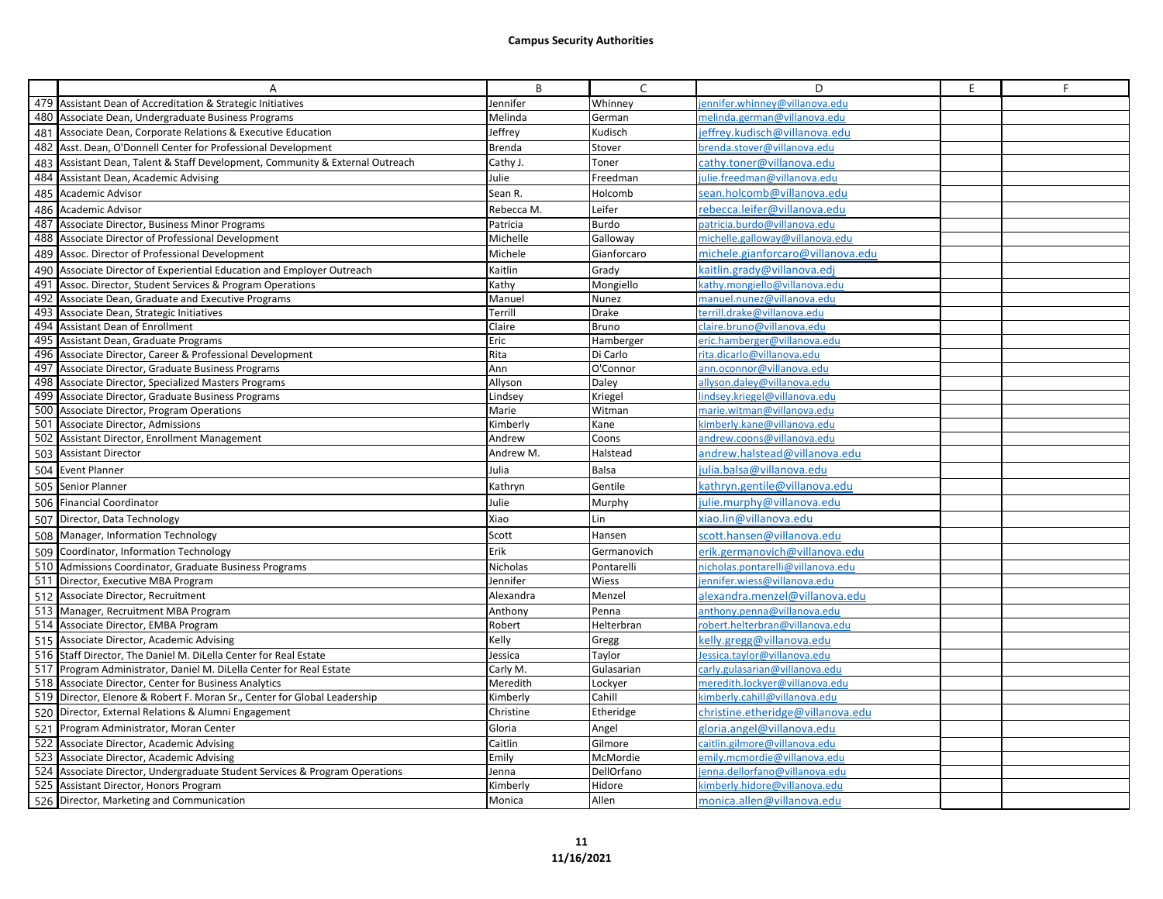|     | Α                                                                           | B               | C            | D                                 | E | F. |
|-----|-----------------------------------------------------------------------------|-----------------|--------------|-----------------------------------|---|----|
|     | 479 Assistant Dean of Accreditation & Strategic Initiatives                 | Jennifer        | Whinney      | ennifer.whinney@villanova.edu     |   |    |
| 480 | Associate Dean, Undergraduate Business Programs                             | Melinda         | German       | melinda.german@villanova.edu      |   |    |
| 481 | Associate Dean, Corporate Relations & Executive Education                   | Jeffrey         | Kudisch      | ieffrey.kudisch@villanova.edu     |   |    |
| 482 | Asst. Dean, O'Donnell Center for Professional Development                   | Brenda          | Stover       | brenda.stover@villanova.edu       |   |    |
| 483 | Assistant Dean, Talent & Staff Development, Community & External Outreach   | Cathy J.        | Toner        | cathy.toner@villanova.edu         |   |    |
| 484 | Assistant Dean, Academic Advising                                           | Julie           | Freedman     | ulie.freedman@villanova.edu       |   |    |
| 485 | <b>Academic Advisor</b>                                                     | Sean R.         | Holcomb      | sean.holcomb@villanova.edu        |   |    |
|     | 486 Academic Advisor                                                        | Rebecca M.      | Leifer       | rebecca.leifer@villanova.edu      |   |    |
| 487 | Associate Director, Business Minor Programs                                 | Patricia        | Burdo        | patricia.burdo@villanova.edu      |   |    |
|     | 488 Associate Director of Professional Development                          | Michelle        | Galloway     | michelle.galloway@villanova.edu   |   |    |
| 489 | Assoc. Director of Professional Development                                 | Michele         | Gianforcaro  | michele.gianforcaro@villanova.edu |   |    |
| 490 | Associate Director of Experiential Education and Employer Outreach          | Kaitlin         | Grady        | caitlin.grady@villanova.edj       |   |    |
| 491 | Assoc. Director, Student Services & Program Operations                      | Kathy           | Mongiello    | cathy.mongiello@villanova.edu     |   |    |
| 492 | Associate Dean, Graduate and Executive Programs                             | Manuel          | Nunez        | manuel.nunez@villanova.edu        |   |    |
| 493 | Associate Dean, Strategic Initiatives                                       | Terrill         | <b>Drake</b> | terrill.drake@villanova.edu       |   |    |
| 494 | <b>Assistant Dean of Enrollment</b>                                         | Claire          | Bruno        | claire.bruno@villanova.edu        |   |    |
|     | 495 Assistant Dean, Graduate Programs                                       | Eric            | Hamberger    | eric.hamberger@villanova.edu      |   |    |
|     | 496 Associate Director, Career & Professional Development                   | Rita            | Di Carlo     | rita.dicarlo@villanova.edu        |   |    |
| 497 | Associate Director, Graduate Business Programs                              | Ann             | O'Connor     | ann.oconnor@villanova.edu         |   |    |
|     | 498 Associate Director, Specialized Masters Programs                        | Allyson         | Daley        | allyson.daley@villanova.edu       |   |    |
|     | 499 Associate Director, Graduate Business Programs                          | Lindsey         | Kriegel      | indsey.kriegel@villanova.edu      |   |    |
| 500 | Associate Director, Program Operations                                      | Marie           | Witman       | marie.witman@villanova.edu        |   |    |
| 501 | Associate Director, Admissions                                              | Kimberly        | Kane         | kimberly.kane@villanova.edu       |   |    |
| 502 | Assistant Director, Enrollment Management                                   | Andrew          | Coons        | andrew.coons@villanova.edu        |   |    |
| 503 | <b>Assistant Director</b>                                                   | Andrew M.       | Halstead     | andrew.halstead@villanova.edu     |   |    |
|     | 504 Event Planner                                                           | Julia           | <b>Balsa</b> | julia.balsa@villanova.edu         |   |    |
| 505 | Senior Planner                                                              | Kathryn         | Gentile      | kathryn.gentile@villanova.edu     |   |    |
|     | 506 Financial Coordinator                                                   | Julie           | Murphy       | ulie.murphy@villanova.edu         |   |    |
|     | 507 Director, Data Technology                                               | Xiao            | Lin          | xiao.lin@villanova.edu            |   |    |
|     | 508 Manager, Information Technology                                         | Scott           | Hansen       | scott.hansen@villanova.edu        |   |    |
| 509 | Coordinator, Information Technology                                         | Erik            | Germanovich  | erik.germanovich@villanova.edu    |   |    |
|     | 510 Admissions Coordinator, Graduate Business Programs                      | <b>Nicholas</b> | Pontarelli   | nicholas.pontarelli@villanova.edu |   |    |
|     | 511 Director, Executive MBA Program                                         | lennifer        | Wiess        | ennifer.wiess@villanova.edu       |   |    |
|     | 512 Associate Director, Recruitment                                         | Alexandra       | Menzel       | alexandra.menzel@villanova.edu    |   |    |
|     | 513 Manager, Recruitment MBA Program                                        | Anthony         | Penna        | anthony.penna@villanova.edu       |   |    |
|     | 514 Associate Director, EMBA Program                                        | Robert          | Helterbran   | robert.helterbran@villanova.edu   |   |    |
|     | 515 Associate Director, Academic Advising                                   | Kelly           | Gregg        | kelly.gregg@villanova.edu         |   |    |
|     | 516 Staff Director, The Daniel M. DiLella Center for Real Estate            | Jessica         | Taylor       | lessica.taylor@villanova.edu      |   |    |
|     | 517 Program Administrator, Daniel M. DiLella Center for Real Estate         | Carly M.        | Gulasarian   | carly.gulasarian@villanova.edu    |   |    |
|     | 518 Associate Director, Center for Business Analytics                       | Meredith        | Lockyer      | meredith.lockyer@villanova.edu    |   |    |
|     | 519 Director, Elenore & Robert F. Moran Sr., Center for Global Leadership   | Kimberly        | Cahill       | kimberly.cahill@villanova.edu     |   |    |
|     | 520 Director, External Relations & Alumni Engagement                        | Christine       | Etheridge    | christine.etheridge@villanova.edu |   |    |
|     | 521 Program Administrator, Moran Center                                     | Gloria          | Angel        | gloria.angel@villanova.edu        |   |    |
|     | 522 Associate Director, Academic Advising                                   | Caitlin         | Gilmore      | caitlin.gilmore@villanova.edu     |   |    |
|     | 523 Associate Director, Academic Advising                                   | Emily           | McMordie     | emily.mcmordie@villanova.edu      |   |    |
|     | 524 Associate Director, Undergraduate Student Services & Program Operations | Jenna           | DellOrfano   | ienna.dellorfano@villanova.edu    |   |    |
|     | 525 Assistant Director, Honors Program                                      | Kimberly        | Hidore       | kimberly.hidore@villanova.edu     |   |    |
|     | 526 Director, Marketing and Communication                                   | Monica          | Allen        | monica.allen@villanova.edu        |   |    |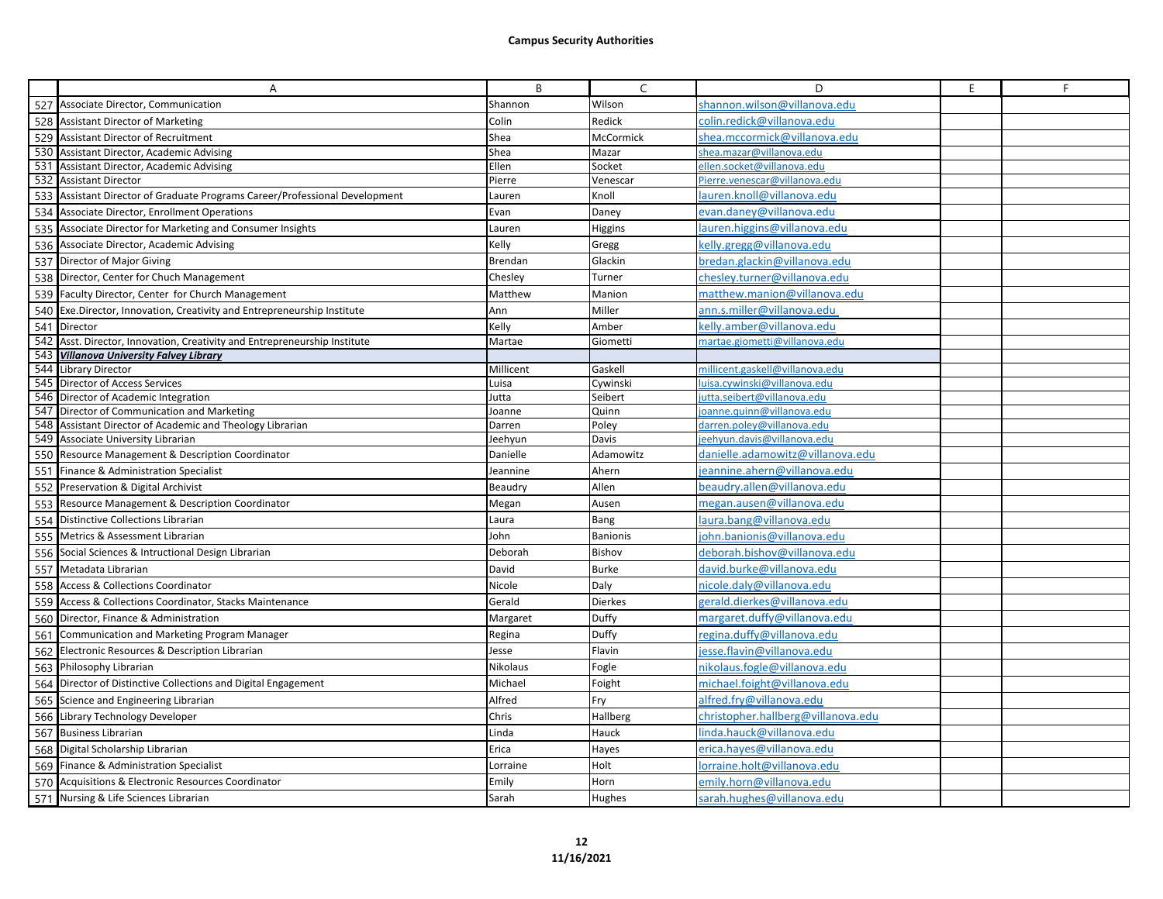|     | A                                                                           | B         | C               | D                                  | E | F |
|-----|-----------------------------------------------------------------------------|-----------|-----------------|------------------------------------|---|---|
|     | 527 Associate Director, Communication                                       | Shannon   | Wilson          | shannon.wilson@villanova.edu       |   |   |
|     | 528 Assistant Director of Marketing                                         | Colin     | Redick          | colin.redick@villanova.edu         |   |   |
|     | 529 Assistant Director of Recruitment                                       | Shea      | McCormick       | shea.mccormick@villanova.edu       |   |   |
|     | 530 Assistant Director, Academic Advising                                   | Shea      | Mazar           | shea.mazar@villanova.edu           |   |   |
|     | 531 Assistant Director, Academic Advising                                   | Ellen     | Socket          | ellen.socket@villanova.edu         |   |   |
|     | 532 Assistant Director                                                      | Pierre    | Venescar        | Pierre.venescar@villanova.edu      |   |   |
|     | 533 Assistant Director of Graduate Programs Career/Professional Development | Lauren    | Knoll           | lauren.knoll@villanova.edu         |   |   |
|     | 534 Associate Director, Enrollment Operations                               | Evan      | Daney           | evan.daney@villanova.edu           |   |   |
|     | 535 Associate Director for Marketing and Consumer Insights                  | Lauren    | Higgins         | lauren.higgins@villanova.edu       |   |   |
|     | 536 Associate Director, Academic Advising                                   | Kelly     | Gregg           | kelly.gregg@villanova.edu          |   |   |
|     | 537 Director of Major Giving                                                | Brendan   | Glackin         | bredan.glackin@villanova.edu       |   |   |
|     | 538 Director, Center for Chuch Management                                   | Chesley   | Turner          | chesley.turner@villanova.edu       |   |   |
|     | 539 Faculty Director, Center for Church Management                          | Matthew   | Manion          | matthew.manion@villanova.edu       |   |   |
|     | 540 Exe.Director, Innovation, Creativity and Entrepreneurship Institute     | Ann       | Miller          | ann.s.miller@villanova.edu         |   |   |
|     | 541 Director                                                                | Kelly     | Amber           | kelly.amber@villanova.edu          |   |   |
|     | 542 Asst. Director, Innovation, Creativity and Entrepreneurship Institute   | Martae    | Giometti        | martae.giometti@villanova.edu      |   |   |
|     | 543 Villanova University Falvey Library                                     |           |                 |                                    |   |   |
|     | 544 Library Director                                                        | Millicent | Gaskell         | millicent.gaskell@villanova.edu    |   |   |
|     | 545 Director of Access Services                                             | Luisa     | Cywinski        | luisa.cywinski@villanova.edu       |   |   |
|     | 546 Director of Academic Integration                                        | Jutta     | Seibert         | jutta.seibert@villanova.edu        |   |   |
|     | 547 Director of Communication and Marketing                                 | Joanne    | Quinn           | ioanne.guinn@villanova.edu         |   |   |
| 548 | Assistant Director of Academic and Theology Librarian                       | Darren    | Poley           | darren.poley@villanova.edu         |   |   |
|     | 549 Associate University Librarian                                          | Jeehyun   | Davis           | jeehyun.davis@villanova.edu        |   |   |
| 550 | Resource Management & Description Coordinator                               | Danielle  | Adamowitz       | danielle.adamowitz@villanova.edu   |   |   |
|     | 551 Finance & Administration Specialist                                     | Jeannine  | Ahern           | jeannine.ahern@villanova.edu       |   |   |
|     | 552 Preservation & Digital Archivist                                        | Beaudry   | Allen           | beaudry.allen@villanova.edu        |   |   |
| 553 | Resource Management & Description Coordinator                               | Megan     | Ausen           | megan.ausen@villanova.edu          |   |   |
| 554 | Distinctive Collections Librarian                                           | Laura     | Bang            | laura.bang@villanova.edu           |   |   |
| 555 | Metrics & Assessment Librarian                                              | John      | <b>Banionis</b> | john.banionis@villanova.edu        |   |   |
| 556 | Social Sciences & Intructional Design Librarian                             | Deborah   | Bishov          | deborah.bishov@villanova.edu       |   |   |
| 557 | Metadata Librarian                                                          | David     | <b>Burke</b>    | david.burke@villanova.edu          |   |   |
| 558 | Access & Collections Coordinator                                            | Nicole    | Daly            | nicole.daly@villanova.edu          |   |   |
| 559 | Access & Collections Coordinator, Stacks Maintenance                        | Gerald    | <b>Dierkes</b>  | gerald.dierkes@villanova.edu       |   |   |
|     | 560 Director, Finance & Administration                                      | Margaret  | Duffy           | margaret.duffy@villanova.edu       |   |   |
| 561 | Communication and Marketing Program Manager                                 | Regina    | Duffy           | regina.duffy@villanova.edu         |   |   |
|     | 562 Electronic Resources & Description Librarian                            | Jesse     | Flavin          | jesse.flavin@villanova.edu         |   |   |
|     | 563 Philosophy Librarian                                                    | Nikolaus  | Fogle           | nikolaus.fogle@villanova.edu       |   |   |
|     | 564 Director of Distinctive Collections and Digital Engagement              | Michael   | Foight          | michael.foight@villanova.edu       |   |   |
| 565 | Science and Engineering Librarian                                           | Alfred    | Fry             | alfred.fry@villanova.edu           |   |   |
|     | 566 Library Technology Developer                                            | Chris     | Hallberg        | christopher.hallberg@villanova.edu |   |   |
|     | 567 Business Librarian                                                      | Linda     | Hauck           | linda.hauck@villanova.edu          |   |   |
|     | 568 Digital Scholarship Librarian                                           | Erica     | Hayes           | erica.hayes@villanova.edu          |   |   |
|     | 569 Finance & Administration Specialist                                     | Lorraine  | Holt            | lorraine.holt@villanova.edu        |   |   |
| 570 | Acquisitions & Electronic Resources Coordinator                             | Emily     | Horn            | emily.horn@villanova.edu           |   |   |
|     | 571 Nursing & Life Sciences Librarian                                       | Sarah     | Hughes          | sarah.hughes@villanova.edu         |   |   |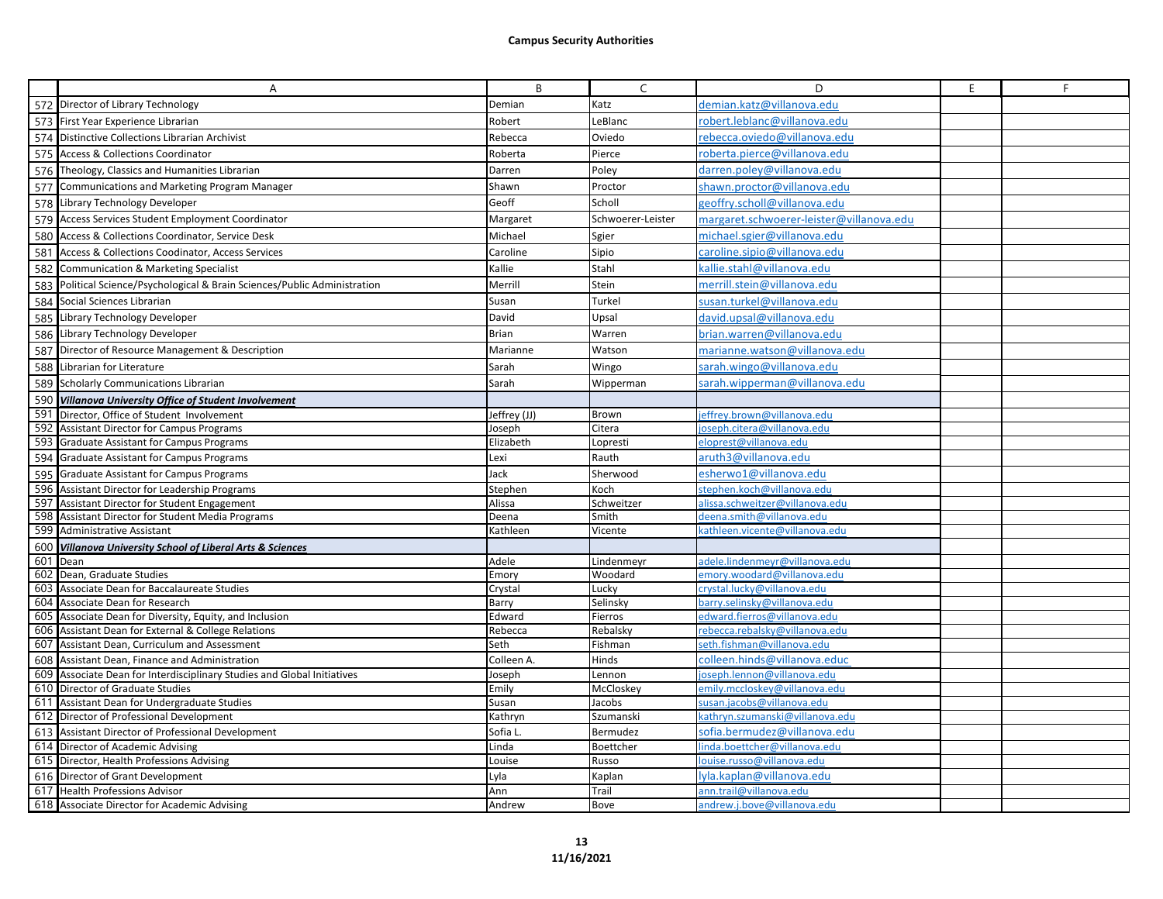|     | Α                                                                      | B                   | $\mathsf{C}$      | D                                                           | E. | F |
|-----|------------------------------------------------------------------------|---------------------|-------------------|-------------------------------------------------------------|----|---|
|     | 572 Director of Library Technology                                     | Demian              | Katz              | demian.katz@villanova.edu                                   |    |   |
|     | 573 First Year Experience Librarian                                    | Robert              | LeBlanc           | robert.leblanc@villanova.edu                                |    |   |
|     | 574 Distinctive Collections Librarian Archivist                        | Rebecca             | Oviedo            | rebecca.oviedo@villanova.edu                                |    |   |
| 575 | Access & Collections Coordinator                                       | Roberta             | Pierce            | roberta.pierce@villanova.edu                                |    |   |
|     | 576 Theology, Classics and Humanities Librarian                        | Darren              | Poley             | darren.poley@villanova.edu                                  |    |   |
|     | 577 Communications and Marketing Program Manager                       | Shawn               | Proctor           | shawn.proctor@villanova.edu                                 |    |   |
|     | 578 Library Technology Developer                                       | Geoff               | Scholl            | geoffry.scholl@villanova.edu                                |    |   |
|     | 579 Access Services Student Employment Coordinator                     | Margaret            | Schwoerer-Leister | margaret.schwoerer-leister@villanova.edu                    |    |   |
| 580 | Access & Collections Coordinator, Service Desk                         | Michael             | Sgier             | michael.sgier@villanova.edu                                 |    |   |
| 581 | Access & Collections Coodinator, Access Services                       | Caroline            | Sipio             | caroline.sipio@villanova.edu                                |    |   |
| 582 | Communication & Marketing Specialist                                   | Kallie              | Stahl             | callie.stahl@villanova.edu                                  |    |   |
| 583 | Political Science/Psychological & Brain Sciences/Public Administration | Merrill             | Stein             | merrill.stein@villanova.edu                                 |    |   |
| 584 | Social Sciences Librarian                                              | Susan               | Turkel            | susan.turkel@villanova.edu                                  |    |   |
|     | 585 Library Technology Developer                                       | David               | Upsal             | david.upsal@villanova.edu                                   |    |   |
|     | 586 Library Technology Developer                                       | Brian               | Warren            | brian.warren@villanova.edu                                  |    |   |
|     | 587 Director of Resource Management & Description                      | Marianne            | Watson            | marianne.watson@villanova.edu                               |    |   |
|     | Librarian for Literature                                               | Sarah               | Wingo             | sarah.wingo@villanova.edu                                   |    |   |
| 588 | 589 Scholarly Communications Librarian                                 | Sarah               |                   | sarah.wipperman@villanova.edu                               |    |   |
|     |                                                                        |                     | Wipperman         |                                                             |    |   |
| 591 | 590 Villanova University Office of Student Involvement                 |                     |                   |                                                             |    |   |
| 592 | Director, Office of Student Involvement                                | Jeffrey (JJ)        | Brown<br>Citera   | effrey.brown@villanova.edu<br>ioseph.citera@villanova.edu   |    |   |
|     | <b>Assistant Director for Campus Programs</b>                          | Joseph<br>Elizabeth | Lopresti          | eloprest@villanova.edu                                      |    |   |
|     | 593 Graduate Assistant for Campus Programs                             |                     | Rauth             | aruth3@villanova.edu                                        |    |   |
| 594 | Graduate Assistant for Campus Programs                                 | Lexi                |                   |                                                             |    |   |
| 595 | Graduate Assistant for Campus Programs                                 | Jack                | Sherwood          | esherwo1@villanova.edu                                      |    |   |
| 596 | Assistant Director for Leadership Programs                             | Stephen             | Koch              | stephen.koch@villanova.edu                                  |    |   |
| 597 | Assistant Director for Student Engagement                              | Alissa              | Schweitzer        | alissa.schweitzer@villanova.edu                             |    |   |
| 598 | Assistant Director for Student Media Programs                          | Deena               | Smith             | deena.smith@villanova.edu<br>kathleen.vicente@villanova.edu |    |   |
|     | 599 Administrative Assistant                                           | Kathleen            | Vicente           |                                                             |    |   |
|     | 600 Villanova University School of Liberal Arts & Sciences<br>601 Dean | Adele               | Lindenmeyr        | adele.lindenmeyr@villanova.edu                              |    |   |
|     | 602 Dean, Graduate Studies                                             | Emory               | Woodard           | emory.woodard@yillanova.edu                                 |    |   |
| 603 | Associate Dean for Baccalaureate Studies                               | Crystal             | Lucky             | crystal.lucky@villanova.edu                                 |    |   |
| 604 | Associate Dean for Research                                            | Barry               | Selinsky          | barry.selinsky@villanova.edu                                |    |   |
|     | 605 Associate Dean for Diversity, Equity, and Inclusion                | Edward              | Fierros           | edward.fierros@villanova.edu                                |    |   |
|     | 606 Assistant Dean for External & College Relations                    | Rebecca             | Rebalsky          | rebecca.rebalsky@villanova.edu                              |    |   |
| 607 | Assistant Dean, Curriculum and Assessment                              | Seth                | Fishman           | seth.fishman@villanova.edu                                  |    |   |
| 608 | Assistant Dean, Finance and Administration                             | Colleen A.          | Hinds             | colleen.hinds@villanova.educ                                |    |   |
| 609 | Associate Dean for Interdisciplinary Studies and Global Initiatives    | loseph              | Lennon            | oseph.lennon@villanova.edu                                  |    |   |
|     | 610 Director of Graduate Studies                                       | Emily               | McCloskey         | emily.mccloskey@villanova.edu                               |    |   |
|     | 611 Assistant Dean for Undergraduate Studies                           | Susan               | Jacobs            | susan.jacobs@villanova.edu                                  |    |   |
|     | 612 Director of Professional Development                               | Kathryn             | Szumanski         | kathryn.szumanski@villanova.edu                             |    |   |
| 613 | Assistant Director of Professional Development                         | Sofia L             | Bermudez          | sofia.bermudez@villanova.edu                                |    |   |
|     | 614 Director of Academic Advising                                      | Linda               | Boettcher         | inda.boettcher@villanova.edu                                |    |   |
|     | 615 Director, Health Professions Advising                              | Louise              | Russo             | ouise.russo@villanova.edu                                   |    |   |
| 616 | Director of Grant Development                                          | Lyla                | Kaplan            | lyla.kaplan@villanova.edu                                   |    |   |
|     | 617 Health Professions Advisor                                         | Ann                 | Trail             | ann.trail@villanova.edu                                     |    |   |
|     | 618 Associate Director for Academic Advising                           | Andrew              | <b>Bove</b>       | andrew.i.bove@villanova.edu                                 |    |   |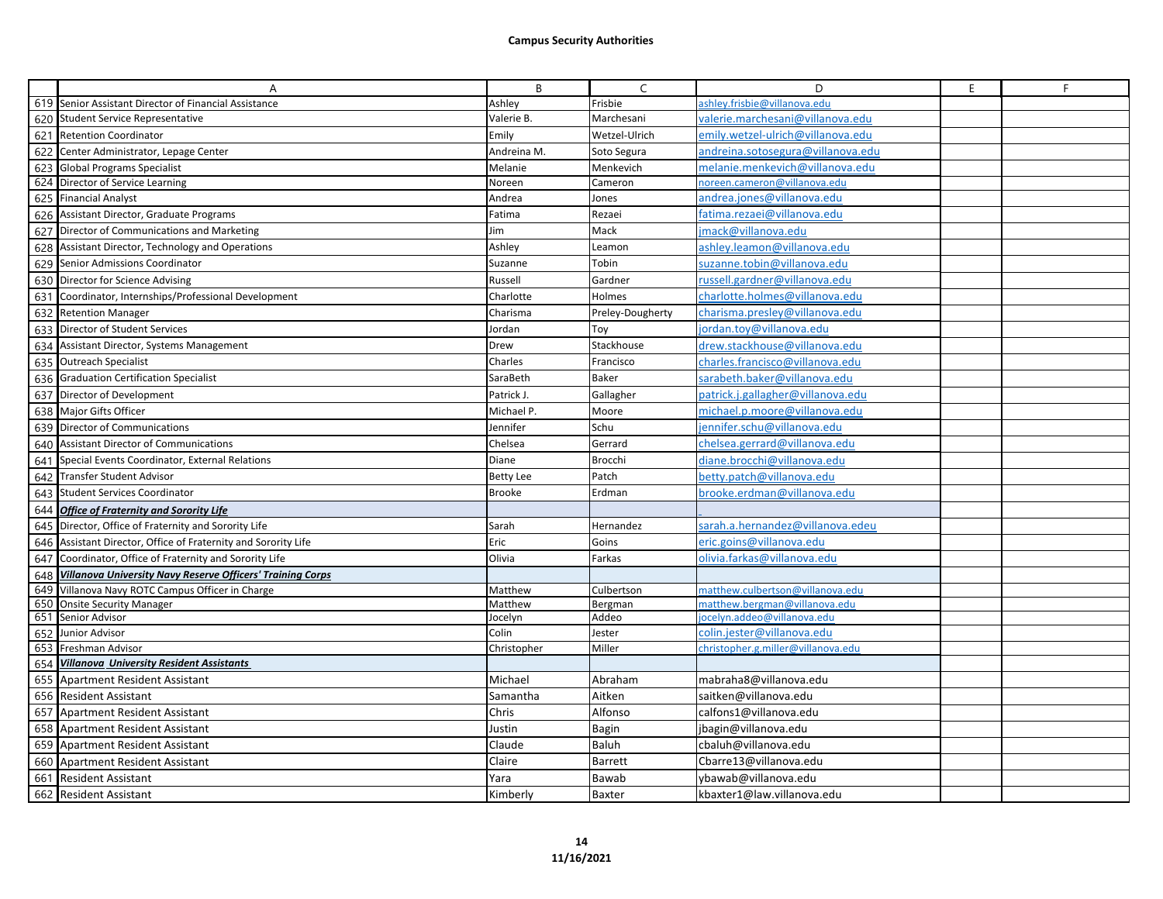|     | A                                                                    | B             | $\mathsf{C}$     | D                                  | E | F |
|-----|----------------------------------------------------------------------|---------------|------------------|------------------------------------|---|---|
|     | 619 Senior Assistant Director of Financial Assistance                | Ashley        | Frisbie          | ashley.frisbie@villanova.edu       |   |   |
|     | 620 Student Service Representative                                   | Valerie B.    | Marchesani       | valerie.marchesani@villanova.edu   |   |   |
|     | 621 Retention Coordinator                                            | Emily         | Wetzel-Ulrich    | emily.wetzel-ulrich@villanova.edu  |   |   |
|     | 622 Center Administrator, Lepage Center                              | Andreina M.   | Soto Segura      | andreina.sotosegura@villanova.edu  |   |   |
|     | 623 Global Programs Specialist                                       | Melanie       | Menkevich        | melanie.menkevich@villanova.edu    |   |   |
|     | 624 Director of Service Learning                                     | Noreen        | Cameron          | noreen.cameron@villanova.edu       |   |   |
|     | 625 Financial Analyst                                                | Andrea        | Jones            | andrea.jones@villanova.edu         |   |   |
|     | 626 Assistant Director, Graduate Programs                            | Fatima        | Rezaei           | fatima.rezaei@villanova.edu        |   |   |
|     | 627 Director of Communications and Marketing                         | Jim           | Mack             | mack@villanova.edu                 |   |   |
|     | 628 Assistant Director, Technology and Operations                    | Ashley        | Leamon           | ashley.leamon@villanova.edu        |   |   |
|     | 629 Senior Admissions Coordinator                                    | Suzanne       | Tobin            | suzanne.tobin@villanova.edu        |   |   |
|     | 630 Director for Science Advising                                    | Russell       | Gardner          | russell.gardner@villanova.edu      |   |   |
|     | 631 Coordinator, Internships/Professional Development                | Charlotte     | Holmes           | charlotte.holmes@villanova.edu     |   |   |
|     | 632 Retention Manager                                                | Charisma      | Preley-Dougherty | charisma.presley@villanova.edu     |   |   |
|     | 633 Director of Student Services                                     | Jordan        | Toy              | jordan.toy@villanova.edu           |   |   |
|     | 634 Assistant Director, Systems Management                           | Drew          | Stackhouse       | drew.stackhouse@villanova.edu      |   |   |
|     | 635 Outreach Specialist                                              | Charles       | Francisco        | charles.francisco@villanova.edu    |   |   |
|     | 636 Graduation Certification Specialist                              | SaraBeth      | <b>Baker</b>     | sarabeth.baker@villanova.edu       |   |   |
|     | 637 Director of Development                                          | Patrick J.    | Gallagher        | patrick.j.gallagher@villanova.edu  |   |   |
|     | 638 Major Gifts Officer                                              | Michael P.    | Moore            | michael.p.moore@villanova.edu      |   |   |
|     | 639 Director of Communications                                       | Jennifer      | Schu             | ennifer.schu@villanova.edu         |   |   |
| 640 | Assistant Director of Communications                                 | Chelsea       | Gerrard          | chelsea.gerrard@villanova.edu      |   |   |
| 641 | Special Events Coordinator, External Relations                       | Diane         | <b>Brocchi</b>   | diane.brocchi@villanova.edu        |   |   |
| 642 | Transfer Student Advisor                                             | Betty Lee     | Patch            | betty.patch@villanova.edu          |   |   |
|     | 643 Student Services Coordinator                                     | <b>Brooke</b> | Erdman           | orooke.erdman@villanova.edu        |   |   |
|     | 644 Office of Fraternity and Sorority Life                           |               |                  |                                    |   |   |
|     | 645 Director, Office of Fraternity and Sorority Life                 | Sarah         | Hernandez        | sarah.a.hernandez@villanova.edeu   |   |   |
|     | 646 Assistant Director, Office of Fraternity and Sorority Life       | Eric          | Goins            | eric.goins@villanova.edu           |   |   |
| 647 | Coordinator, Office of Fraternity and Sorority Life                  | Olivia        | Farkas           | plivia.farkas@villanova.edu        |   |   |
| 648 | Villanova University Navy Reserve Officers' Training Corps           |               |                  |                                    |   |   |
| 649 | Villanova Navy ROTC Campus Officer in Charge                         | Matthew       | Culbertson       | matthew.culbertson@villanova.edu   |   |   |
|     | 650 Onsite Security Manager                                          | Matthew       | Bergman          | matthew.bergman@villanova.edu      |   |   |
|     | 651 Senior Advisor                                                   | Jocelyn       | Addeo            | ocelyn.addeo@villanova.edu         |   |   |
|     | 652 Junior Advisor                                                   | Colin         | Jester<br>Miller | colin.iester@villanova.edu         |   |   |
|     | 653 Freshman Advisor<br>654 Villanova University Resident Assistants | Christopher   |                  | christopher.g.miller@villanova.edu |   |   |
|     | 655 Apartment Resident Assistant                                     | Michael       | Abraham          | mabraha8@villanova.edu             |   |   |
|     | 656 Resident Assistant                                               | Samantha      | Aitken           | saitken@villanova.edu              |   |   |
|     | 657 Apartment Resident Assistant                                     | Chris         | Alfonso          | calfons1@villanova.edu             |   |   |
|     | 658 Apartment Resident Assistant                                     | Justin        | Bagin            | jbagin@villanova.edu               |   |   |
|     | 659 Apartment Resident Assistant                                     | Claude        | Baluh            | cbaluh@villanova.edu               |   |   |
| 660 | Apartment Resident Assistant                                         | Claire        | Barrett          | Cbarre13@villanova.edu             |   |   |
|     | 661 Resident Assistant                                               | Yara          | Bawab            | ybawab@villanova.edu               |   |   |
|     | 662 Resident Assistant                                               |               | Baxter           | kbaxter1@law.villanova.edu         |   |   |
|     |                                                                      | Kimberly      |                  |                                    |   |   |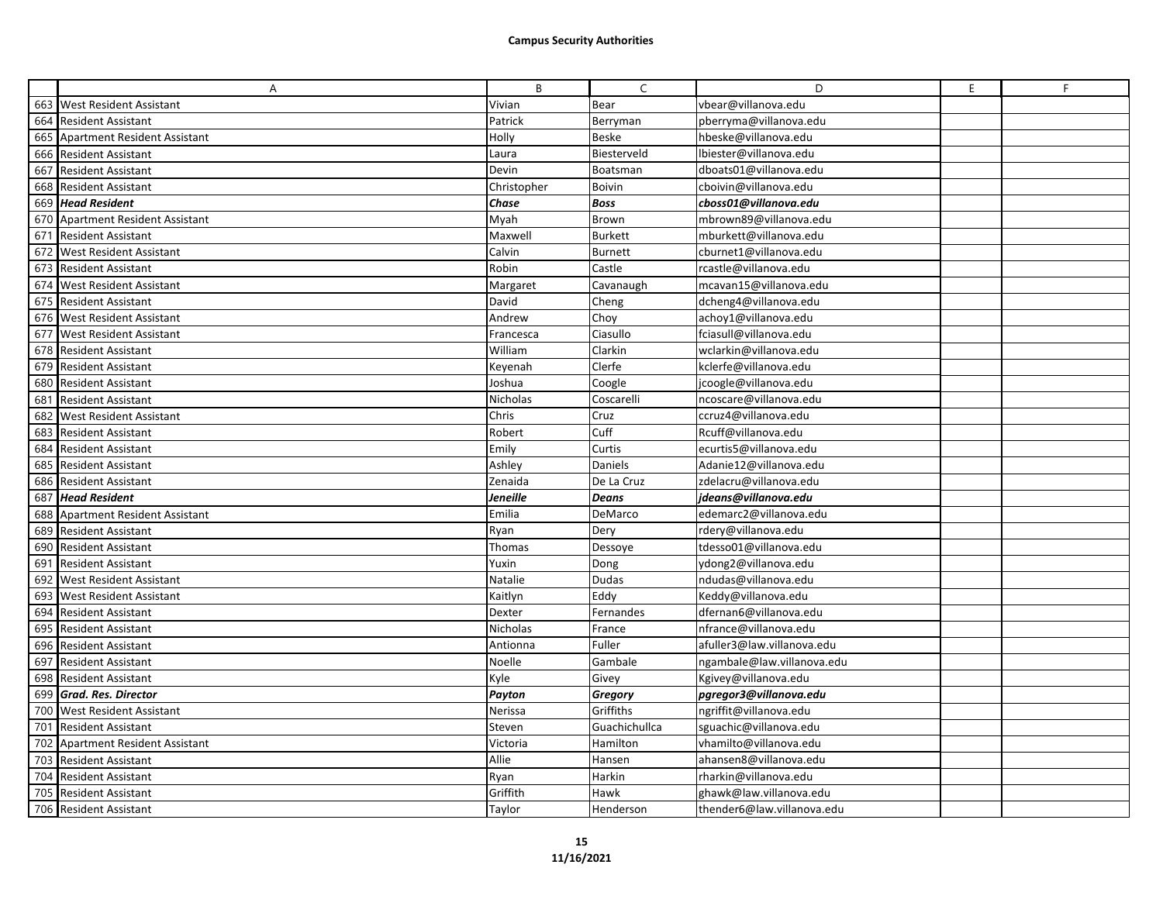|     | A                                   | B           | C              | D                          | $\mathsf E$ | F |
|-----|-------------------------------------|-------------|----------------|----------------------------|-------------|---|
|     | 663 West Resident Assistant         | Vivian      | Bear           | vbear@villanova.edu        |             |   |
|     | 664 Resident Assistant              | Patrick     | Berryman       | pberryma@villanova.edu     |             |   |
|     | 665 Apartment Resident Assistant    | Holly       | <b>Beske</b>   | hbeske@villanova.edu       |             |   |
|     | 666 Resident Assistant              | Laura       | Biesterveld    | lbiester@villanova.edu     |             |   |
|     | 667 Resident Assistant              | Devin       | Boatsman       | dboats01@villanova.edu     |             |   |
| 668 | <b>Resident Assistant</b>           | Christopher | Boivin         | cboivin@villanova.edu      |             |   |
| 669 | <b>Head Resident</b>                | Chase       | <b>Boss</b>    | cboss01@villanova.edu      |             |   |
| 670 | <b>Apartment Resident Assistant</b> | Myah        | Brown          | mbrown89@villanova.edu     |             |   |
| 671 | <b>Resident Assistant</b>           | Maxwell     | <b>Burkett</b> | mburkett@villanova.edu     |             |   |
| 672 | <b>West Resident Assistant</b>      | Calvin      | <b>Burnett</b> | cburnet1@villanova.edu     |             |   |
|     | 673 Resident Assistant              | Robin       | Castle         | rcastle@villanova.edu      |             |   |
|     | 674 West Resident Assistant         | Margaret    | Cavanaugh      | mcavan15@villanova.edu     |             |   |
|     | 675 Resident Assistant              | David       | Cheng          | dcheng4@villanova.edu      |             |   |
|     | 676 West Resident Assistant         | Andrew      | Choy           | achoy1@villanova.edu       |             |   |
|     | 677 West Resident Assistant         | Francesca   | Ciasullo       | fciasull@villanova.edu     |             |   |
|     | 678 Resident Assistant              | William     | Clarkin        | wclarkin@villanova.edu     |             |   |
|     | 679 Resident Assistant              | Keyenah     | Clerfe         | kclerfe@villanova.edu      |             |   |
| 680 | <b>Resident Assistant</b>           | Joshua      | Coogle         | jcoogle@villanova.edu      |             |   |
| 681 | <b>Resident Assistant</b>           | Nicholas    | Coscarelli     | ncoscare@villanova.edu     |             |   |
|     | 682 West Resident Assistant         | Chris       | Cruz           | ccruz4@villanova.edu       |             |   |
|     | 683 Resident Assistant              | Robert      | Cuff           | Rcuff@villanova.edu        |             |   |
| 684 | <b>Resident Assistant</b>           | Emily       | Curtis         | ecurtis5@villanova.edu     |             |   |
|     | 685 Resident Assistant              | Ashley      | Daniels        | Adanie12@villanova.edu     |             |   |
|     | 686 Resident Assistant              | Zenaida     | De La Cruz     | zdelacru@villanova.edu     |             |   |
| 687 | <b>Head Resident</b>                | Jeneille    | <b>Deans</b>   | jdeans@villanova.edu       |             |   |
| 688 | Apartment Resident Assistant        | Emilia      | DeMarco        | edemarc2@villanova.edu     |             |   |
| 689 | <b>Resident Assistant</b>           | Ryan        | Dery           | rdery@villanova.edu        |             |   |
| 690 | <b>Resident Assistant</b>           | Thomas      | Dessoye        | tdesso01@villanova.edu     |             |   |
|     | 691 Resident Assistant              | Yuxin       | Dong           | ydong2@villanova.edu       |             |   |
|     | 692 West Resident Assistant         | Natalie     | Dudas          | ndudas@villanova.edu       |             |   |
| 693 | <b>West Resident Assistant</b>      | Kaitlyn     | Eddy           | Keddy@villanova.edu        |             |   |
| 694 | <b>Resident Assistant</b>           | Dexter      | Fernandes      | dfernan6@villanova.edu     |             |   |
|     | 695 Resident Assistant              | Nicholas    | France         | nfrance@villanova.edu      |             |   |
| 696 | <b>Resident Assistant</b>           | Antionna    | Fuller         | afuller3@law.villanova.edu |             |   |
| 697 | <b>Resident Assistant</b>           | Noelle      | Gambale        | ngambale@law.villanova.edu |             |   |
|     | 698 Resident Assistant              | Kyle        | Givey          | Kgivey@villanova.edu       |             |   |
| 699 | <b>Grad. Res. Director</b>          | Payton      | Gregory        | paregor3@villanova.edu     |             |   |
|     | 700 West Resident Assistant         | Nerissa     | Griffiths      | ngriffit@villanova.edu     |             |   |
|     | 701 Resident Assistant              | Steven      | Guachichullca  | sguachic@villanova.edu     |             |   |
| 702 | <b>Apartment Resident Assistant</b> | Victoria    | Hamilton       | vhamilto@villanova.edu     |             |   |
| 703 | <b>Resident Assistant</b>           | Allie       | Hansen         | ahansen8@villanova.edu     |             |   |
|     | 704 Resident Assistant              | Ryan        | Harkin         | rharkin@villanova.edu      |             |   |
| 705 | <b>Resident Assistant</b>           | Griffith    | Hawk           | ghawk@law.villanova.edu    |             |   |
|     | 706 Resident Assistant              | Taylor      | Henderson      | thender6@law.villanova.edu |             |   |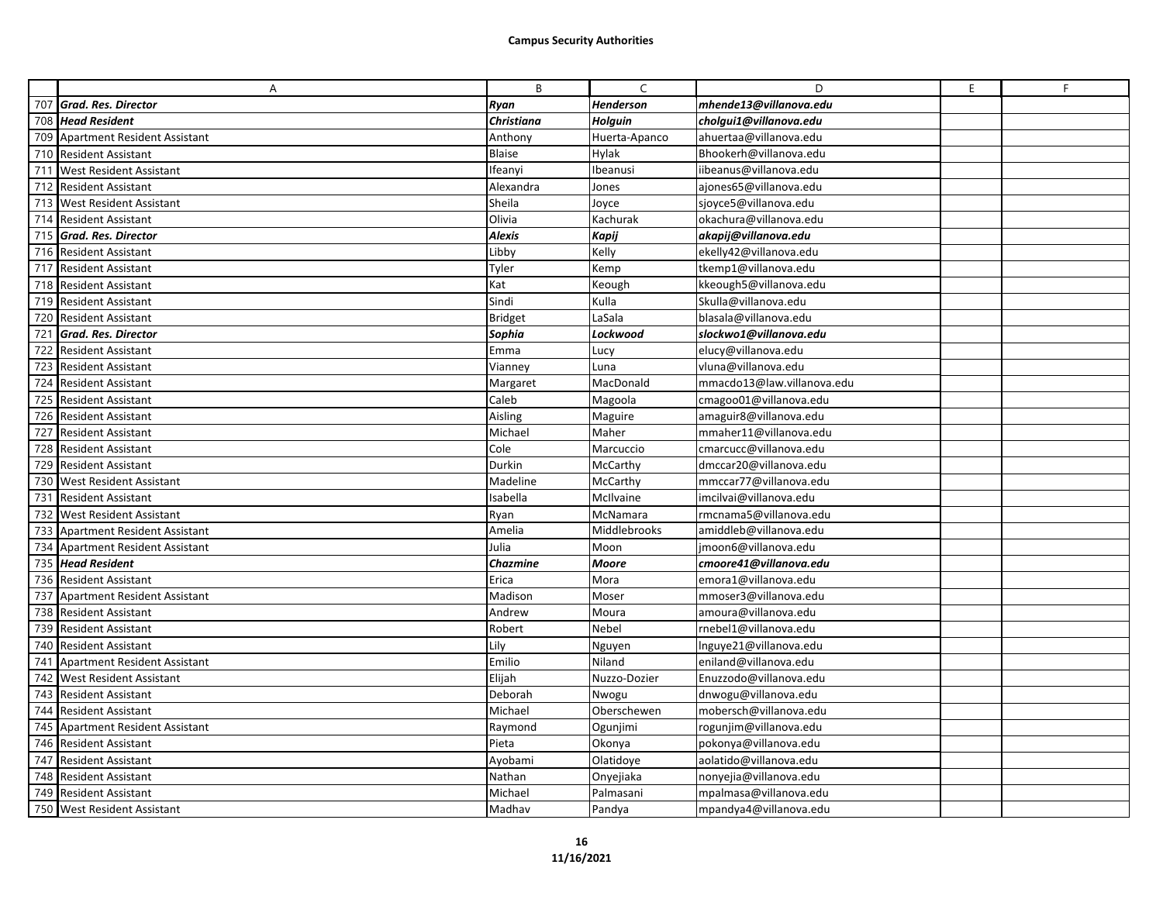|     | Α                                   | B              | C                | D                          | E | F |
|-----|-------------------------------------|----------------|------------------|----------------------------|---|---|
|     | 707 Grad. Res. Director             | Ryan           | <b>Henderson</b> | mhende13@villanova.edu     |   |   |
| 708 | <b>Head Resident</b>                | Christiana     | Holguin          | cholgui1@villanova.edu     |   |   |
| 709 | Apartment Resident Assistant        | Anthony        | Huerta-Apanco    | ahuertaa@villanova.edu     |   |   |
| 710 | <b>Resident Assistant</b>           | <b>Blaise</b>  | Hylak            | Bhookerh@villanova.edu     |   |   |
| 711 | <b>West Resident Assistant</b>      | Ifeanyi        | Ibeanusi         | iibeanus@villanova.edu     |   |   |
| 712 | <b>Resident Assistant</b>           | Alexandra      | Jones            | ajones65@villanova.edu     |   |   |
| 713 | <b>West Resident Assistant</b>      | Sheila         | Joyce            | sjoyce5@villanova.edu      |   |   |
|     | 714 Resident Assistant              | Olivia         | Kachurak         | okachura@villanova.edu     |   |   |
|     | 715 Grad. Res. Director             | <b>Alexis</b>  | <b>Kapij</b>     | akapij@villanova.edu       |   |   |
| 716 | <b>Resident Assistant</b>           | Libby          | Kelly            | ekelly42@villanova.edu     |   |   |
| 717 | <b>Resident Assistant</b>           | Tyler          | Kemp             | tkemp1@villanova.edu       |   |   |
|     | 718 Resident Assistant              | Kat            | Keough           | kkeough5@villanova.edu     |   |   |
| 719 | <b>Resident Assistant</b>           | Sindi          | Kulla            | Skulla@villanova.edu       |   |   |
|     | 720 Resident Assistant              | <b>Bridget</b> | LaSala           | blasala@villanova.edu      |   |   |
| 721 | Grad. Res. Director                 | Sophia         | Lockwood         | slockwo1@villanova.edu     |   |   |
| 722 | <b>Resident Assistant</b>           | Emma           | Lucy             | elucy@villanova.edu        |   |   |
| 723 | <b>Resident Assistant</b>           | Vianney        | Luna             | vluna@villanova.edu        |   |   |
|     | 724 Resident Assistant              | Margaret       | MacDonald        | mmacdo13@law.villanova.edu |   |   |
| 725 | <b>Resident Assistant</b>           | Caleb          | Magoola          | cmagoo01@villanova.edu     |   |   |
|     | 726 Resident Assistant              | Aisling        | Maguire          | amaguir8@villanova.edu     |   |   |
|     | 727 Resident Assistant              | Michael        | Maher            | mmaher11@villanova.edu     |   |   |
| 728 | <b>Resident Assistant</b>           | Cole           | Marcuccio        | cmarcucc@villanova.edu     |   |   |
|     | 729 Resident Assistant              | Durkin         | McCarthy         | dmccar20@villanova.edu     |   |   |
| 730 | <b>West Resident Assistant</b>      | Madeline       | McCarthy         | mmccar77@villanova.edu     |   |   |
| 731 | <b>Resident Assistant</b>           | sabella        | McIlvaine        | imcilvai@villanova.edu     |   |   |
|     | 732 West Resident Assistant         | Ryan           | McNamara         | rmcnama5@villanova.edu     |   |   |
| 733 | <b>Apartment Resident Assistant</b> | Amelia         | Middlebrooks     | amiddleb@villanova.edu     |   |   |
| 734 | Apartment Resident Assistant        | Julia          | Moon             | jmoon6@villanova.edu       |   |   |
|     | 735 Head Resident                   | Chazmine       | <b>Moore</b>     | cmoore41@villanova.edu     |   |   |
|     | 736 Resident Assistant              | Erica          | Mora             | emora1@villanova.edu       |   |   |
| 737 | Apartment Resident Assistant        | Madison        | Moser            | mmoser3@villanova.edu      |   |   |
|     | 738 Resident Assistant              | Andrew         | Moura            | amoura@villanova.edu       |   |   |
| 739 | <b>Resident Assistant</b>           | Robert         | Nebel            | rnebel1@villanova.edu      |   |   |
| 740 | <b>Resident Assistant</b>           | Lily           | Nguyen           | Inguye21@villanova.edu     |   |   |
| 741 | <b>Apartment Resident Assistant</b> | Emilio         | Niland           | eniland@villanova.edu      |   |   |
| 742 | <b>West Resident Assistant</b>      | Elijah         | Nuzzo-Dozier     | Enuzzodo@villanova.edu     |   |   |
| 743 | <b>Resident Assistant</b>           | Deborah        | Nwogu            | dnwogu@villanova.edu       |   |   |
| 744 | <b>Resident Assistant</b>           | Michael        | Oberschewen      | mobersch@villanova.edu     |   |   |
| 745 | <b>Apartment Resident Assistant</b> | Raymond        | Ogunjimi         | rogunjim@villanova.edu     |   |   |
| 746 | <b>Resident Assistant</b>           | Pieta          | Okonya           | pokonya@villanova.edu      |   |   |
| 747 | <b>Resident Assistant</b>           | Ayobami        | Olatidoye        | aolatido@villanova.edu     |   |   |
| 748 | <b>Resident Assistant</b>           | Nathan         | Onyejiaka        | nonyejia@villanova.edu     |   |   |
| 749 | <b>Resident Assistant</b>           | Michael        | Palmasani        | mpalmasa@villanova.edu     |   |   |
|     | 750 West Resident Assistant         | Madhav         | Pandya           | mpandya4@villanova.edu     |   |   |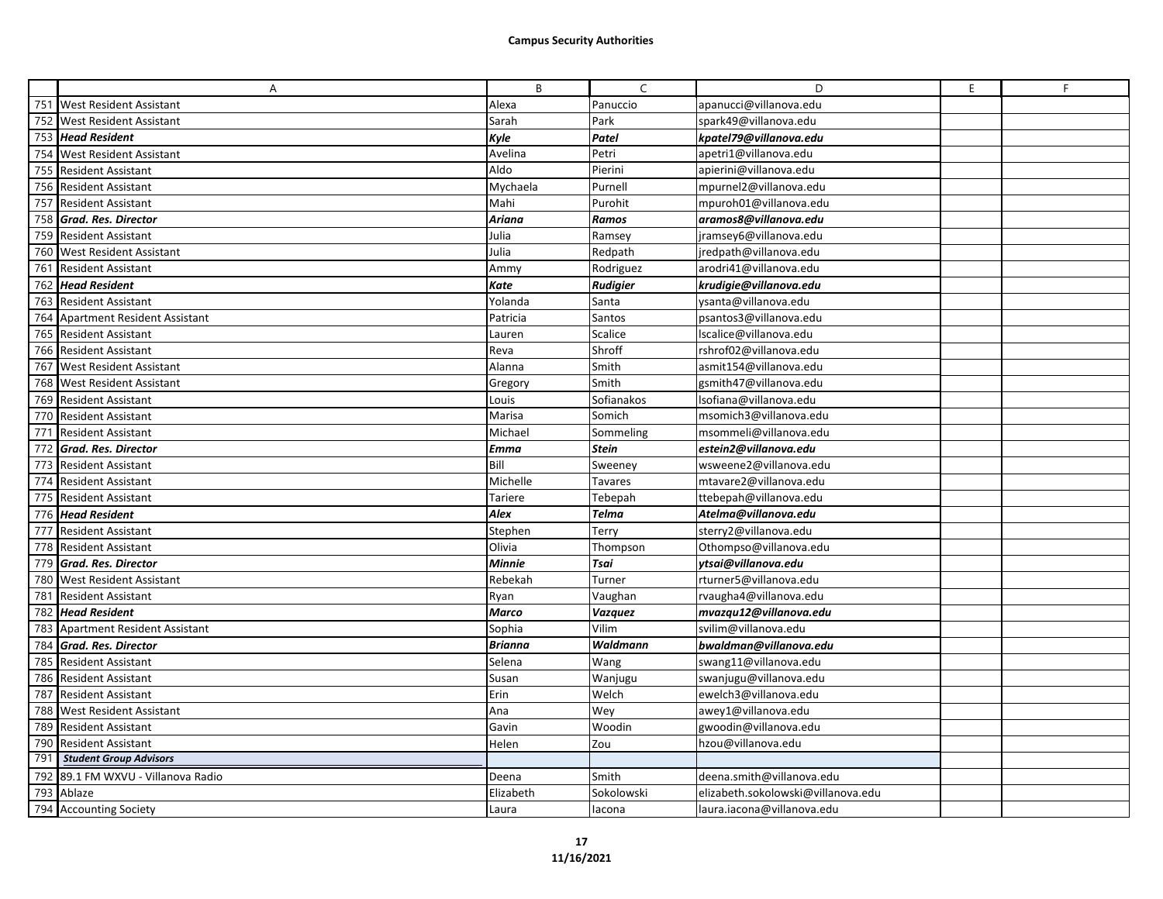|     | A                                | B              | $\mathsf{C}$    | D                                  | E | F. |
|-----|----------------------------------|----------------|-----------------|------------------------------------|---|----|
|     | 751 West Resident Assistant      | Alexa          | Panuccio        | apanucci@villanova.edu             |   |    |
|     | 752 West Resident Assistant      | Sarah          | Park            | spark49@villanova.edu              |   |    |
|     | 753 Head Resident                | Kyle           | Patel           | kpatel79@villanova.edu             |   |    |
| 754 | <b>West Resident Assistant</b>   | Avelina        | Petri           | apetri1@villanova.edu              |   |    |
| 755 | <b>Resident Assistant</b>        | Aldo           | Pierini         | apierini@villanova.edu             |   |    |
|     | 756 Resident Assistant           | Mychaela       | Purnell         | mpurnel2@villanova.edu             |   |    |
|     | 757 Resident Assistant           | Mahi           | Purohit         | mpuroh01@villanova.edu             |   |    |
|     | 758 Grad. Res. Director          | Ariana         | Ramos           | aramos8@villanova.edu              |   |    |
|     | 759 Resident Assistant           | Julia          | Ramsey          | jramsey6@villanova.edu             |   |    |
| 760 | <b>West Resident Assistant</b>   | Julia          | Redpath         | jredpath@villanova.edu             |   |    |
|     | 761 Resident Assistant           | Ammy           | Rodriguez       | arodri41@villanova.edu             |   |    |
|     | 762 Head Resident                | Kate           | <b>Rudigier</b> | krudigie@villanova.edu             |   |    |
|     | 763 Resident Assistant           | Yolanda        | Santa           | ysanta@villanova.edu               |   |    |
|     | 764 Apartment Resident Assistant | Patricia       | Santos          | psantos3@villanova.edu             |   |    |
|     | 765 Resident Assistant           | Lauren         | Scalice         | Iscalice@villanova.edu             |   |    |
|     | 766 Resident Assistant           | Reva           | Shroff          | rshrof02@villanova.edu             |   |    |
|     | 767 West Resident Assistant      | Alanna         | Smith           | asmit154@villanova.edu             |   |    |
|     | 768 West Resident Assistant      | Gregory        | Smith           | gsmith47@villanova.edu             |   |    |
|     | 769 Resident Assistant           | Louis          | Sofianakos      | lsofiana@villanova.edu             |   |    |
|     | 770 Resident Assistant           | Marisa         | Somich          | msomich3@villanova.edu             |   |    |
| 771 | <b>Resident Assistant</b>        | Michael        | Sommeling       | msommeli@villanova.edu             |   |    |
| 772 | Grad. Res. Director              | Emma           | <b>Stein</b>    | estein2@villanova.edu              |   |    |
|     | 773 Resident Assistant           | Bill           | Sweeney         | wsweene2@villanova.edu             |   |    |
|     | 774 Resident Assistant           | Michelle       | <b>Tavares</b>  | mtavare2@villanova.edu             |   |    |
|     | 775 Resident Assistant           | Tariere        | Tebepah         | ttebepah@villanova.edu             |   |    |
|     | 776 Head Resident                | Alex           | <b>Telma</b>    | Atelma@villanova.edu               |   |    |
| 777 | <b>Resident Assistant</b>        | Stephen        | Terry           | sterry2@villanova.edu              |   |    |
|     | 778 Resident Assistant           | Olivia         | Thompson        | Othompso@villanova.edu             |   |    |
|     | 779 Grad. Res. Director          | <b>Minnie</b>  | Tsai            | ytsai@villanova.edu                |   |    |
| 780 | <b>West Resident Assistant</b>   | Rebekah        | Turner          | rturner5@villanova.edu             |   |    |
|     | 781 Resident Assistant           | Ryan           | Vaughan         | rvaugha4@villanova.edu             |   |    |
|     | 782 Head Resident                | Marco          | <b>Vazquez</b>  | mvazqu12@villanova.edu             |   |    |
| 783 | Apartment Resident Assistant     | Sophia         | Vilim           | svilim@villanova.edu               |   |    |
| 784 | <b>Grad. Res. Director</b>       | <b>Brianna</b> | Waldmann        | bwaldman@villanova.edu             |   |    |
|     | 785 Resident Assistant           | Selena         | Wang            | swang11@villanova.edu              |   |    |
| 786 | <b>Resident Assistant</b>        | Susan          | Wanjugu         | swanjugu@villanova.edu             |   |    |
|     | 787 Resident Assistant           | Erin           | Welch           | ewelch3@villanova.edu              |   |    |
|     | 788 West Resident Assistant      | Ana            | Wey             | awey1@villanova.edu                |   |    |
| 789 | <b>Resident Assistant</b>        | Gavin          | Woodin          | gwoodin@villanova.edu              |   |    |
| 790 | <b>Resident Assistant</b>        | Helen          | Zou             | hzou@villanova.edu                 |   |    |
| 791 | <b>Student Group Advisors</b>    |                |                 |                                    |   |    |
| 792 | 89.1 FM WXVU - Villanova Radio   | Deena          | Smith           | deena.smith@villanova.edu          |   |    |
| 793 | Ablaze                           | Elizabeth      | Sokolowski      | elizabeth.sokolowski@villanova.edu |   |    |
|     | 794 Accounting Society           | Laura          | lacona          | laura.iacona@villanova.edu         |   |    |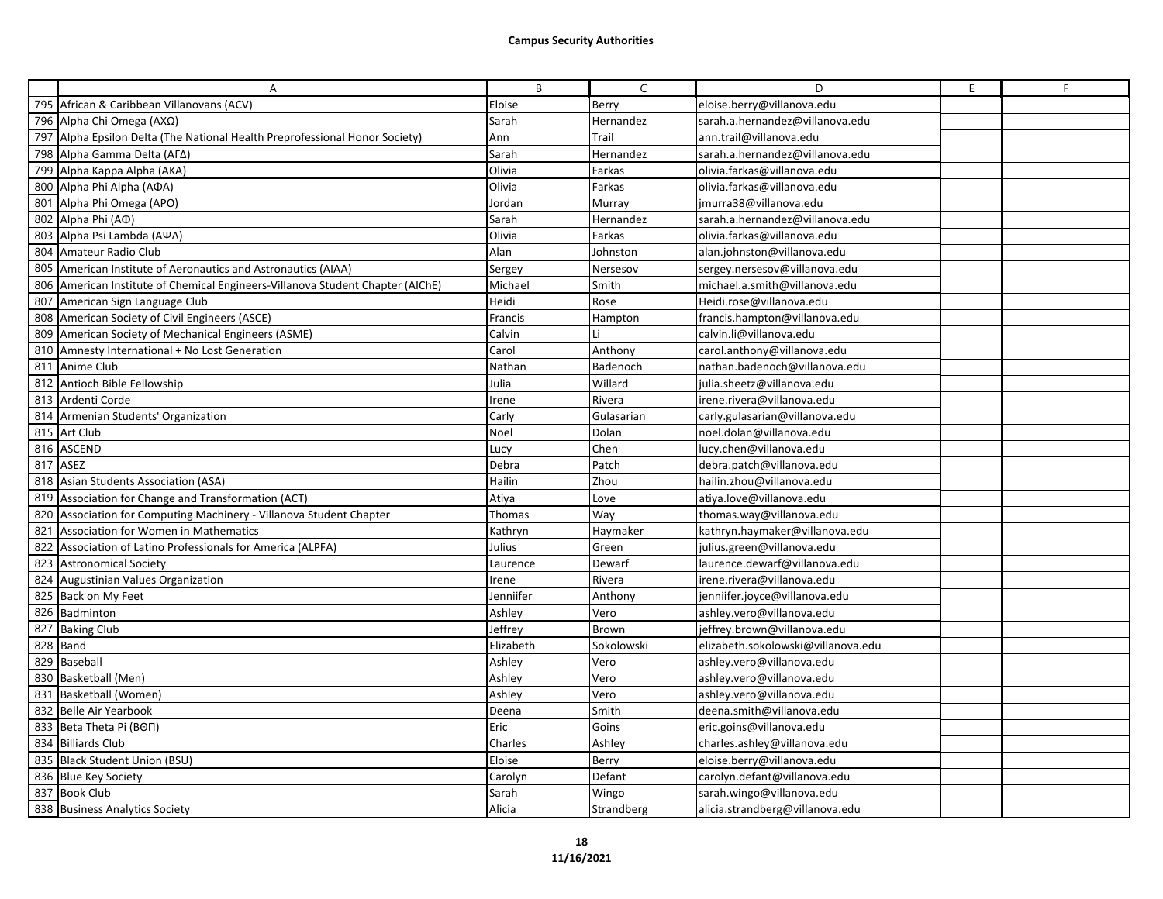|     | A                                                                              | B         | $\mathsf{C}$ | D                                  | E | F |
|-----|--------------------------------------------------------------------------------|-----------|--------------|------------------------------------|---|---|
|     | 795 African & Caribbean Villanovans (ACV)                                      | Eloise    | Berry        | eloise.berry@villanova.edu         |   |   |
|     | 796 Alpha Chi Omega (AXΩ)                                                      | Sarah     | Hernandez    | sarah.a.hernandez@villanova.edu    |   |   |
|     | 797 Alpha Epsilon Delta (The National Health Preprofessional Honor Society)    | Ann       | Trail        | ann.trail@villanova.edu            |   |   |
| 798 | Alpha Gamma Delta (AΓΔ)                                                        | Sarah     | Hernandez    | sarah.a.hernandez@villanova.edu    |   |   |
|     | 799 Alpha Kappa Alpha (AKA)                                                    | Olivia    | Farkas       | olivia.farkas@villanova.edu        |   |   |
|     | 800 Alpha Phi Alpha (AΦA)                                                      | Olivia    | Farkas       | olivia.farkas@villanova.edu        |   |   |
| 801 | Alpha Phi Omega (APO)                                                          | Jordan    | Murray       | jmurra38@villanova.edu             |   |   |
|     | 802 Alpha Phi (AΦ)                                                             | Sarah     | Hernandez    | sarah.a.hernandez@villanova.edu    |   |   |
| 803 | Alpha Psi Lambda (AWA)                                                         | Olivia    | Farkas       | olivia.farkas@villanova.edu        |   |   |
| 804 | Amateur Radio Club                                                             | Alan      | Johnston     | alan.johnston@villanova.edu        |   |   |
| 805 | American Institute of Aeronautics and Astronautics (AIAA)                      | Sergey    | Nersesov     | sergey.nersesov@villanova.edu      |   |   |
|     | 806 American Institute of Chemical Engineers-Villanova Student Chapter (AIChE) | Michael   | Smith        | michael.a.smith@villanova.edu      |   |   |
|     | 807 American Sign Language Club                                                | Heidi     | Rose         | Heidi.rose@villanova.edu           |   |   |
|     | 808 American Society of Civil Engineers (ASCE)                                 | Francis   | Hampton      | francis.hampton@villanova.edu      |   |   |
|     | 809 American Society of Mechanical Engineers (ASME)                            | Calvin    |              | calvin.li@villanova.edu            |   |   |
|     | 810 Amnesty International + No Lost Generation                                 | Carol     | Anthony      | carol.anthony@villanova.edu        |   |   |
|     | 811 Anime Club                                                                 | Nathan    | Badenoch     | nathan.badenoch@villanova.edu      |   |   |
| 812 | Antioch Bible Fellowship                                                       | Julia     | Willard      | julia.sheetz@villanova.edu         |   |   |
| 813 | Ardenti Corde                                                                  | rene      | Rivera       | irene.rivera@villanova.edu         |   |   |
|     | 814 Armenian Students' Organization                                            | Carly     | Gulasarian   | carly.gulasarian@villanova.edu     |   |   |
|     | 815 Art Club                                                                   | Noel      | Dolan        | noel.dolan@villanova.edu           |   |   |
|     | 816 ASCEND                                                                     | Lucy      | Chen         | lucy.chen@villanova.edu            |   |   |
|     | 817 ASEZ                                                                       | Debra     | Patch        | debra.patch@villanova.edu          |   |   |
|     | 818 Asian Students Association (ASA)                                           | Hailin    | Zhou         | hailin.zhou@villanova.edu          |   |   |
|     | 819 Association for Change and Transformation (ACT)                            | Atiya     | Love         | atiya.love@villanova.edu           |   |   |
|     | 820 Association for Computing Machinery - Villanova Student Chapter            | Thomas    | Way          | thomas.way@villanova.edu           |   |   |
| 821 | Association for Women in Mathematics                                           | Kathryn   | Haymaker     | kathryn.haymaker@villanova.edu     |   |   |
| 822 | Association of Latino Professionals for America (ALPFA)                        | Julius    | Green        | julius.green@villanova.edu         |   |   |
|     | 823 Astronomical Society                                                       | Laurence  | Dewarf       | laurence.dewarf@villanova.edu      |   |   |
|     | 824 Augustinian Values Organization                                            | Irene     | Rivera       | irene.rivera@villanova.edu         |   |   |
|     | 825 Back on My Feet                                                            | Jenniifer | Anthony      | jenniifer.joyce@villanova.edu      |   |   |
|     | 826 Badminton                                                                  | Ashley    | Vero         | ashley.vero@villanova.edu          |   |   |
|     | 827 Baking Club                                                                | Jeffrey   | Brown        | jeffrey.brown@villanova.edu        |   |   |
|     | 828 Band                                                                       | Elizabeth | Sokolowski   | elizabeth.sokolowski@villanova.edu |   |   |
|     | 829 Baseball                                                                   | Ashley    | Vero         | ashley.vero@villanova.edu          |   |   |
|     | 830 Basketball (Men)                                                           | Ashley    | Vero         | ashley.vero@villanova.edu          |   |   |
|     | 831 Basketball (Women)                                                         | Ashley    | Vero         | ashley.vero@villanova.edu          |   |   |
|     | 832 Belle Air Yearbook                                                         | Deena     | Smith        | deena.smith@villanova.edu          |   |   |
|     | 833 Beta Theta Pi (BON)                                                        | Eric      | Goins        | eric.goins@villanova.edu           |   |   |
|     | 834 Billiards Club                                                             | Charles   | Ashley       | charles.ashley@villanova.edu       |   |   |
|     | 835 Black Student Union (BSU)                                                  | Eloise    | Berry        | eloise.berry@villanova.edu         |   |   |
|     | 836 Blue Key Society                                                           | Carolyn   | Defant       | carolyn.defant@villanova.edu       |   |   |
|     | 837 Book Club                                                                  | Sarah     | Wingo        | sarah.wingo@villanova.edu          |   |   |
|     | 838 Business Analytics Society                                                 | Alicia    | Strandberg   | alicia.strandberg@villanova.edu    |   |   |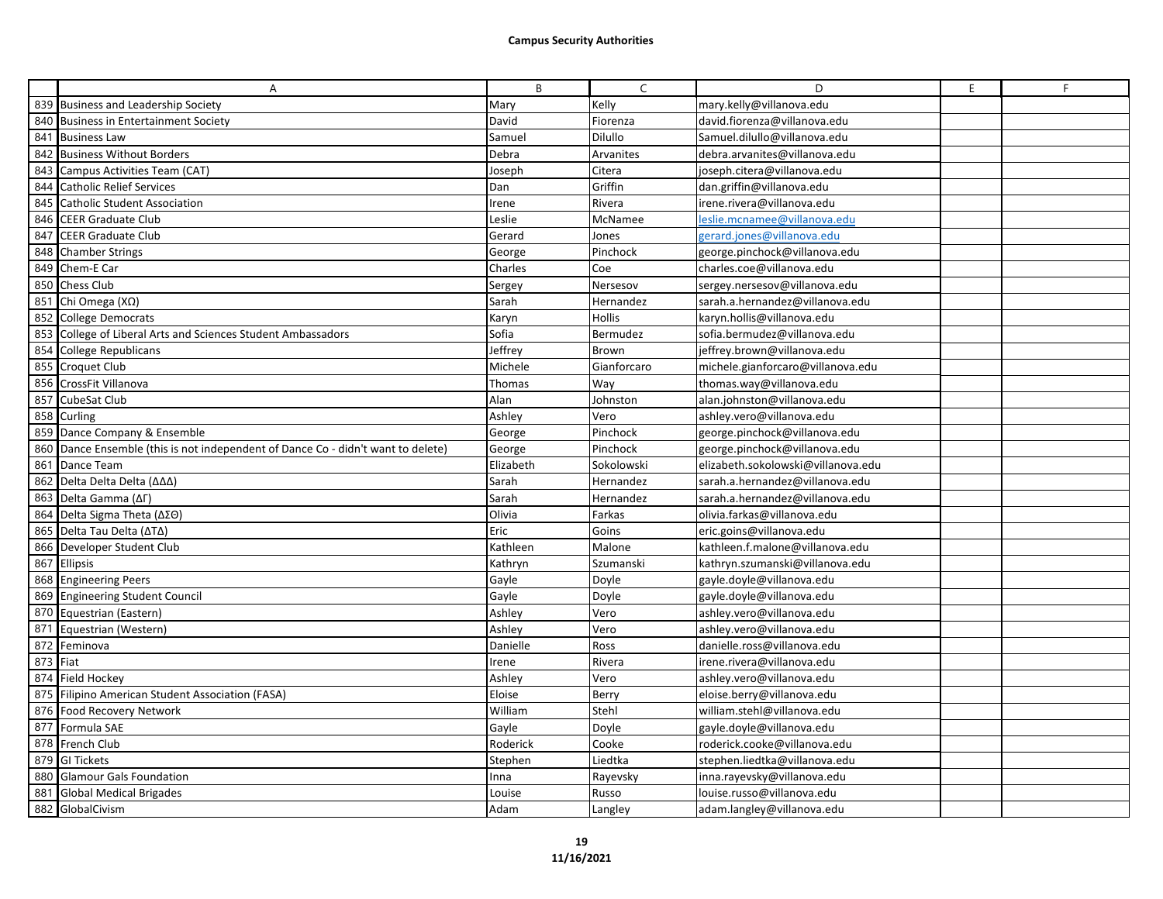|     | A                                                                                | B         | $\mathsf{C}$ | D                                  | E | F |
|-----|----------------------------------------------------------------------------------|-----------|--------------|------------------------------------|---|---|
|     | 839 Business and Leadership Society                                              | Mary      | Kelly        | mary.kelly@villanova.edu           |   |   |
|     | 840 Business in Entertainment Society                                            | David     | Fiorenza     | david.fiorenza@villanova.edu       |   |   |
|     | 841 Business Law                                                                 | Samuel    | Dilullo      | Samuel.dilullo@villanova.edu       |   |   |
|     | 842 Business Without Borders                                                     | Debra     | Arvanites    | debra.arvanites@villanova.edu      |   |   |
|     | 843 Campus Activities Team (CAT)                                                 | Joseph    | Citera       | joseph.citera@villanova.edu        |   |   |
|     | 844 Catholic Relief Services                                                     | Dan       | Griffin      | dan.griffin@villanova.edu          |   |   |
| 845 | Catholic Student Association                                                     | Irene     | Rivera       | irene.rivera@villanova.edu         |   |   |
| 846 | <b>CEER Graduate Club</b>                                                        | Leslie    | McNamee      | leslie.mcnamee@villanova.edu       |   |   |
|     | 847 CEER Graduate Club                                                           | Gerard    | Jones        | gerard.jones@villanova.edu         |   |   |
| 848 | <b>Chamber Strings</b>                                                           | George    | Pinchock     | george.pinchock@villanova.edu      |   |   |
|     | 849 Chem-E Car                                                                   | Charles   | Coe          | charles.coe@villanova.edu          |   |   |
|     | 850 Chess Club                                                                   | Sergey    | Nersesov     | sergey.nersesov@villanova.edu      |   |   |
|     | 851 Chi Omega (XΩ)                                                               | Sarah     | Hernandez    | sarah.a.hernandez@villanova.edu    |   |   |
|     | 852 College Democrats                                                            | Karyn     | Hollis       | karyn.hollis@villanova.edu         |   |   |
|     | 853 College of Liberal Arts and Sciences Student Ambassadors                     | Sofia     | Bermudez     | sofia.bermudez@villanova.edu       |   |   |
|     | 854 College Republicans                                                          | Jeffrey   | Brown        | jeffrey.brown@villanova.edu        |   |   |
|     | 855 Croquet Club                                                                 | Michele   | Gianforcaro  | michele.gianforcaro@villanova.edu  |   |   |
|     | 856 CrossFit Villanova                                                           | Thomas    | Way          | thomas.way@villanova.edu           |   |   |
|     | 857 CubeSat Club                                                                 | Alan      | Johnston     | alan.johnston@villanova.edu        |   |   |
|     | 858 Curling                                                                      | Ashley    | Vero         | ashley.vero@villanova.edu          |   |   |
|     | 859 Dance Company & Ensemble                                                     | George    | Pinchock     | george.pinchock@villanova.edu      |   |   |
|     | 860 Dance Ensemble (this is not independent of Dance Co - didn't want to delete) | George    | Pinchock     | george.pinchock@villanova.edu      |   |   |
|     | 861 Dance Team                                                                   | Elizabeth | Sokolowski   | elizabeth.sokolowski@villanova.edu |   |   |
|     | 862 Delta Delta Delta (ΔΔΔ)                                                      | Sarah     | Hernandez    | sarah.a.hernandez@villanova.edu    |   |   |
|     | 863 Delta Gamma (ΔΓ)                                                             | Sarah     | Hernandez    | sarah.a.hernandez@villanova.edu    |   |   |
|     | 864 Delta Sigma Theta (ΔΣΘ)                                                      | Olivia    | Farkas       | olivia.farkas@villanova.edu        |   |   |
|     | 865 Delta Tau Delta (ATA)                                                        | Eric      | Goins        | eric.goins@villanova.edu           |   |   |
|     | 866 Developer Student Club                                                       | Kathleen  | Malone       | kathleen.f.malone@villanova.edu    |   |   |
|     | 867 Ellipsis                                                                     | Kathryn   | Szumanski    | kathryn.szumanski@villanova.edu    |   |   |
|     | 868 Engineering Peers                                                            | Gayle     | Doyle        | gayle.doyle@villanova.edu          |   |   |
|     | 869 Engineering Student Council                                                  | Gayle     | Doyle        | gayle.doyle@villanova.edu          |   |   |
|     | 870 Equestrian (Eastern)                                                         | Ashley    | Vero         | ashley.vero@villanova.edu          |   |   |
|     | 871 Equestrian (Western)                                                         | Ashley    | Vero         | ashley.vero@villanova.edu          |   |   |
|     | 872 Feminova                                                                     | Danielle  | Ross         | danielle.ross@villanova.edu        |   |   |
|     | 873 Fiat                                                                         | Irene     | Rivera       | irene.rivera@villanova.edu         |   |   |
|     | 874 Field Hockey                                                                 | Ashley    | Vero         | ashley.vero@villanova.edu          |   |   |
|     | 875 Filipino American Student Association (FASA)                                 | Eloise    | Berry        | eloise.berry@villanova.edu         |   |   |
|     | 876 Food Recovery Network                                                        | William   | Stehl        | william.stehl@villanova.edu        |   |   |
|     | 877 Formula SAE                                                                  | Gayle     | Doyle        | gayle.doyle@villanova.edu          |   |   |
|     | 878 French Club                                                                  | Roderick  | Cooke        | roderick.cooke@villanova.edu       |   |   |
|     | 879 GI Tickets                                                                   | Stephen   | Liedtka      | stephen.liedtka@villanova.edu      |   |   |
|     | 880 Glamour Gals Foundation                                                      | Inna      | Rayevsky     | inna.rayevsky@villanova.edu        |   |   |
|     | 881 Global Medical Brigades                                                      | Louise    | Russo        | louise.russo@villanova.edu         |   |   |
|     | 882 GlobalCivism                                                                 | Adam      | Langley      | adam.langley@villanova.edu         |   |   |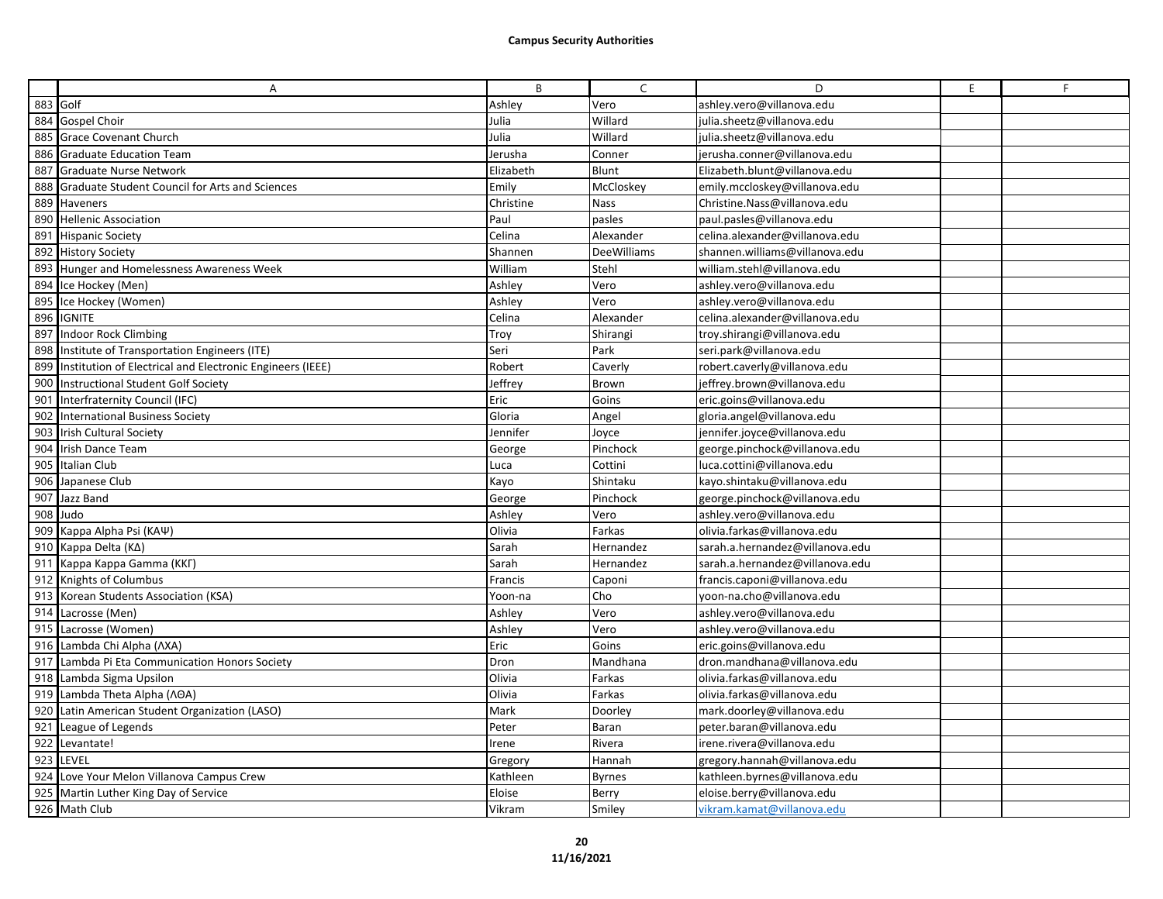|     | A                                                             | B         | $\mathsf{C}$  | D                               | E | F |
|-----|---------------------------------------------------------------|-----------|---------------|---------------------------------|---|---|
|     | 883 Golf                                                      | Ashley    | Vero          | ashley.vero@villanova.edu       |   |   |
|     | 884 Gospel Choir                                              | Julia     | Willard       | julia.sheetz@villanova.edu      |   |   |
|     | 885 Grace Covenant Church                                     | Julia     | Willard       | julia.sheetz@villanova.edu      |   |   |
| 886 | <b>Graduate Education Team</b>                                | Jerusha   | Conner        | jerusha.conner@villanova.edu    |   |   |
|     | 887 Graduate Nurse Network                                    | Elizabeth | Blunt         | Elizabeth.blunt@villanova.edu   |   |   |
| 888 | Graduate Student Council for Arts and Sciences                | Emily     | McCloskey     | emily.mccloskey@villanova.edu   |   |   |
| 889 | Haveners                                                      | Christine | Nass          | Christine.Nass@villanova.edu    |   |   |
|     | 890 Hellenic Association                                      | Paul      | pasles        | paul.pasles@villanova.edu       |   |   |
|     | 891 Hispanic Society                                          | Celina    | Alexander     | celina.alexander@villanova.edu  |   |   |
|     | 892 History Society                                           | Shannen   | DeeWilliams   | shannen.williams@villanova.edu  |   |   |
|     | 893 Hunger and Homelessness Awareness Week                    | William   | Stehl         | william.stehl@villanova.edu     |   |   |
|     | 894 Ice Hockey (Men)                                          | Ashley    | Vero          | ashley.vero@villanova.edu       |   |   |
| 895 | Ice Hockey (Women)                                            | Ashley    | Vero          | ashley.vero@villanova.edu       |   |   |
|     | 896 IGNITE                                                    | Celina    | Alexander     | celina.alexander@villanova.edu  |   |   |
|     | 897 Indoor Rock Climbing                                      | Troy      | Shirangi      | troy.shirangi@villanova.edu     |   |   |
| 898 | Institute of Transportation Engineers (ITE)                   | Seri      | Park          | seri.park@villanova.edu         |   |   |
|     | 899 Institution of Electrical and Electronic Engineers (IEEE) | Robert    | Caverly       | robert.caverly@villanova.edu    |   |   |
|     | 900 Instructional Student Golf Society                        | Jeffrey   | Brown         | jeffrey.brown@villanova.edu     |   |   |
| 901 | Interfraternity Council (IFC)                                 | Eric      | Goins         | eric.goins@villanova.edu        |   |   |
|     | 902 International Business Society                            | Gloria    | Angel         | gloria.angel@villanova.edu      |   |   |
| 903 | <b>Irish Cultural Society</b>                                 | Jennifer  | Joyce         | jennifer.joyce@villanova.edu    |   |   |
| 904 | <b>Irish Dance Team</b>                                       | George    | Pinchock      | george.pinchock@villanova.edu   |   |   |
|     | 905 Italian Club                                              | Luca      | Cottini       | luca.cottini@villanova.edu      |   |   |
| 906 | Japanese Club                                                 | Kayo      | Shintaku      | kayo.shintaku@villanova.edu     |   |   |
| 907 | Jazz Band                                                     | George    | Pinchock      | george.pinchock@villanova.edu   |   |   |
|     | 908 Judo                                                      | Ashley    | Vero          | ashley.vero@villanova.edu       |   |   |
| 909 | Kappa Alpha Psi (KAΨ)                                         | Olivia    | Farkas        | olivia.farkas@villanova.edu     |   |   |
|     | 910 Kappa Delta (KA)                                          | Sarah     | Hernandez     | sarah.a.hernandez@villanova.edu |   |   |
|     | 911 Kappa Kappa Gamma (KKF)                                   | Sarah     | Hernandez     | sarah.a.hernandez@villanova.edu |   |   |
|     | 912 Knights of Columbus                                       | Francis   | Caponi        | francis.caponi@villanova.edu    |   |   |
| 913 | Korean Students Association (KSA)                             | Yoon-na   | Cho           | yoon-na.cho@villanova.edu       |   |   |
|     | 914 Lacrosse (Men)                                            | Ashley    | Vero          | ashley.vero@villanova.edu       |   |   |
|     | 915 Lacrosse (Women)                                          | Ashley    | Vero          | ashley.vero@villanova.edu       |   |   |
|     | 916 Lambda Chi Alpha (AXA)                                    | Eric      | Goins         | eric.goins@villanova.edu        |   |   |
|     | 917 Lambda Pi Eta Communication Honors Society                | Dron      | Mandhana      | dron.mandhana@villanova.edu     |   |   |
|     | 918 Lambda Sigma Upsilon                                      | Olivia    | Farkas        | olivia.farkas@villanova.edu     |   |   |
|     | 919 Lambda Theta Alpha (AOA)                                  | Olivia    | Farkas        | olivia.farkas@villanova.edu     |   |   |
|     | 920 Latin American Student Organization (LASO)                | Mark      | Doorley       | mark.doorley@villanova.edu      |   |   |
|     | 921 League of Legends                                         | Peter     | Baran         | peter.baran@villanova.edu       |   |   |
| 922 | Levantate!                                                    | rene      | Rivera        | irene.rivera@villanova.edu      |   |   |
|     | 923 LEVEL                                                     | Gregory   | Hannah        | gregory.hannah@villanova.edu    |   |   |
|     | 924 Love Your Melon Villanova Campus Crew                     | Kathleen  | <b>Byrnes</b> | kathleen.byrnes@villanova.edu   |   |   |
|     | 925 Martin Luther King Day of Service                         | Eloise    | Berry         | eloise.berry@villanova.edu      |   |   |
|     | 926 Math Club                                                 | Vikram    | Smiley        | vikram.kamat@villanova.edu      |   |   |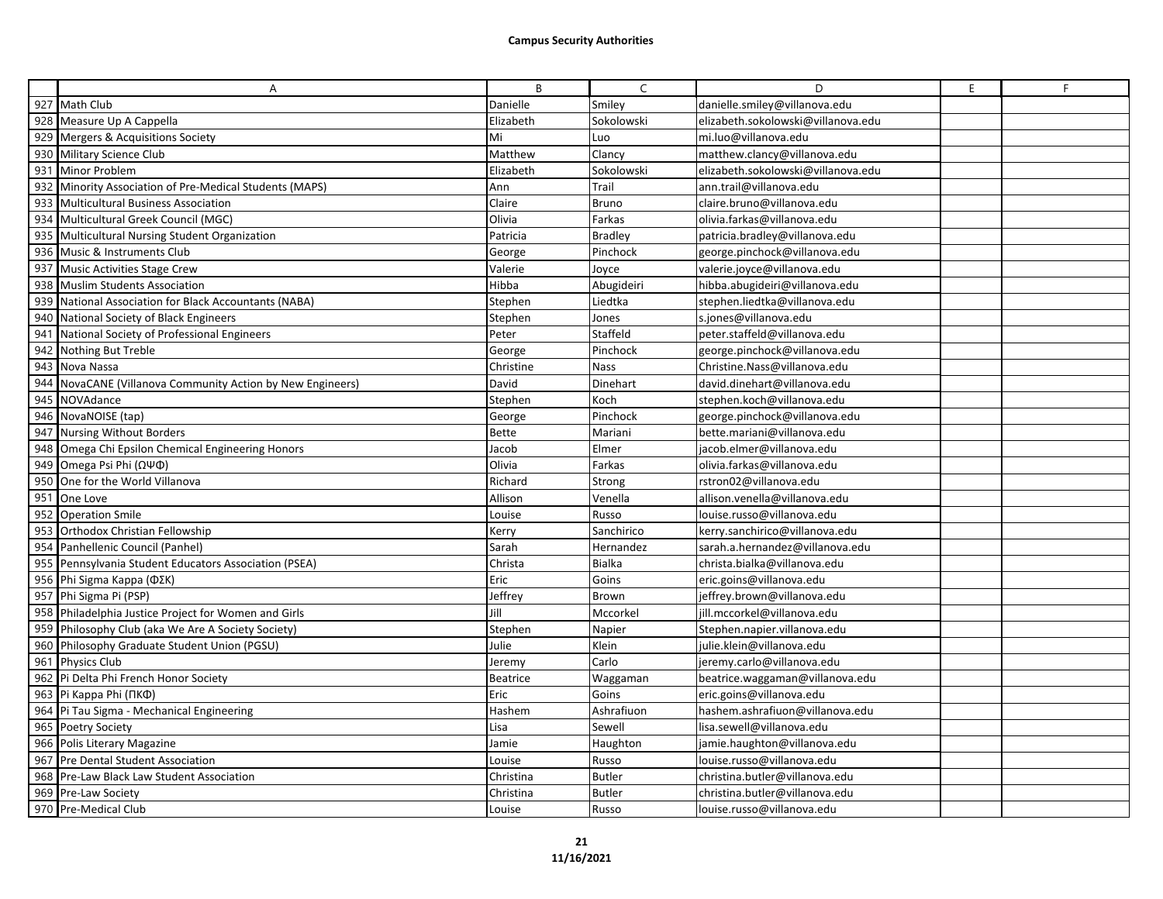|     | A                                                       | B               | $\mathsf{C}$   | D                                  | E | F |
|-----|---------------------------------------------------------|-----------------|----------------|------------------------------------|---|---|
| 927 | Math Club                                               | Danielle        | Smiley         | danielle.smiley@villanova.edu      |   |   |
|     | 928 Measure Up A Cappella                               | Elizabeth       | Sokolowski     | elizabeth.sokolowski@villanova.edu |   |   |
|     | 929 Mergers & Acquisitions Society                      | Mi              | Luo            | mi.luo@villanova.edu               |   |   |
|     | 930 Military Science Club                               | Matthew         | Clancy         | matthew.clancy@villanova.edu       |   |   |
|     | 931 Minor Problem                                       | Elizabeth       | Sokolowski     | elizabeth.sokolowski@villanova.edu |   |   |
|     | 932 Minority Association of Pre-Medical Students (MAPS) | Ann             | Trail          | ann.trail@villanova.edu            |   |   |
| 933 | Multicultural Business Association                      | Claire          | <b>Bruno</b>   | claire.bruno@villanova.edu         |   |   |
|     | 934 Multicultural Greek Council (MGC)                   | Olivia          | Farkas         | olivia.farkas@villanova.edu        |   |   |
|     | 935 Multicultural Nursing Student Organization          | Patricia        | <b>Bradley</b> | patricia.bradley@villanova.edu     |   |   |
| 936 | Music & Instruments Club                                | George          | Pinchock       | george.pinchock@villanova.edu      |   |   |
|     | 937 Music Activities Stage Crew                         | Valerie         | Joyce          | valerie.joyce@villanova.edu        |   |   |
|     | 938 Muslim Students Association                         | Hibba           | Abugideiri     | hibba.abugideiri@villanova.edu     |   |   |
| 939 | National Association for Black Accountants (NABA)       | Stephen         | Liedtka        | stephen.liedtka@villanova.edu      |   |   |
|     | 940 National Society of Black Engineers                 | Stephen         | Jones          | s.jones@villanova.edu              |   |   |
| 941 | National Society of Professional Engineers              | Peter           | Staffeld       | peter.staffeld@villanova.edu       |   |   |
| 942 | Nothing But Treble                                      | George          | Pinchock       | george.pinchock@villanova.edu      |   |   |
|     | 943 Nova Nassa                                          | Christine       | Nass           | Christine.Nass@villanova.edu       |   |   |
| 944 | NovaCANE (Villanova Community Action by New Engineers)  | David           | Dinehart       | david.dinehart@villanova.edu       |   |   |
| 945 | NOVAdance                                               | Stephen         | Koch           | stephen.koch@villanova.edu         |   |   |
|     | 946 NovaNOISE (tap)                                     | George          | Pinchock       | george.pinchock@villanova.edu      |   |   |
|     | 947 Nursing Without Borders                             | <b>Bette</b>    | Mariani        | bette.mariani@villanova.edu        |   |   |
| 948 | Omega Chi Epsilon Chemical Engineering Honors           | Jacob           | Elmer          | jacob.elmer@villanova.edu          |   |   |
|     | 949 Omega Psi Phi (ΩΨΦ)                                 | Olivia          | Farkas         | olivia.farkas@villanova.edu        |   |   |
|     | 950 One for the World Villanova                         | Richard         | Strong         | rstron02@villanova.edu             |   |   |
| 951 | One Love                                                | Allison         | Venella        | allison.venella@villanova.edu      |   |   |
|     | 952 Operation Smile                                     | Louise          | Russo          | louise.russo@villanova.edu         |   |   |
|     | 953 Orthodox Christian Fellowship                       | Kerry           | Sanchirico     | kerry.sanchirico@villanova.edu     |   |   |
| 954 | Panhellenic Council (Panhel)                            | Sarah           | Hernandez      | sarah.a.hernandez@villanova.edu    |   |   |
|     | 955 Pennsylvania Student Educators Association (PSEA)   | Christa         | <b>Bialka</b>  | christa.bialka@villanova.edu       |   |   |
|     | 956 Phi Sigma Kappa ( $\Phi$ ΣK)                        | Eric            | Goins          | eric.goins@villanova.edu           |   |   |
|     | 957 Phi Sigma Pi (PSP)                                  | Jeffrey         | <b>Brown</b>   | jeffrey.brown@villanova.edu        |   |   |
|     | 958 Philadelphia Justice Project for Women and Girls    | Jill            | Mccorkel       | jill.mccorkel@villanova.edu        |   |   |
|     | 959 Philosophy Club (aka We Are A Society Society)      | Stephen         | Napier         | Stephen.napier.villanova.edu       |   |   |
|     | 960 Philosophy Graduate Student Union (PGSU)            | Julie           | Klein          | julie.klein@villanova.edu          |   |   |
|     | 961 Physics Club                                        | Jeremy          | Carlo          | jeremy.carlo@villanova.edu         |   |   |
|     | 962 Pi Delta Phi French Honor Society                   | <b>Beatrice</b> | Waggaman       | beatrice.waggaman@villanova.edu    |   |   |
|     | 963 Pi Kappa Phi (ПКФ)                                  | Eric            | Goins          | eric.goins@villanova.edu           |   |   |
|     | 964 Pi Tau Sigma - Mechanical Engineering               | Hashem          | Ashrafiuon     | hashem.ashrafiuon@villanova.edu    |   |   |
|     | 965 Poetry Society                                      | Lisa            | Sewell         | lisa.sewell@villanova.edu          |   |   |
|     | 966 Polis Literary Magazine                             | Jamie           | Haughton       | jamie.haughton@villanova.edu       |   |   |
|     | 967 Pre Dental Student Association                      | Louise          | Russo          | louise.russo@villanova.edu         |   |   |
|     | 968 Pre-Law Black Law Student Association               | Christina       | <b>Butler</b>  | christina.butler@villanova.edu     |   |   |
|     | 969 Pre-Law Society                                     | Christina       | <b>Butler</b>  | christina.butler@villanova.edu     |   |   |
|     | 970 Pre-Medical Club                                    | Louise          | Russo          | louise.russo@villanova.edu         |   |   |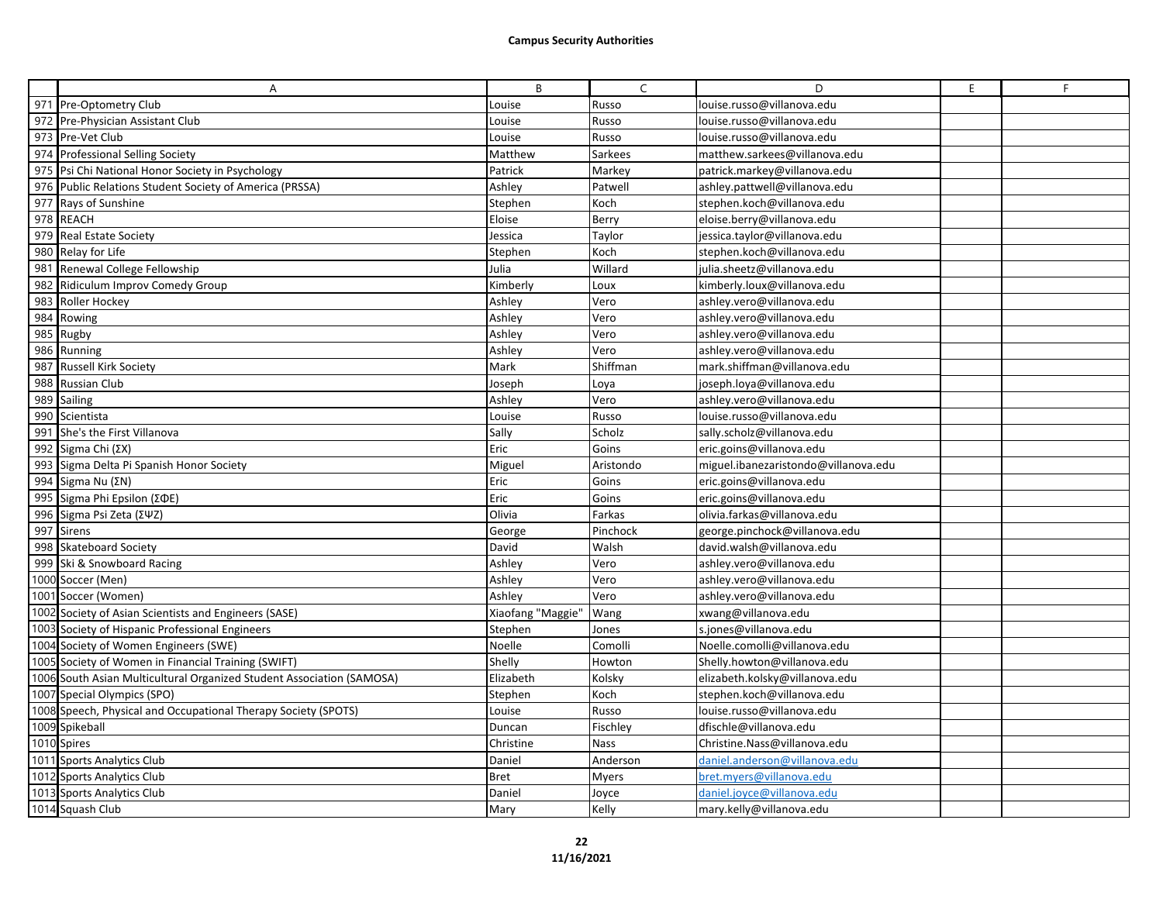|     | A                                                                     | B                 | $\mathsf{C}$ | D                                    | E | F |
|-----|-----------------------------------------------------------------------|-------------------|--------------|--------------------------------------|---|---|
|     | 971 Pre-Optometry Club                                                | ouise.            | Russo        | louise.russo@villanova.edu           |   |   |
|     | 972 Pre-Physician Assistant Club                                      | ouise.            | Russo        | louise.russo@villanova.edu           |   |   |
|     | 973 Pre-Vet Club                                                      | Louise            | Russo        | louise.russo@villanova.edu           |   |   |
|     | 974 Professional Selling Society                                      | Matthew           | Sarkees      | matthew.sarkees@villanova.edu        |   |   |
|     | 975 Psi Chi National Honor Society in Psychology                      | Patrick           | Markey       | patrick.markey@villanova.edu         |   |   |
|     | 976 Public Relations Student Society of America (PRSSA)               | Ashley            | Patwell      | ashley.pattwell@villanova.edu        |   |   |
|     | 977 Rays of Sunshine                                                  | Stephen           | Koch         | stephen.koch@villanova.edu           |   |   |
|     | 978 REACH                                                             | Eloise            | Berry        | eloise.berry@villanova.edu           |   |   |
|     | 979 Real Estate Society                                               | Jessica           | Taylor       | jessica.taylor@villanova.edu         |   |   |
|     | 980 Relay for Life                                                    | Stephen           | Koch         | stephen.koch@villanova.edu           |   |   |
|     | 981 Renewal College Fellowship                                        | Julia             | Willard      | julia.sheetz@villanova.edu           |   |   |
|     | 982 Ridiculum Improv Comedy Group                                     | Kimberly          | Loux         | kimberly.loux@villanova.edu          |   |   |
| 983 | Roller Hockey                                                         | Ashley            | Vero         | ashley.vero@villanova.edu            |   |   |
|     | 984 Rowing                                                            | Ashley            | Vero         | ashley.vero@villanova.edu            |   |   |
|     | 985 Rugby                                                             | Ashley            | Vero         | ashley.vero@villanova.edu            |   |   |
|     | 986 Running                                                           | Ashley            | Vero         | ashley.vero@villanova.edu            |   |   |
|     | 987 Russell Kirk Society                                              | Mark              | Shiffman     | mark.shiffman@villanova.edu          |   |   |
|     | 988 Russian Club                                                      | Joseph            | Loya         | joseph.loya@villanova.edu            |   |   |
|     | 989 Sailing                                                           | Ashley            | Vero         | ashley.vero@villanova.edu            |   |   |
|     | 990 Scientista                                                        | Louise            | Russo        | louise.russo@villanova.edu           |   |   |
|     | 991 She's the First Villanova                                         | Sally             | Scholz       | sally.scholz@villanova.edu           |   |   |
| 992 | Sigma Chi $(ΣX)$                                                      | Eric              | Goins        | eric.goins@villanova.edu             |   |   |
|     | 993 Sigma Delta Pi Spanish Honor Society                              | Miguel            | Aristondo    | miguel.ibanezaristondo@villanova.edu |   |   |
|     | 994 Sigma Nu $(\Sigma N)$                                             | Eric              | Goins        | eric.goins@villanova.edu             |   |   |
|     | 995 Sigma Phi Epsilon (ΣΦΕ)                                           | Eric              | Goins        | eric.goins@villanova.edu             |   |   |
|     | 996 Sigma Psi Zeta (ΣΨΖ)                                              | Olivia            | Farkas       | olivia.farkas@villanova.edu          |   |   |
|     | 997 Sirens                                                            | George            | Pinchock     | george.pinchock@villanova.edu        |   |   |
|     | 998 Skateboard Society                                                | David             | Walsh        | david.walsh@villanova.edu            |   |   |
|     | 999 Ski & Snowboard Racing                                            | Ashley            | Vero         | ashley.vero@villanova.edu            |   |   |
|     | 1000 Soccer (Men)                                                     | Ashley            | Vero         | ashley.vero@villanova.edu            |   |   |
|     | 1001 Soccer (Women)                                                   | Ashley            | Vero         | ashley.vero@villanova.edu            |   |   |
|     | 1002 Society of Asian Scientists and Engineers (SASE)                 | Xiaofang "Maggie" | Wang         | xwang@villanova.edu                  |   |   |
|     | 1003 Society of Hispanic Professional Engineers                       | Stephen           | Jones        | s.jones@villanova.edu                |   |   |
|     | 1004 Society of Women Engineers (SWE)                                 | Noelle            | Comolli      | Noelle.comolli@villanova.edu         |   |   |
|     | 1005 Society of Women in Financial Training (SWIFT)                   | Shelly            | Howton       | Shelly.howton@villanova.edu          |   |   |
|     | 1006 South Asian Multicultural Organized Student Association (SAMOSA) | Elizabeth         | Kolsky       | elizabeth.kolsky@villanova.edu       |   |   |
|     | 1007 Special Olympics (SPO)                                           | Stephen           | Koch         | stephen.koch@villanova.edu           |   |   |
|     | 1008 Speech, Physical and Occupational Therapy Society (SPOTS)        | ouise.            | Russo        | louise.russo@villanova.edu           |   |   |
|     | 1009 Spikeball                                                        | Duncan            | Fischley     | dfischle@villanova.edu               |   |   |
|     | 1010 Spires                                                           | Christine         | <b>Nass</b>  | Christine.Nass@villanova.edu         |   |   |
|     | 1011 Sports Analytics Club                                            | Daniel            | Anderson     | daniel.anderson@villanova.edu        |   |   |
|     | 1012 Sports Analytics Club                                            | <b>Bret</b>       | <b>Myers</b> | oret.myers@villanova.edu             |   |   |
|     | 1013 Sports Analytics Club                                            | Daniel            | Joyce        | daniel.joyce@villanova.edu           |   |   |
|     | 1014 Squash Club                                                      | Mary              | Kelly        | mary.kelly@villanova.edu             |   |   |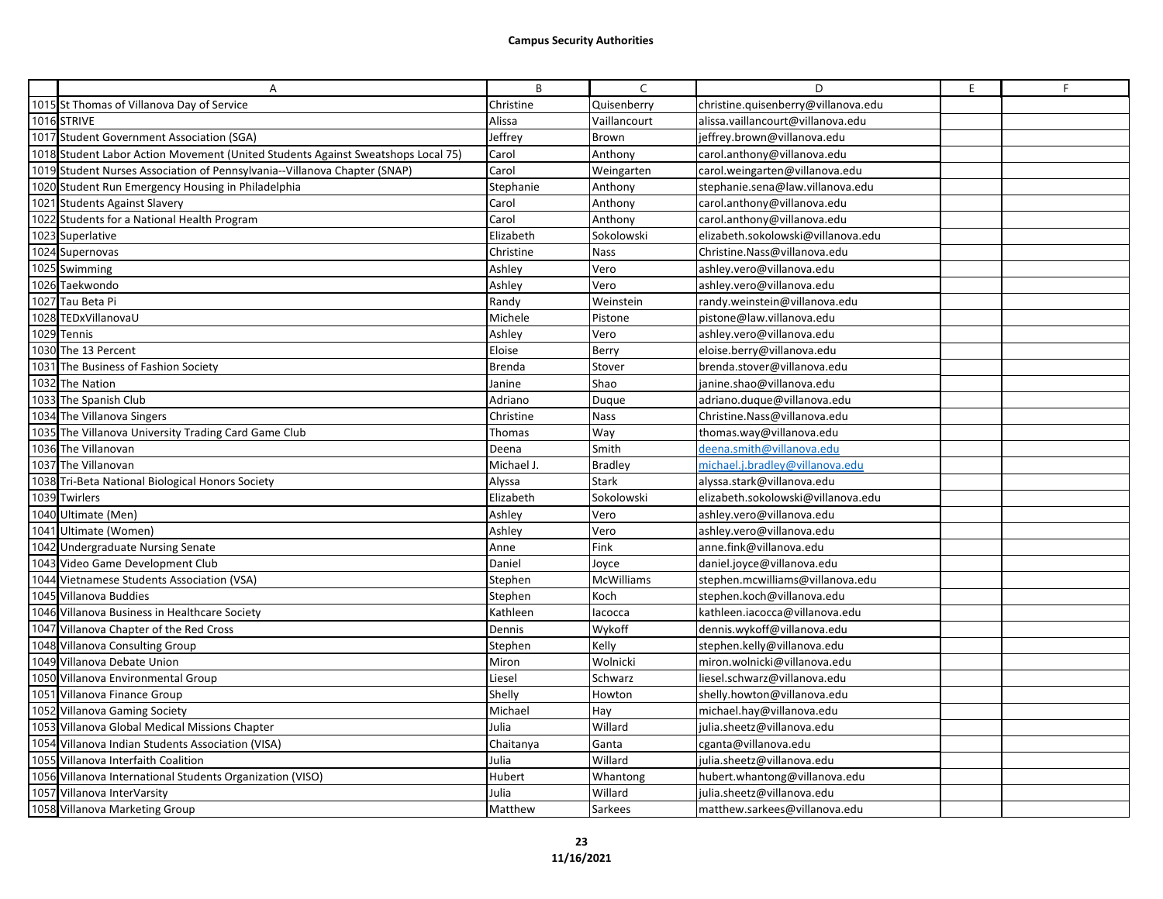| A                                                                                | B             | C              | D                                   | E. | F |
|----------------------------------------------------------------------------------|---------------|----------------|-------------------------------------|----|---|
| 1015 St Thomas of Villanova Day of Service                                       | Christine     | Quisenberry    | christine.quisenberry@villanova.edu |    |   |
| 1016 STRIVE                                                                      | Alissa        | Vaillancourt   | alissa.vaillancourt@villanova.edu   |    |   |
| 1017 Student Government Association (SGA)                                        | Jeffrey       | <b>Brown</b>   | jeffrey.brown@villanova.edu         |    |   |
| 1018 Student Labor Action Movement (United Students Against Sweatshops Local 75) | Carol         | Anthony        | carol.anthony@villanova.edu         |    |   |
| 1019 Student Nurses Association of Pennsylvania--Villanova Chapter (SNAP)        | Carol         | Weingarten     | carol.weingarten@villanova.edu      |    |   |
| 1020 Student Run Emergency Housing in Philadelphia                               | Stephanie     | Anthony        | stephanie.sena@law.villanova.edu    |    |   |
| 1021 Students Against Slavery                                                    | Carol         | Anthony        | carol.anthony@villanova.edu         |    |   |
| 1022 Students for a National Health Program                                      | Carol         | Anthony        | carol.anthony@villanova.edu         |    |   |
| 1023 Superlative                                                                 | Elizabeth     | Sokolowski     | elizabeth.sokolowski@villanova.edu  |    |   |
| 1024 Supernovas                                                                  | Christine     | <b>Nass</b>    | Christine.Nass@villanova.edu        |    |   |
| 1025 Swimming                                                                    | Ashley        | Vero           | ashley.vero@villanova.edu           |    |   |
| 1026 Taekwondo                                                                   | Ashley        | Vero           | ashley.vero@villanova.edu           |    |   |
| 1027 Tau Beta Pi                                                                 | Randy         | Weinstein      | randy.weinstein@villanova.edu       |    |   |
| 1028 TEDxVillanovaU                                                              | Michele       | Pistone        | pistone@law.villanova.edu           |    |   |
| 1029 Tennis                                                                      | Ashley        | Vero           | ashley.vero@villanova.edu           |    |   |
| 1030 The 13 Percent                                                              | Eloise        | Berry          | eloise.berry@villanova.edu          |    |   |
| 1031 The Business of Fashion Society                                             | <b>Brenda</b> | Stover         | brenda.stover@villanova.edu         |    |   |
| 1032 The Nation                                                                  | Janine        | Shao           | janine.shao@villanova.edu           |    |   |
| 1033 The Spanish Club                                                            | Adriano       | Duque          | adriano.duque@villanova.edu         |    |   |
| 1034 The Villanova Singers                                                       | Christine     | <b>Nass</b>    | Christine.Nass@villanova.edu        |    |   |
| 1035 The Villanova University Trading Card Game Club                             | Thomas        | Way            | thomas.way@villanova.edu            |    |   |
| 1036 The Villanovan                                                              | Deena         | Smith          | deena.smith@villanova.edu           |    |   |
| 1037 The Villanovan                                                              | Michael J.    | <b>Bradley</b> | michael.j.bradley@villanova.edu     |    |   |
| 1038 Tri-Beta National Biological Honors Society                                 | Alyssa        | <b>Stark</b>   | alyssa.stark@villanova.edu          |    |   |
| 1039 Twirlers                                                                    | Elizabeth     | Sokolowski     | elizabeth.sokolowski@villanova.edu  |    |   |
| 1040 Ultimate (Men)                                                              | Ashley        | Vero           | ashley.vero@villanova.edu           |    |   |
| 1041 Ultimate (Women)                                                            | Ashley        | Vero           | ashley.vero@villanova.edu           |    |   |
| 1042 Undergraduate Nursing Senate                                                | Anne          | Fink           | anne.fink@villanova.edu             |    |   |
| 1043 Video Game Development Club                                                 | Daniel        | Jovce          | daniel.joyce@villanova.edu          |    |   |
| 1044 Vietnamese Students Association (VSA)                                       | Stephen       | McWilliams     | stephen.mcwilliams@villanova.edu    |    |   |
| 1045 Villanova Buddies                                                           | Stephen       | Koch           | stephen.koch@villanova.edu          |    |   |
| 1046 Villanova Business in Healthcare Society                                    | Kathleen      | lacocca        | kathleen.iacocca@villanova.edu      |    |   |
| 1047 Villanova Chapter of the Red Cross                                          | Dennis        | Wykoff         | dennis.wykoff@villanova.edu         |    |   |
| 1048 Villanova Consulting Group                                                  | Stephen       | Kelly          | stephen.kelly@villanova.edu         |    |   |
| 1049 Villanova Debate Union                                                      | Miron         | Wolnicki       | miron.wolnicki@villanova.edu        |    |   |
| 1050 Villanova Environmental Group                                               | Liesel        | Schwarz        | liesel.schwarz@villanova.edu        |    |   |
| 1051 Villanova Finance Group                                                     | Shelly        | Howton         | shelly.howton@villanova.edu         |    |   |
| 1052 Villanova Gaming Society                                                    | Michael       | Hay            | michael.hay@villanova.edu           |    |   |
| 1053 Villanova Global Medical Missions Chapter                                   | Julia         | Willard        | julia.sheetz@villanova.edu          |    |   |
| 1054 Villanova Indian Students Association (VISA)                                | Chaitanya     | Ganta          | cganta@villanova.edu                |    |   |
| 1055 Villanova Interfaith Coalition                                              | Julia         | Willard        | julia.sheetz@villanova.edu          |    |   |
| 1056 Villanova International Students Organization (VISO)                        | Hubert        | Whantong       | hubert.whantong@villanova.edu       |    |   |
| 1057 Villanova InterVarsity                                                      | Julia         | Willard        | julia.sheetz@villanova.edu          |    |   |
| 1058 Villanova Marketing Group                                                   | Matthew       | Sarkees        | matthew.sarkees@villanova.edu       |    |   |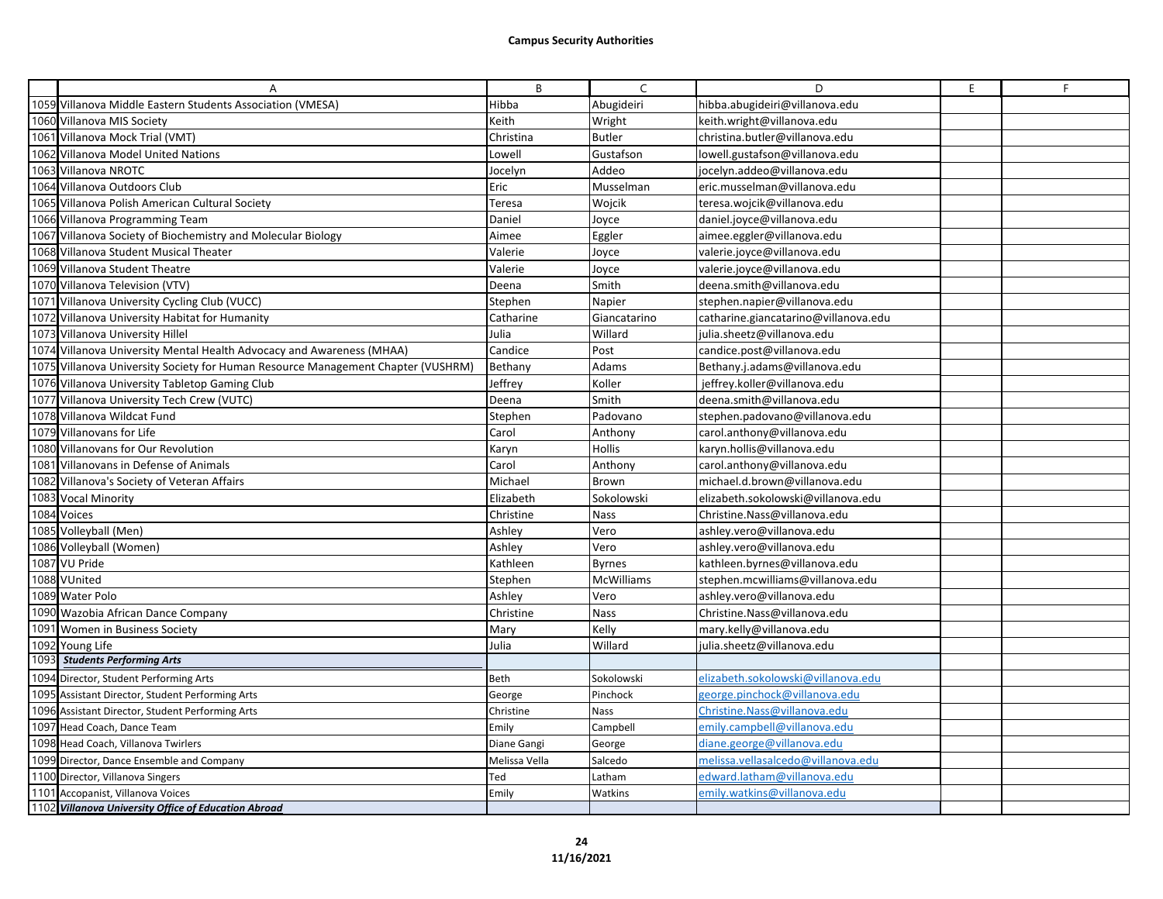|      | A                                                                                | B             | $\mathsf{C}$  | D                                    | E | F |
|------|----------------------------------------------------------------------------------|---------------|---------------|--------------------------------------|---|---|
|      | 1059 Villanova Middle Eastern Students Association (VMESA)                       | Hibba         | Abugideiri    | hibba.abugideiri@villanova.edu       |   |   |
|      | 1060 Villanova MIS Society                                                       | Keith         | Wright        | keith.wright@villanova.edu           |   |   |
|      | 1061 Villanova Mock Trial (VMT)                                                  | Christina     | <b>Butler</b> | christina.butler@villanova.edu       |   |   |
|      | 1062 Villanova Model United Nations                                              | Lowell        | Gustafson     | lowell.gustafson@villanova.edu       |   |   |
|      | 1063 Villanova NROTC                                                             | Jocelyn       | Addeo         | jocelyn.addeo@villanova.edu          |   |   |
|      | 1064 Villanova Outdoors Club                                                     | Eric          | Musselman     | eric.musselman@villanova.edu         |   |   |
|      | 1065 Villanova Polish American Cultural Society                                  | Teresa        | Wojcik        | teresa.wojcik@villanova.edu          |   |   |
|      | 1066 Villanova Programming Team                                                  | Daniel        | Joyce         | daniel.joyce@villanova.edu           |   |   |
|      | 1067 Villanova Society of Biochemistry and Molecular Biology                     | Aimee         | Eggler        | aimee.eggler@villanova.edu           |   |   |
|      | 1068 Villanova Student Musical Theater                                           | Valerie       | Joyce         | valerie.joyce@villanova.edu          |   |   |
|      | 1069 Villanova Student Theatre                                                   | Valerie       | Joyce         | valerie.joyce@villanova.edu          |   |   |
|      | 1070 Villanova Television (VTV)                                                  | Deena         | Smith         | deena.smith@villanova.edu            |   |   |
|      | 1071 Villanova University Cycling Club (VUCC)                                    | Stephen       | Napier        | stephen.napier@villanova.edu         |   |   |
|      | 1072 Villanova University Habitat for Humanity                                   | Catharine     | Giancatarino  | catharine.giancatarino@villanova.edu |   |   |
|      | 1073 Villanova University Hillel                                                 | Julia         | Willard       | julia.sheetz@villanova.edu           |   |   |
|      | 1074 Villanova University Mental Health Advocacy and Awareness (MHAA)            | Candice       | Post          | candice.post@villanova.edu           |   |   |
|      | 1075 Villanova University Society for Human Resource Management Chapter (VUSHRM) | Bethany       | Adams         | Bethany.j.adams@villanova.edu        |   |   |
|      | 1076 Villanova University Tabletop Gaming Club                                   | Jeffrey       | Koller        | jeffrey.koller@villanova.edu         |   |   |
|      | 1077 Villanova University Tech Crew (VUTC)                                       | Deena         | Smith         | deena.smith@villanova.edu            |   |   |
|      | 1078 Villanova Wildcat Fund                                                      | Stephen       | Padovano      | stephen.padovano@villanova.edu       |   |   |
|      | 1079 Villanovans for Life                                                        | Carol         | Anthony       | carol.anthony@villanova.edu          |   |   |
|      | 1080 Villanovans for Our Revolution                                              | Karyn         | <b>Hollis</b> | karyn.hollis@villanova.edu           |   |   |
|      | 1081 Villanovans in Defense of Animals                                           | Carol         | Anthony       | carol.anthony@villanova.edu          |   |   |
|      | 1082 Villanova's Society of Veteran Affairs                                      | Michael       | Brown         | michael.d.brown@villanova.edu        |   |   |
|      | 1083 Vocal Minority                                                              | Elizabeth     | Sokolowski    | elizabeth.sokolowski@villanova.edu   |   |   |
|      | 1084 Voices                                                                      | Christine     | <b>Nass</b>   | Christine.Nass@villanova.edu         |   |   |
|      | 1085 Volleyball (Men)                                                            | Ashley        | Vero          | ashley.vero@villanova.edu            |   |   |
|      | 1086 Volleyball (Women)                                                          | Ashley        | Vero          | ashley.vero@villanova.edu            |   |   |
|      | 1087 VU Pride                                                                    | Kathleen      | <b>Byrnes</b> | kathleen.byrnes@villanova.edu        |   |   |
|      | 1088 VUnited                                                                     | Stephen       | McWilliams    | stephen.mcwilliams@villanova.edu     |   |   |
|      | 1089 Water Polo                                                                  | Ashley        | Vero          | ashley.vero@villanova.edu            |   |   |
|      | 1090 Wazobia African Dance Company                                               | Christine     | Nass          | Christine.Nass@villanova.edu         |   |   |
|      | 1091 Women in Business Society                                                   | Mary          | Kelly         | mary.kelly@villanova.edu             |   |   |
|      | 1092 Young Life                                                                  | Julia         | Willard       | julia.sheetz@villanova.edu           |   |   |
| 1093 | <b>Students Performing Arts</b>                                                  |               |               |                                      |   |   |
|      | 1094 Director, Student Performing Arts                                           | Beth          | Sokolowski    | elizabeth.sokolowski@villanova.edu   |   |   |
|      | 1095 Assistant Director, Student Performing Arts                                 | George        | Pinchock      | george.pinchock@villanova.edu        |   |   |
|      | 1096 Assistant Director, Student Performing Arts                                 | Christine     | <b>Nass</b>   | Christine.Nass@villanova.edu         |   |   |
|      | 1097 Head Coach, Dance Team                                                      | Emily         | Campbell      | emily.campbell@villanova.edu         |   |   |
|      | 1098 Head Coach, Villanova Twirlers                                              | Diane Gangi   | George        | diane.george@villanova.edu           |   |   |
|      | 1099 Director, Dance Ensemble and Company                                        | Melissa Vella | Salcedo       | melissa. vella salcedo@villanova.edu |   |   |
|      | 1100 Director, Villanova Singers                                                 | Ted           | Latham        | edward.latham@villanova.edu          |   |   |
|      | 1101 Accopanist, Villanova Voices                                                | Emily         | Watkins       | emily.watkins@villanova.edu          |   |   |
|      | 1102 Villanova University Office of Education Abroad                             |               |               |                                      |   |   |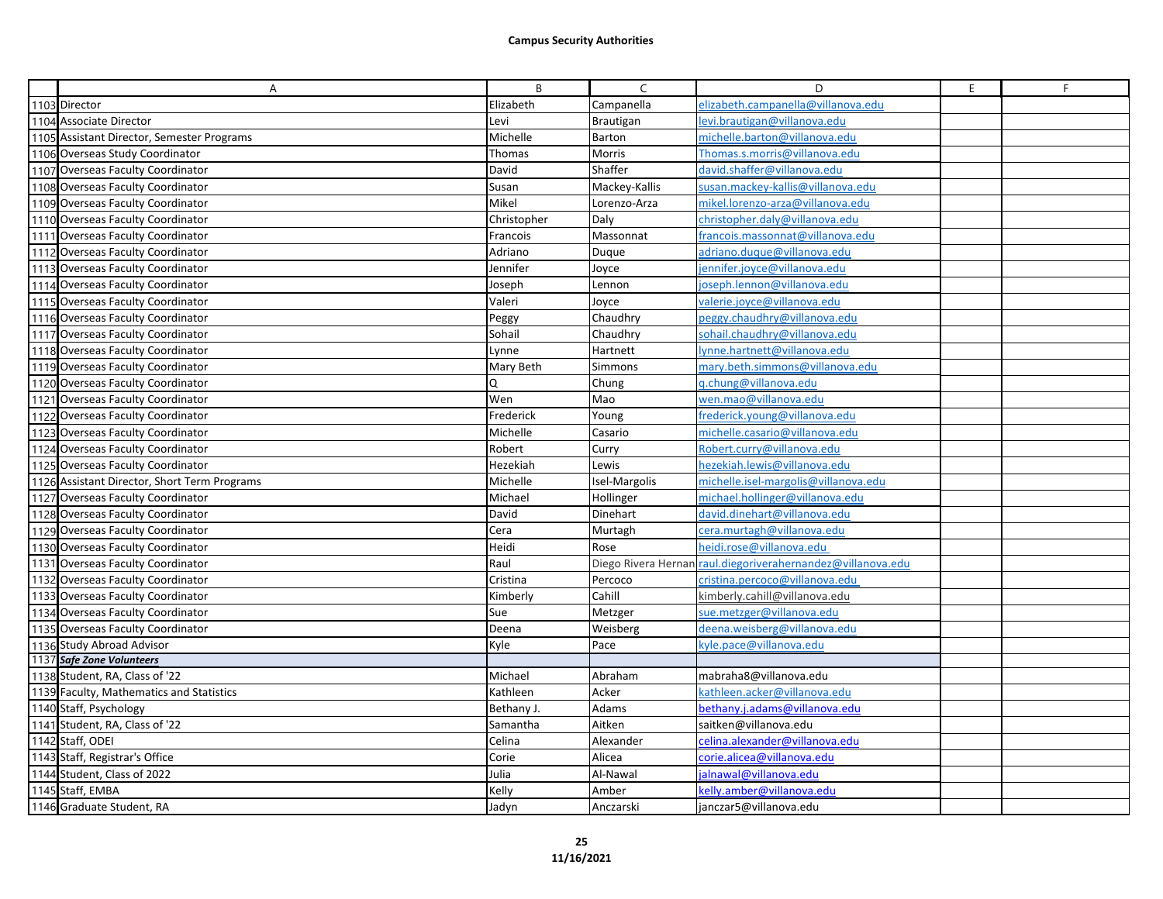| Α                                            | B           | C             | D                                                           | E. | F |
|----------------------------------------------|-------------|---------------|-------------------------------------------------------------|----|---|
| 1103 Director                                | Elizabeth   | Campanella    | elizabeth.campanella@villanova.edu                          |    |   |
| 1104 Associate Director                      | Levi        | Brautigan     | levi.brautigan@villanova.edu                                |    |   |
| 1105 Assistant Director, Semester Programs   | Michelle    | Barton        | michelle.barton@villanova.edu                               |    |   |
| 1106 Overseas Study Coordinator              | Thomas      | Morris        | Thomas.s.morris@villanova.edu                               |    |   |
| 1107 Overseas Faculty Coordinator            | David       | Shaffer       | david.shaffer@villanova.edu                                 |    |   |
| 1108 Overseas Faculty Coordinator            | Susan       | Mackey-Kallis | susan.mackey-kallis@villanova.edu                           |    |   |
| 1109 Overseas Faculty Coordinator            | Mikel       | Lorenzo-Arza  | mikel.lorenzo-arza@villanova.edu                            |    |   |
| 1110 Overseas Faculty Coordinator            | Christopher | Daly          | christopher.daly@villanova.edu                              |    |   |
| 1111 Overseas Faculty Coordinator            | Francois    | Massonnat     | francois.massonnat@villanova.edu                            |    |   |
| 1112 Overseas Faculty Coordinator            | Adriano     | Duque         | adriano.dugue@villanova.edu                                 |    |   |
| 1113 Overseas Faculty Coordinator            | Jennifer    | Joyce         | jennifer.joyce@villanova.edu                                |    |   |
| 1114 Overseas Faculty Coordinator            | Joseph      | Lennon        | joseph.lennon@villanova.edu                                 |    |   |
| 1115 Overseas Faculty Coordinator            | Valeri      | Joyce         | valerie.joyce@villanova.edu                                 |    |   |
| 1116 Overseas Faculty Coordinator            | Peggy       | Chaudhry      | peggy.chaudhry@villanova.edu                                |    |   |
| 1117 Overseas Faculty Coordinator            | Sohail      | Chaudhry      | sohail.chaudhry@villanova.edu                               |    |   |
| 1118 Overseas Faculty Coordinator            | Lynne       | Hartnett      | lynne.hartnett@villanova.edu                                |    |   |
| 1119 Overseas Faculty Coordinator            | Mary Beth   | Simmons       | mary.beth.simmons@villanova.edu                             |    |   |
| 1120 Overseas Faculty Coordinator            |             | Chung         | g.chung@villanova.edu                                       |    |   |
| 1121 Overseas Faculty Coordinator            | Wen         | Mao           | wen.mao@villanova.edu                                       |    |   |
| 1122 Overseas Faculty Coordinator            | Frederick   | Young         | frederick.young@villanova.edu                               |    |   |
| 1123 Overseas Faculty Coordinator            | Michelle    | Casario       | michelle.casario@villanova.edu                              |    |   |
| 1124 Overseas Faculty Coordinator            | Robert      | Curry         | Robert.curry@villanova.edu                                  |    |   |
| 1125 Overseas Faculty Coordinator            | Hezekiah    | Lewis         | hezekiah.lewis@villanova.edu                                |    |   |
| 1126 Assistant Director, Short Term Programs | Michelle    | Isel-Margolis | michelle.isel-margolis@villanova.edu                        |    |   |
| 1127 Overseas Faculty Coordinator            | Michael     | Hollinger     | michael.hollinger@villanova.edu                             |    |   |
| 1128 Overseas Faculty Coordinator            | David       | Dinehart      | david.dinehart@villanova.edu                                |    |   |
| 1129 Overseas Faculty Coordinator            | Cera        | Murtagh       | cera.murtagh@villanova.edu                                  |    |   |
| 1130 Overseas Faculty Coordinator            | Heidi       | Rose          | heidi.rose@villanova.edu                                    |    |   |
| 1131 Overseas Faculty Coordinator            | Raul        |               | Diego Rivera Hernan raul.diegoriverahernandez@villanova.edu |    |   |
| 1132 Overseas Faculty Coordinator            | Cristina    | Percoco       | cristina.percoco@villanova.edu                              |    |   |
| 1133 Overseas Faculty Coordinator            | Kimberly    | Cahill        | kimberly.cahill@villanova.edu                               |    |   |
| 1134 Overseas Faculty Coordinator            | Sue         | Metzger       | sue.metzger@villanova.edu                                   |    |   |
| 1135 Overseas Faculty Coordinator            | Deena       | Weisberg      | deena.weisberg@villanova.edu                                |    |   |
| 1136 Study Abroad Advisor                    | Kyle        | Pace          | cyle.pace@villanova.edu                                     |    |   |
| 1137 Safe Zone Volunteers                    |             |               |                                                             |    |   |
| 1138 Student, RA, Class of '22               | Michael     | Abraham       | mabraha8@villanova.edu                                      |    |   |
| 1139 Faculty, Mathematics and Statistics     | Kathleen    | Acker         | cathleen.acker@villanova.edu                                |    |   |
| 1140 Staff, Psychology                       | Bethany J.  | Adams         | bethany.j.adams@villanova.edu                               |    |   |
| 1141 Student, RA, Class of '22               | Samantha    | Aitken        | saitken@villanova.edu                                       |    |   |
| 1142 Staff, ODEI                             | Celina      | Alexander     | celina.alexander@villanova.edu                              |    |   |
| 1143 Staff, Registrar's Office               | Corie       | Alicea        | corie.alicea@villanova.edu                                  |    |   |
| 1144 Student, Class of 2022                  | Julia       | Al-Nawal      | jalnawal@villanova.edu                                      |    |   |
| 1145 Staff, EMBA                             | Kelly       | Amber         | kelly.amber@villanova.edu                                   |    |   |
| 1146 Graduate Student, RA                    | Jadyn       | Anczarski     | janczar5@villanova.edu                                      |    |   |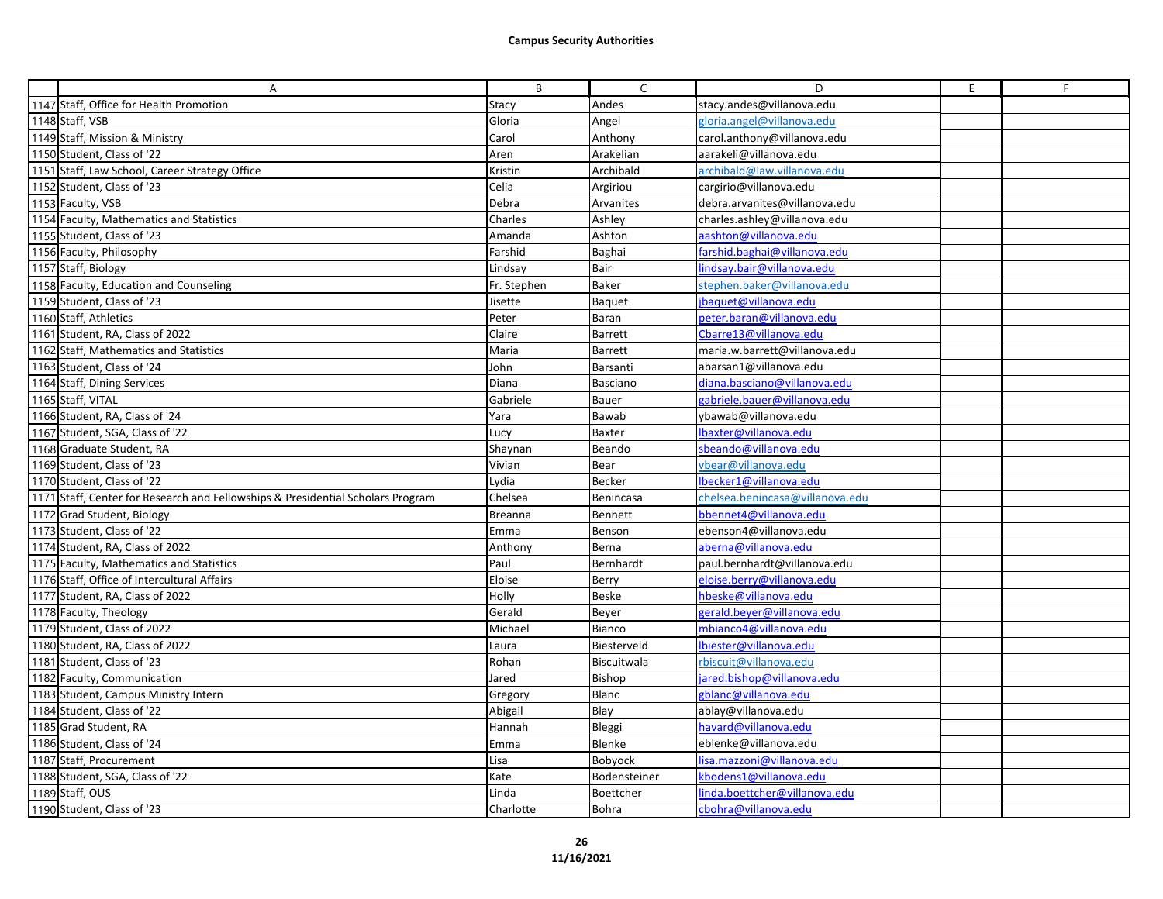| Α                                                                               | B              | $\mathsf{C}$   | D                               | E | F |
|---------------------------------------------------------------------------------|----------------|----------------|---------------------------------|---|---|
| 1147 Staff, Office for Health Promotion                                         | Stacy          | Andes          | stacy.andes@villanova.edu       |   |   |
| 1148 Staff, VSB                                                                 | Gloria         | Angel          | gloria.angel@villanova.edu      |   |   |
| 1149 Staff, Mission & Ministry                                                  | Carol          | Anthony        | carol.anthony@villanova.edu     |   |   |
| 1150 Student, Class of '22                                                      | Aren           | Arakelian      | aarakeli@villanova.edu          |   |   |
| 1151 Staff, Law School, Career Strategy Office                                  | Kristin        | Archibald      | archibald@law.villanova.edu     |   |   |
| 1152 Student, Class of '23                                                      | Celia          | Argiriou       | cargirio@villanova.edu          |   |   |
| 1153 Faculty, VSB                                                               | Debra          | Arvanites      | debra.arvanites@villanova.edu   |   |   |
| 1154 Faculty, Mathematics and Statistics                                        | Charles        | Ashley         | charles.ashley@villanova.edu    |   |   |
| 1155 Student, Class of '23                                                      | Amanda         | Ashton         | aashton@villanova.edu           |   |   |
| 1156 Faculty, Philosophy                                                        | Farshid        | Baghai         | farshid.baghai@villanova.edu    |   |   |
| 1157 Staff, Biology                                                             | Lindsay        | Bair           | indsay.bair@villanova.edu       |   |   |
| 1158 Faculty, Education and Counseling                                          | Fr. Stephen    | Baker          | stephen.baker@villanova.edu     |   |   |
| 1159 Student, Class of '23                                                      | Jisette        | Baquet         | baquet@villanova.edu            |   |   |
| 1160 Staff, Athletics                                                           | Peter          | Baran          | peter.baran@villanova.edu       |   |   |
| 1161 Student, RA, Class of 2022                                                 | Claire         | <b>Barrett</b> | Cbarre13@villanova.edu          |   |   |
| 1162 Staff, Mathematics and Statistics                                          | Maria          | Barrett        | maria.w.barrett@villanova.edu   |   |   |
| 1163 Student, Class of '24                                                      | John           | Barsanti       | abarsan1@villanova.edu          |   |   |
| 1164 Staff, Dining Services                                                     | Diana          | Basciano       | diana.basciano@villanova.edu    |   |   |
| 1165 Staff, VITAL                                                               | Gabriele       | Bauer          | gabriele.bauer@villanova.edu    |   |   |
| 1166 Student, RA, Class of '24                                                  | Yara           | Bawab          | ybawab@villanova.edu            |   |   |
| 1167 Student, SGA, Class of '22                                                 | <b>Lucy</b>    | Baxter         | lbaxter@villanova.edu           |   |   |
| 1168 Graduate Student, RA                                                       | Shaynan        | Beando         | sbeando@villanova.edu           |   |   |
| 1169 Student, Class of '23                                                      | Vivian         | Bear           | vbear@villanova.edu             |   |   |
| 1170 Student, Class of '22                                                      | Lydia          | Becker         | lbecker1@villanova.edu          |   |   |
| 1171 Staff, Center for Research and Fellowships & Presidential Scholars Program | Chelsea        | Benincasa      | chelsea.benincasa@villanova.edu |   |   |
| 1172 Grad Student, Biology                                                      | <b>Breanna</b> | <b>Bennett</b> | bbennet4@villanova.edu          |   |   |
| 1173 Student, Class of '22                                                      | Emma           | Benson         | ebenson4@villanova.edu          |   |   |
| 1174 Student, RA, Class of 2022                                                 | Anthony        | Berna          | aberna@villanova.edu            |   |   |
| 1175 Faculty, Mathematics and Statistics                                        | Paul           | Bernhardt      | paul.bernhardt@villanova.edu    |   |   |
| 1176 Staff, Office of Intercultural Affairs                                     | Eloise         | Berry          | eloise.berry@villanova.edu      |   |   |
| 1177 Student, RA, Class of 2022                                                 | Holly          | <b>Beske</b>   | hbeske@villanova.edu            |   |   |
| 1178 Faculty, Theology                                                          | Gerald         | Beyer          | gerald.beyer@villanova.edu      |   |   |
| 1179 Student, Class of 2022                                                     | Michael        | Bianco         | mbianco4@villanova.edu          |   |   |
| 1180 Student, RA, Class of 2022                                                 | Laura          | Biesterveld    | biester@villanova.edu           |   |   |
| 1181 Student, Class of '23                                                      | Rohan          | Biscuitwala    | rbiscuit@villanova.edu          |   |   |
| 1182 Faculty, Communication                                                     | Jared          | Bishop         | jared.bishop@villanova.edu      |   |   |
| 1183 Student, Campus Ministry Intern                                            | Gregory        | Blanc          | gblanc@villanova.edu            |   |   |
| 1184 Student, Class of '22                                                      | Abigail        | Blay           | ablay@villanova.edu             |   |   |
| 1185 Grad Student, RA                                                           | Hannah         | Bleggi         | havard@villanova.edu            |   |   |
| 1186 Student, Class of '24                                                      | Emma           | Blenke         | eblenke@villanova.edu           |   |   |
| 1187 Staff, Procurement                                                         | Lisa           | Bobyock        | lisa.mazzoni@villanova.edu      |   |   |
| 1188 Student, SGA, Class of '22                                                 | Kate           | Bodensteiner   | kbodens1@villanova.edu          |   |   |
| 1189 Staff, OUS                                                                 | Linda          | Boettcher      | inda.boettcher@villanova.edu    |   |   |
| 1190 Student, Class of '23                                                      | Charlotte      | Bohra          | cbohra@villanova.edu            |   |   |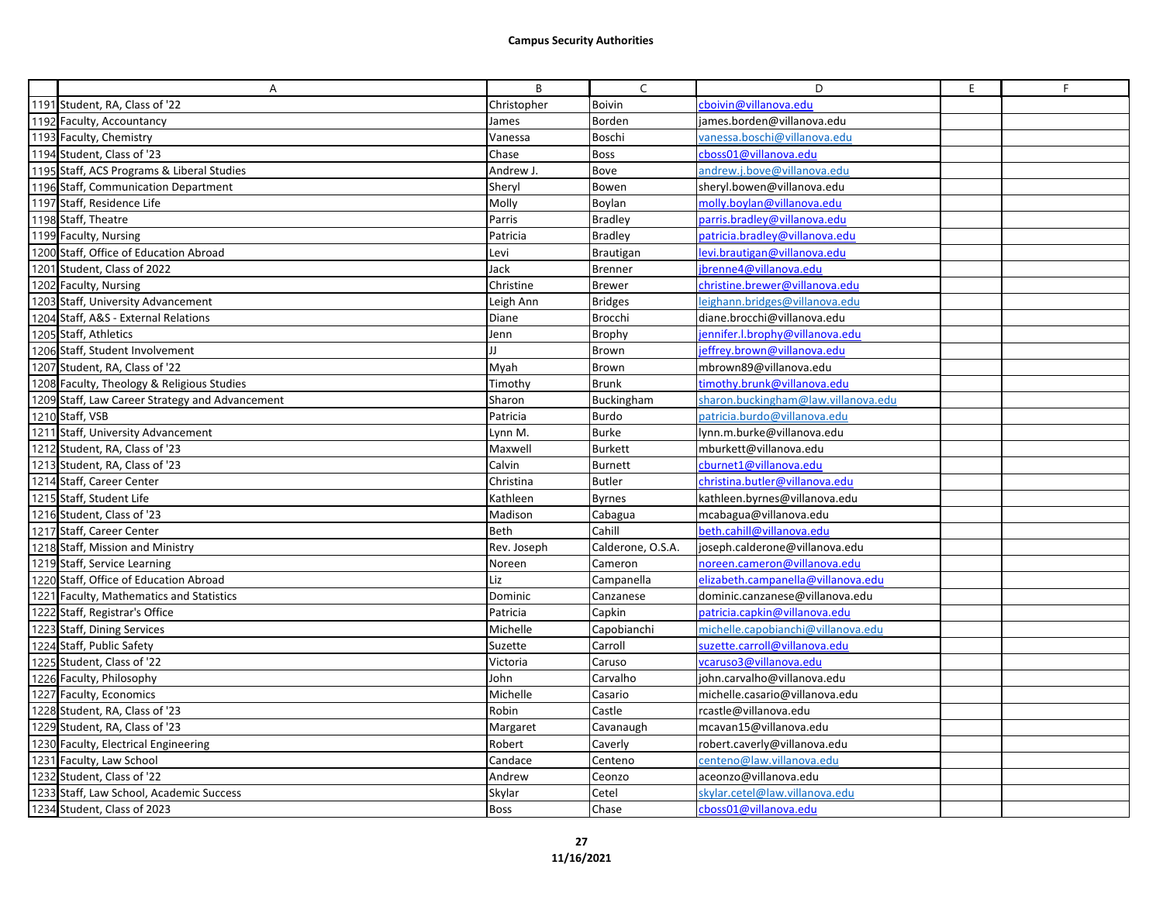| A                                               | В           | $\mathsf{C}$      | D                                   | E | F |
|-------------------------------------------------|-------------|-------------------|-------------------------------------|---|---|
| 1191 Student, RA, Class of '22                  | Christopher | <b>Boivin</b>     | cboivin@villanova.edu               |   |   |
| 1192 Faculty, Accountancy                       | James       | Borden            | james.borden@villanova.edu          |   |   |
| 1193 Faculty, Chemistry                         | Vanessa     | Boschi            | vanessa.boschi@villanova.edu        |   |   |
| 1194 Student, Class of '23                      | Chase       | <b>Boss</b>       | cboss01@villanova.edu               |   |   |
| 1195 Staff, ACS Programs & Liberal Studies      | Andrew J.   | Bove              | andrew.j.bove@villanova.edu         |   |   |
| 1196 Staff, Communication Department            | Sheryl      | Bowen             | sheryl.bowen@villanova.edu          |   |   |
| 1197 Staff, Residence Life                      | Molly       | Boylan            | molly.boylan@villanova.edu          |   |   |
| 1198 Staff, Theatre                             | Parris      | <b>Bradley</b>    | parris.bradlev@villanova.edu        |   |   |
| 1199 Faculty, Nursing                           | Patricia    | <b>Bradley</b>    | patricia.bradley@villanova.edu      |   |   |
| 1200 Staff, Office of Education Abroad          | Levi        | Brautigan         | levi.brautigan@villanova.edu        |   |   |
| 1201 Student, Class of 2022                     | Jack        | <b>Brenner</b>    | brenne4@villanova.edu               |   |   |
| 1202 Faculty, Nursing                           | Christine   | <b>Brewer</b>     | christine.brewer@villanova.edu      |   |   |
| 1203 Staff, University Advancement              | Leigh Ann   | <b>Bridges</b>    | leighann.bridges@villanova.edu      |   |   |
| 1204 Staff, A&S - External Relations            | Diane       | Brocchi           | diane.brocchi@villanova.edu         |   |   |
| 1205 Staff, Athletics                           | Jenn        | Brophy            | jennifer.l.brophy@villanova.edu     |   |   |
| 1206 Staff, Student Involvement                 | Ш           | Brown             | effrey.brown@villanova.edu          |   |   |
| 1207 Student, RA, Class of '22                  | Myah        | Brown             | mbrown89@villanova.edu              |   |   |
| 1208 Faculty, Theology & Religious Studies      | Timothy     | <b>Brunk</b>      | timothy.brunk@villanova.edu         |   |   |
| 1209 Staff, Law Career Strategy and Advancement | Sharon      | Buckingham        | sharon.buckingham@law.villanova.edu |   |   |
| 1210 Staff, VSB                                 | Patricia    | Burdo             | patricia.burdo@villanova.edu        |   |   |
| 1211 Staff, University Advancement              | Lynn M.     | <b>Burke</b>      | lynn.m.burke@villanova.edu          |   |   |
| 1212 Student, RA, Class of '23                  | Maxwell     | <b>Burkett</b>    | mburkett@villanova.edu              |   |   |
| 1213 Student, RA, Class of '23                  | Calvin      | <b>Burnett</b>    | cburnet1@villanova.edu              |   |   |
| 1214 Staff, Career Center                       | Christina   | <b>Butler</b>     | christina.butler@villanova.edu      |   |   |
| 1215 Staff, Student Life                        | Kathleen    | <b>Byrnes</b>     | kathleen.byrnes@villanova.edu       |   |   |
| 1216 Student, Class of '23                      | Madison     | Cabagua           | mcabagua@villanova.edu              |   |   |
| 1217 Staff, Career Center                       | Beth        | Cahill            | beth.cahill@villanova.edu           |   |   |
| 1218 Staff, Mission and Ministry                | Rev. Joseph | Calderone, O.S.A. | joseph.calderone@villanova.edu      |   |   |
| 1219 Staff, Service Learning                    | Noreen      | Cameron           | noreen.cameron@villanova.edu        |   |   |
| 1220 Staff, Office of Education Abroad          | Liz         | Campanella        | elizabeth.campanella@villanova.edu  |   |   |
| 1221 Faculty, Mathematics and Statistics        | Dominic     | Canzanese         | dominic.canzanese@villanova.edu     |   |   |
| 1222 Staff, Registrar's Office                  | Patricia    | Capkin            | patricia.capkin@villanova.edu       |   |   |
| 1223 Staff, Dining Services                     | Michelle    | Capobianchi       | michelle.capobianchi@villanova.edu  |   |   |
| 1224 Staff, Public Safety                       | Suzette     | Carroll           | suzette.carroll@villanova.edu       |   |   |
| 1225 Student, Class of '22                      | Victoria    | Caruso            | vcaruso3@villanova.edu              |   |   |
| 1226 Faculty, Philosophy                        | John        | Carvalho          | john.carvalho@villanova.edu         |   |   |
| 1227 Faculty, Economics                         | Michelle    | Casario           | michelle.casario@villanova.edu      |   |   |
| 1228 Student, RA, Class of '23                  | Robin       | Castle            | rcastle@villanova.edu               |   |   |
| 1229 Student, RA, Class of '23                  | Margaret    | Cavanaugh         | mcavan15@villanova.edu              |   |   |
| 1230 Faculty, Electrical Engineering            | Robert      | Caverly           | robert.caverly@villanova.edu        |   |   |
| 1231 Faculty, Law School                        | Candace     | Centeno           | centeno@law.villanova.edu           |   |   |
| 1232 Student, Class of '22                      | Andrew      | Ceonzo            | aceonzo@villanova.edu               |   |   |
| 1233 Staff, Law School, Academic Success        | Skylar      | Cetel             | skylar.cetel@law.villanova.edu      |   |   |
| 1234 Student, Class of 2023                     | <b>Boss</b> | Chase             | cboss01@villanova.edu               |   |   |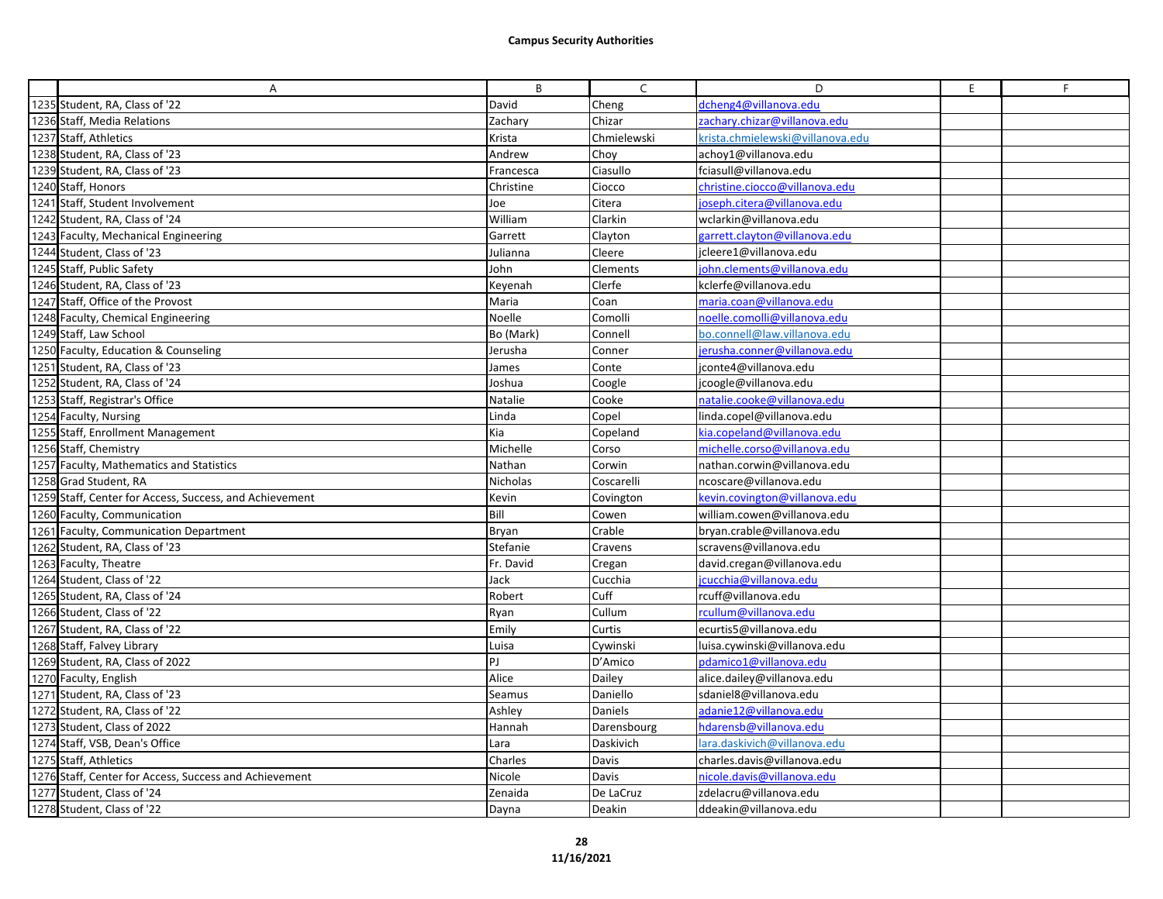| A                                                       | B         | $\mathsf{C}$    | D                                | E | F |
|---------------------------------------------------------|-----------|-----------------|----------------------------------|---|---|
| 1235 Student, RA, Class of '22                          | David     | Cheng           | dcheng4@villanova.edu            |   |   |
| 1236 Staff, Media Relations                             | Zachary   | Chizar          | zachary.chizar@villanova.edu     |   |   |
| 1237 Staff, Athletics                                   | Krista    | Chmielewski     | krista.chmielewski@villanova.edu |   |   |
| 1238 Student, RA, Class of '23                          | Andrew    | Chov            | achov1@villanova.edu             |   |   |
| 1239 Student, RA, Class of '23                          | Francesca | Ciasullo        | fciasull@villanova.edu           |   |   |
| 1240 Staff, Honors                                      | Christine | Ciocco          | christine.ciocco@villanova.edu   |   |   |
| 1241 Staff, Student Involvement                         | Joe       | Citera          | ioseph.citera@villanova.edu      |   |   |
| 1242 Student, RA, Class of '24                          | William   | Clarkin         | wclarkin@villanova.edu           |   |   |
| 1243 Faculty, Mechanical Engineering                    | Garrett   | Clayton         | garrett.clayton@villanova.edu    |   |   |
| 1244 Student, Class of '23                              | Julianna  | Cleere          | jcleere1@villanova.edu           |   |   |
| 1245 Staff, Public Safety                               | John      | <b>Clements</b> | john.clements@villanova.edu      |   |   |
| 1246 Student, RA, Class of '23                          | Keyenah   | Clerfe          | kclerfe@villanova.edu            |   |   |
| 1247 Staff, Office of the Provost                       | Maria     | Coan            | maria.coan@villanova.edu         |   |   |
| 1248 Faculty, Chemical Engineering                      | Noelle    | Comolli         | noelle.comolli@villanova.edu     |   |   |
| 1249 Staff, Law School                                  | Bo (Mark) | Connell         | bo.connell@law.villanova.edu     |   |   |
| 1250 Faculty, Education & Counseling                    | Jerusha   | Conner          | erusha.conner@villanova.edu      |   |   |
| 1251 Student, RA, Class of '23                          | James     | Conte           | jconte4@villanova.edu            |   |   |
| 1252 Student, RA, Class of '24                          | Joshua    | Coogle          | jcoogle@villanova.edu            |   |   |
| 1253 Staff, Registrar's Office                          | Natalie   | Cooke           | natalie.cooke@villanova.edu      |   |   |
| 1254 Faculty, Nursing                                   | Linda     | Copel           | linda.copel@villanova.edu        |   |   |
| 1255 Staff, Enrollment Management                       | Kia       | Copeland        | kia.copeland@villanova.edu       |   |   |
| 1256 Staff, Chemistry                                   | Michelle  | Corso           | michelle.corso@villanova.edu     |   |   |
| 1257 Faculty, Mathematics and Statistics                | Nathan    | Corwin          | nathan.corwin@villanova.edu      |   |   |
| 1258 Grad Student, RA                                   | Nicholas  | Coscarelli      | ncoscare@villanova.edu           |   |   |
| 1259 Staff, Center for Access, Success, and Achievement | Kevin     | Covington       | kevin.covington@villanova.edu    |   |   |
| 1260 Faculty, Communication                             | Bill      | Cowen           | william.cowen@villanova.edu      |   |   |
| 1261 Faculty, Communication Department                  | Bryan     | Crable          | bryan.crable@villanova.edu       |   |   |
| 1262 Student, RA, Class of '23                          | Stefanie  | Cravens         | scravens@villanova.edu           |   |   |
| 1263 Faculty, Theatre                                   | Fr. David | Cregan          | david.cregan@villanova.edu       |   |   |
| 1264 Student, Class of '22                              | Jack      | Cucchia         | cucchia@villanova.edu            |   |   |
| 1265 Student, RA, Class of '24                          | Robert    | Cuff            | rcuff@villanova.edu              |   |   |
| 1266 Student, Class of '22                              | Ryan      | Cullum          | rcullum@villanova.edu            |   |   |
| 1267 Student, RA, Class of '22                          | Emily     | Curtis          | ecurtis5@villanova.edu           |   |   |
| 1268 Staff, Falvey Library                              | Luisa     | Cywinski        | luisa.cywinski@villanova.edu     |   |   |
| 1269 Student, RA, Class of 2022                         | PJ.       | D'Amico         | pdamico1@villanova.edu           |   |   |
| 1270 Faculty, English                                   | Alice     | Dailey          | alice.dailey@villanova.edu       |   |   |
| 1271 Student, RA, Class of '23                          | Seamus    | Daniello        | sdaniel8@villanova.edu           |   |   |
| 1272 Student, RA, Class of '22                          | Ashley    | Daniels         | adanie12@villanova.edu           |   |   |
| 1273 Student, Class of 2022                             | Hannah    | Darensbourg     | hdarensb@villanova.edu           |   |   |
| 1274 Staff, VSB, Dean's Office                          | Lara      | Daskivich       | lara.daskivich@villanova.edu     |   |   |
| 1275 Staff, Athletics                                   | Charles   | Davis           | charles.davis@villanova.edu      |   |   |
| 1276 Staff, Center for Access, Success and Achievement  | Nicole    | Davis           | nicole.davis@villanova.edu       |   |   |
| 1277 Student, Class of '24                              | Zenaida   | De LaCruz       | zdelacru@villanova.edu           |   |   |
| 1278 Student, Class of '22                              | Dayna     | Deakin          | ddeakin@villanova.edu            |   |   |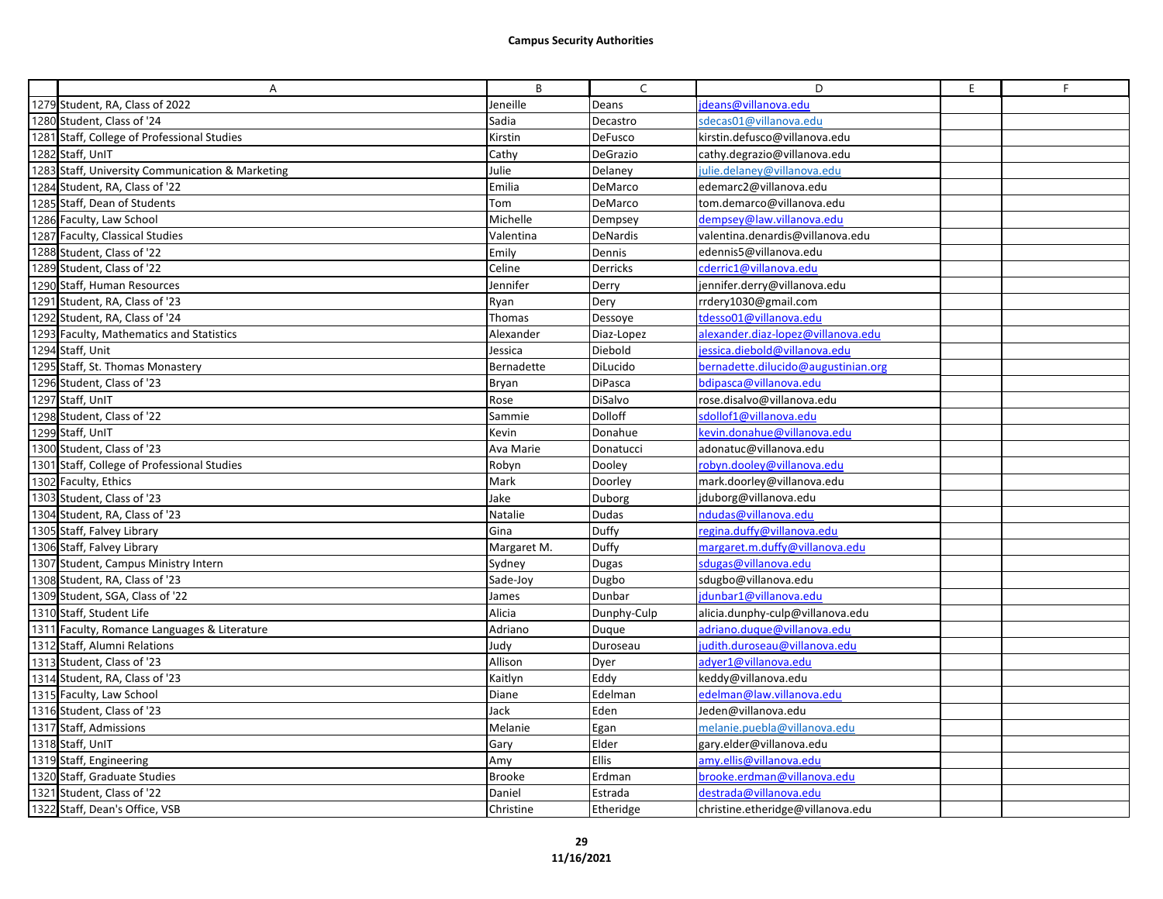| A                                                | B             | $\mathsf{C}$   | D                                   | E | F |
|--------------------------------------------------|---------------|----------------|-------------------------------------|---|---|
| 1279 Student, RA, Class of 2022                  | Jeneille      | Deans          | deans@villanova.edu                 |   |   |
| 1280 Student, Class of '24                       | Sadia         | Decastro       | sdecas01@villanova.edu              |   |   |
| 1281 Staff, College of Professional Studies      | Kirstin       | DeFusco        | kirstin.defusco@villanova.edu       |   |   |
| 1282 Staff, UnIT                                 | Cathy         | DeGrazio       | cathy.degrazio@villanova.edu        |   |   |
| 1283 Staff, University Communication & Marketing | Julie         | Delaney        | julie.delaney@villanova.edu         |   |   |
| 1284 Student, RA, Class of '22                   | Emilia        | DeMarco        | edemarc2@villanova.edu              |   |   |
| 1285 Staff, Dean of Students                     | Tom           | DeMarco        | tom.demarco@villanova.edu           |   |   |
| 1286 Faculty, Law School                         | Michelle      | Dempsey        | dempsey@law.villanova.edu           |   |   |
| 1287 Faculty, Classical Studies                  | Valentina     | DeNardis       | valentina.denardis@villanova.edu    |   |   |
| 1288 Student, Class of '22                       | Emily         | Dennis         | edennis5@villanova.edu              |   |   |
| 1289 Student, Class of '22                       | Celine        | Derricks       | cderric1@villanova.edu              |   |   |
| 1290 Staff, Human Resources                      | Jennifer      | Derry          | jennifer.derry@villanova.edu        |   |   |
| 1291 Student, RA, Class of '23                   | Ryan          | Dery           | rrdery1030@gmail.com                |   |   |
| 1292 Student, RA, Class of '24                   | Thomas        | Dessoye        | tdesso01@villanova.edu              |   |   |
| 1293 Faculty, Mathematics and Statistics         | Alexander     | Diaz-Lopez     | alexander.diaz-lopez@villanova.edu  |   |   |
| 1294 Staff, Unit                                 | Jessica       | Diebold        | essica.diebold@villanova.edu        |   |   |
| 1295 Staff, St. Thomas Monastery                 | Bernadette    | DiLucido       | bernadette.dilucido@augustinian.org |   |   |
| 1296 Student, Class of '23                       | Bryan         | <b>DiPasca</b> | bdipasca@villanova.edu              |   |   |
| 1297 Staff, UnIT                                 | Rose          | DiSalvo        | rose.disalvo@villanova.edu          |   |   |
| 1298 Student, Class of '22                       | Sammie        | Dolloff        | sdollof1@villanova.edu              |   |   |
| 1299 Staff, UnIT                                 | Kevin         | Donahue        | kevin.donahue@villanova.edu         |   |   |
| 1300 Student, Class of '23                       | Ava Marie     | Donatucci      | adonatuc@villanova.edu              |   |   |
| 1301 Staff, College of Professional Studies      | Robyn         | Dooley         | robyn.dooley@villanova.edu          |   |   |
| 1302 Faculty, Ethics                             | Mark          | Doorley        | mark.doorley@villanova.edu          |   |   |
| 1303 Student, Class of '23                       | Jake          | Duborg         | jduborg@villanova.edu               |   |   |
| 1304 Student, RA, Class of '23                   | Natalie       | Dudas          | ndudas@villanova.edu                |   |   |
| 1305 Staff, Falvey Library                       | Gina          | Duffy          | regina.duffy@villanova.edu          |   |   |
| 1306 Staff, Falvey Library                       | Margaret M.   | Duffy          | margaret.m.duffy@villanova.edu      |   |   |
| 1307 Student, Campus Ministry Intern             | Sydney        | Dugas          | sdugas@villanova.edu                |   |   |
| 1308 Student, RA, Class of '23                   | Sade-Joy      | Dugbo          | sdugbo@villanova.edu                |   |   |
| 1309 Student, SGA, Class of '22                  | James         | Dunbar         | dunbar1@villanova.edu               |   |   |
| 1310 Staff, Student Life                         | Alicia        | Dunphy-Culp    | alicia.dunphy-culp@villanova.edu    |   |   |
| 1311 Faculty, Romance Languages & Literature     | Adriano       | Duque          | adriano.dugue@villanova.edu         |   |   |
| 1312 Staff, Alumni Relations                     | Judy          | Duroseau       | udith.duroseau@villanova.edu        |   |   |
| 1313 Student, Class of '23                       | Allison       | Dyer           | adyer1@villanova.edu                |   |   |
| 1314 Student, RA, Class of '23                   | Kaitlyn       | Eddy           | keddy@villanova.edu                 |   |   |
| 1315 Faculty, Law School                         | Diane         | Edelman        | edelman@law.villanova.edu           |   |   |
| 1316 Student, Class of '23                       | Jack          | Eden           | Jeden@villanova.edu                 |   |   |
| 1317 Staff, Admissions                           | Melanie       | Egan           | melanie.puebla@villanova.edu        |   |   |
| 1318 Staff, UnIT                                 | Gary          | Elder          | gary.elder@villanova.edu            |   |   |
| 1319 Staff, Engineering                          | Amy           | <b>Ellis</b>   | amy.ellis@villanova.edu             |   |   |
| 1320 Staff, Graduate Studies                     | <b>Brooke</b> | Erdman         | brooke.erdman@villanova.edu         |   |   |
| 1321 Student, Class of '22                       | Daniel        | Estrada        | destrada@villanova.edu              |   |   |
| 1322 Staff, Dean's Office, VSB                   | Christine     | Etheridge      | christine.etheridge@villanova.edu   |   |   |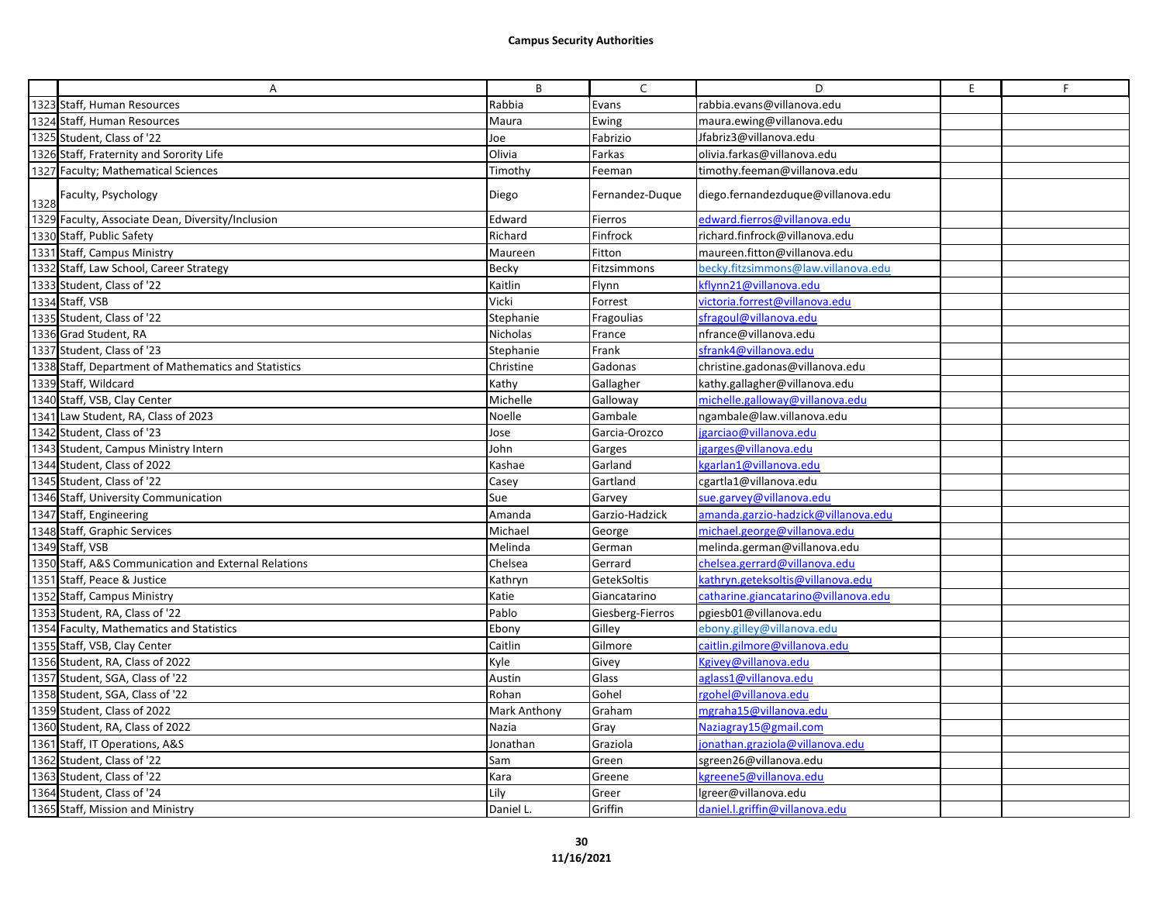|      | A                                                    | B            | $\mathsf{C}$     | D                                    | E | F |
|------|------------------------------------------------------|--------------|------------------|--------------------------------------|---|---|
|      | 1323 Staff, Human Resources                          | Rabbia       | Evans            | rabbia.evans@villanova.edu           |   |   |
|      | 1324 Staff, Human Resources                          | Maura        | Ewing            | maura.ewing@villanova.edu            |   |   |
|      | 1325 Student, Class of '22                           | Joe          | Fabrizio         | Jfabriz3@villanova.edu               |   |   |
|      | 1326 Staff, Fraternity and Sorority Life             | Olivia       | Farkas           | olivia.farkas@villanova.edu          |   |   |
|      | 1327 Faculty; Mathematical Sciences                  | Timothy      | Feeman           | timothy.feeman@villanova.edu         |   |   |
| 1328 | Faculty, Psychology                                  | Diego        | Fernandez-Duque  | diego.fernandezdugue@villanova.edu   |   |   |
|      | 1329 Faculty, Associate Dean, Diversity/Inclusion    | Edward       | Fierros          | edward.fierros@villanova.edu         |   |   |
|      | 1330 Staff, Public Safety                            | Richard      | Finfrock         | richard.finfrock@villanova.edu       |   |   |
|      | 1331 Staff, Campus Ministry                          | Maureen      | Fitton           | maureen.fitton@villanova.edu         |   |   |
|      | 1332 Staff, Law School, Career Strategy              | Becky        | Fitzsimmons      | becky.fitzsimmons@law.villanova.edu  |   |   |
|      | 1333 Student, Class of '22                           | Kaitlin      | Flynn            | kflynn21@villanova.edu               |   |   |
|      | 1334 Staff, VSB                                      | Vicki        | Forrest          | victoria.forrest@villanova.edu       |   |   |
|      | 1335 Student, Class of '22                           | Stephanie    | Fragoulias       | sfragoul@villanova.edu               |   |   |
|      | 1336 Grad Student, RA                                | Nicholas     | France           | nfrance@villanova.edu                |   |   |
|      | 1337 Student, Class of '23                           | Stephanie    | Frank            | sfrank4@villanova.edu                |   |   |
|      | 1338 Staff, Department of Mathematics and Statistics | Christine    | Gadonas          | christine.gadonas@villanova.edu      |   |   |
|      | 1339 Staff, Wildcard                                 | Kathy        | Gallagher        | kathy.gallagher@villanova.edu        |   |   |
|      | 1340 Staff, VSB, Clay Center                         | Michelle     | Galloway         | michelle.galloway@villanova.edu      |   |   |
|      | 1341 Law Student, RA, Class of 2023                  | Noelle       | Gambale          | ngambale@law.villanova.edu           |   |   |
|      | 1342 Student, Class of '23                           | Jose         | Garcia-Orozco    | jgarciao@villanova.edu               |   |   |
|      | 1343 Student, Campus Ministry Intern                 | John         | Garges           | garges@villanova.edu                 |   |   |
|      | 1344 Student, Class of 2022                          | Kashae       | Garland          | kgarlan1@villanova.edu               |   |   |
|      | 1345 Student, Class of '22                           | Casey        | Gartland         | cgartla1@villanova.edu               |   |   |
|      | 1346 Staff, University Communication                 | Sue          | Garvey           | sue.garvey@villanova.edu             |   |   |
|      | 1347 Staff, Engineering                              | Amanda       | Garzio-Hadzick   | amanda.garzio-hadzick@villanova.edu  |   |   |
|      | 1348 Staff, Graphic Services                         | Michael      | George           | michael.george@villanova.edu         |   |   |
|      | 1349 Staff, VSB                                      | Melinda      | German           | melinda.german@villanova.edu         |   |   |
|      | 1350 Staff, A&S Communication and External Relations | Chelsea      | Gerrard          | chelsea.gerrard@villanova.edu        |   |   |
|      | 1351 Staff, Peace & Justice                          | Kathryn      | GetekSoltis      | kathryn.geteksoltis@villanova.edu    |   |   |
|      | 1352 Staff, Campus Ministry                          | Katie        | Giancatarino     | catharine.giancatarino@villanova.edu |   |   |
|      | 1353 Student, RA, Class of '22                       | Pablo        | Giesberg-Fierros | pgiesb01@villanova.edu               |   |   |
|      | 1354 Faculty, Mathematics and Statistics             | Ebony        | Gilley           | ebony.gilley@villanova.edu           |   |   |
|      | 1355 Staff, VSB, Clay Center                         | Caitlin      | Gilmore          | caitlin.gilmore@villanova.edu        |   |   |
|      | 1356 Student, RA, Class of 2022                      | Kyle         | Givey            | Kgivey@villanova.edu                 |   |   |
|      | 1357 Student, SGA, Class of '22                      | Austin       | Glass            | aglass1@villanova.edu                |   |   |
|      | 1358 Student, SGA, Class of '22                      | Rohan        | Gohel            | rgohel@villanova.edu                 |   |   |
|      | 1359 Student, Class of 2022                          | Mark Anthony | Graham           | mgraha15@villanova.edu               |   |   |
|      | 1360 Student, RA, Class of 2022                      | Nazia        | Gray             | Naziagray15@gmail.com                |   |   |
|      | 1361 Staff, IT Operations, A&S                       | Jonathan     | Graziola         | jonathan.graziola@villanova.edu      |   |   |
|      | 1362 Student, Class of '22                           | Sam          | Green            | sgreen26@villanova.edu               |   |   |
|      | 1363 Student, Class of '22                           | Kara         | Greene           | kgreene5@villanova.edu               |   |   |
|      | 1364 Student, Class of '24                           | Lily         | Greer            | lgreer@villanova.edu                 |   |   |
|      | 1365 Staff, Mission and Ministry                     | Daniel L     | Griffin          | daniel.l.griffin@villanova.edu       |   |   |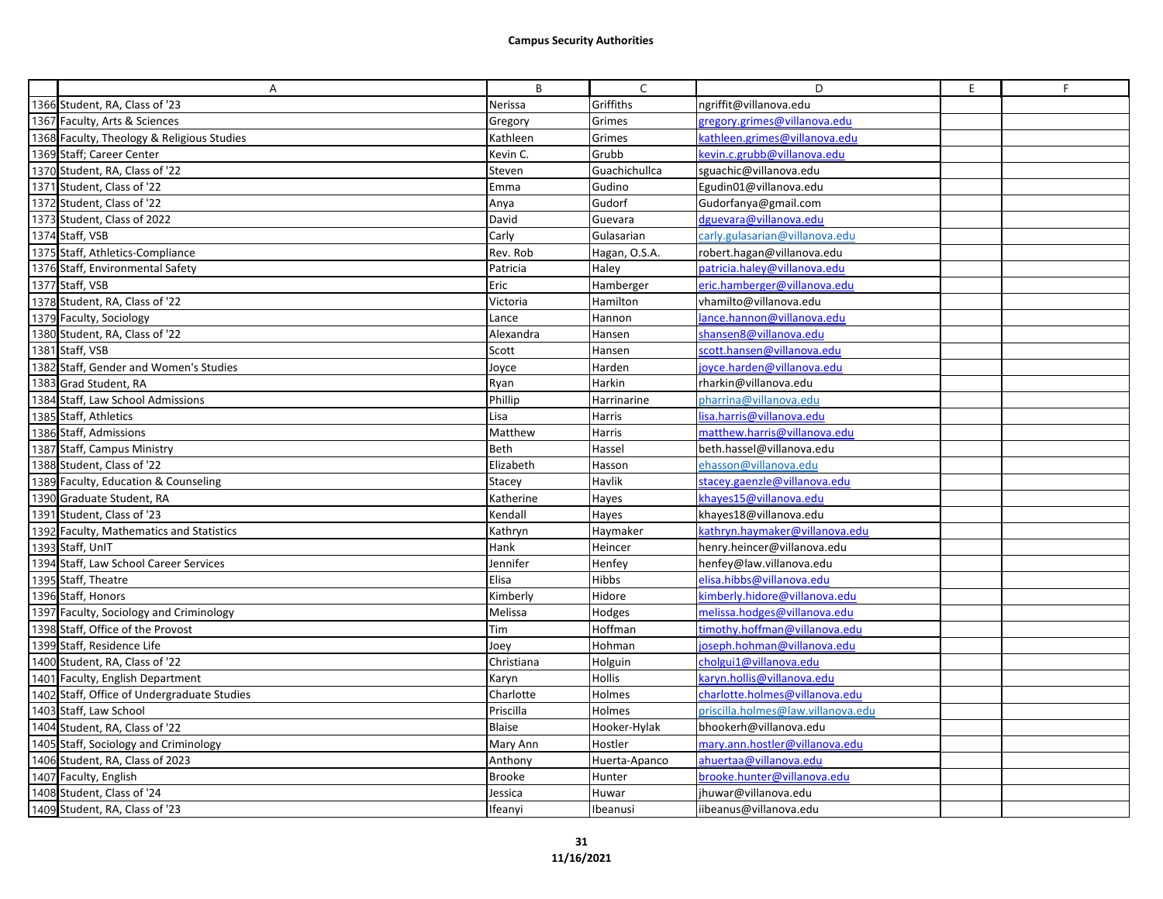| Α                                           | B             | C             | D                                  | E. | F |
|---------------------------------------------|---------------|---------------|------------------------------------|----|---|
| 1366 Student, RA, Class of '23              | Nerissa       | Griffiths     | ngriffit@villanova.edu             |    |   |
| 1367 Faculty, Arts & Sciences               | Gregory       | Grimes        | gregory.grimes@villanova.edu       |    |   |
| 1368 Faculty, Theology & Religious Studies  | Kathleen      | Grimes        | kathleen.grimes@villanova.edu      |    |   |
| 1369 Staff; Career Center                   | Kevin C.      | Grubb         | kevin.c.grubb@villanova.edu        |    |   |
| 1370 Student, RA, Class of '22              | Steven        | Guachichullca | sguachic@villanova.edu             |    |   |
| 1371 Student, Class of '22                  | Emma          | Gudino        | Egudin01@villanova.edu             |    |   |
| 1372 Student, Class of '22                  | Anya          | Gudorf        | Gudorfanya@gmail.com               |    |   |
| 1373 Student, Class of 2022                 | David         | Guevara       | dguevara@villanova.edu             |    |   |
| 1374 Staff, VSB                             | Carly         | Gulasarian    | carly.gulasarian@villanova.edu     |    |   |
| 1375 Staff, Athletics-Compliance            | Rev. Rob      | Hagan, O.S.A. | robert.hagan@villanova.edu         |    |   |
| 1376 Staff, Environmental Safety            | Patricia      | Haley         | patricia.haley@villanova.edu       |    |   |
| 1377 Staff, VSB                             | Eric          | Hamberger     | eric.hamberger@villanova.edu       |    |   |
| 1378 Student, RA, Class of '22              | Victoria      | Hamilton      | vhamilto@villanova.edu             |    |   |
| 1379 Faculty, Sociology                     | Lance         | Hannon        | lance.hannon@villanova.edu         |    |   |
| 1380 Student, RA, Class of '22              | Alexandra     | Hansen        | shansen8@villanova.edu             |    |   |
| 1381 Staff, VSB                             | Scott         | Hansen        | scott.hansen@villanova.edu         |    |   |
| 1382 Staff, Gender and Women's Studies      | Joyce         | Harden        | joyce.harden@villanova.edu         |    |   |
| 1383 Grad Student, RA                       | Ryan          | Harkin        | rharkin@villanova.edu              |    |   |
| 1384 Staff, Law School Admissions           | Phillip       | Harrinarine   | pharrina@villanova.edu             |    |   |
| 1385 Staff, Athletics                       | Lisa          | Harris        | lisa.harris@villanova.edu          |    |   |
| 1386 Staff, Admissions                      | Matthew       | Harris        | matthew.harris@villanova.edu       |    |   |
| 1387 Staff, Campus Ministry                 | Beth          | Hassel        | beth.hassel@villanova.edu          |    |   |
| 1388 Student, Class of '22                  | Elizabeth     | Hasson        | ehasson@villanova.edu              |    |   |
| 1389 Faculty, Education & Counseling        | Stacey        | Havlik        | stacey.gaenzle@villanova.edu       |    |   |
| 1390 Graduate Student, RA                   | Katherine     | Hayes         | khayes15@villanova.edu             |    |   |
| 1391 Student, Class of '23                  | Kendall       | Hayes         | khayes18@villanova.edu             |    |   |
| 1392 Faculty, Mathematics and Statistics    | Kathryn       | Haymaker      | kathryn.haymaker@villanova.edu     |    |   |
| 1393 Staff, UnIT                            | Hank          | Heincer       | henry.heincer@villanova.edu        |    |   |
| 1394 Staff, Law School Career Services      | Jennifer      | Henfey        | henfey@law.villanova.edu           |    |   |
| 1395 Staff, Theatre                         | Elisa         | <b>Hibbs</b>  | elisa.hibbs@villanova.edu          |    |   |
| 1396 Staff, Honors                          | Kimberly      | Hidore        | kimberly.hidore@villanova.edu      |    |   |
| 1397 Faculty, Sociology and Criminology     | Melissa       | Hodges        | melissa.hodges@villanova.edu       |    |   |
| 1398 Staff, Office of the Provost           | Tim           | Hoffman       | timothy.hoffman@villanova.edu      |    |   |
| 1399 Staff, Residence Life                  | Joey          | Hohman        | joseph.hohman@villanova.edu        |    |   |
| 1400 Student, RA, Class of '22              | Christiana    | Holguin       | cholgui1@villanova.edu             |    |   |
| 1401 Faculty, English Department            | Karyn         | Hollis        | karyn.hollis@villanova.edu         |    |   |
| 1402 Staff, Office of Undergraduate Studies | Charlotte     | Holmes        | charlotte.holmes@villanova.edu     |    |   |
| 1403 Staff, Law School                      | Priscilla     | Holmes        | priscilla.holmes@law.villanova.edu |    |   |
| 1404 Student, RA, Class of '22              | Blaise        | Hooker-Hylak  | bhookerh@villanova.edu             |    |   |
| 1405 Staff, Sociology and Criminology       | Mary Ann      | Hostler       | mary.ann.hostler@villanova.edu     |    |   |
| 1406 Student, RA, Class of 2023             | Anthony       | Huerta-Apanco | ahuertaa@villanova.edu             |    |   |
| 1407 Faculty, English                       | <b>Brooke</b> | Hunter        | brooke.hunter@villanova.edu        |    |   |
| 1408 Student, Class of '24                  | Jessica       | Huwar         | jhuwar@villanova.edu               |    |   |
| 1409 Student, RA, Class of '23              | Ifeanyi       | Ibeanusi      | iibeanus@villanova.edu             |    |   |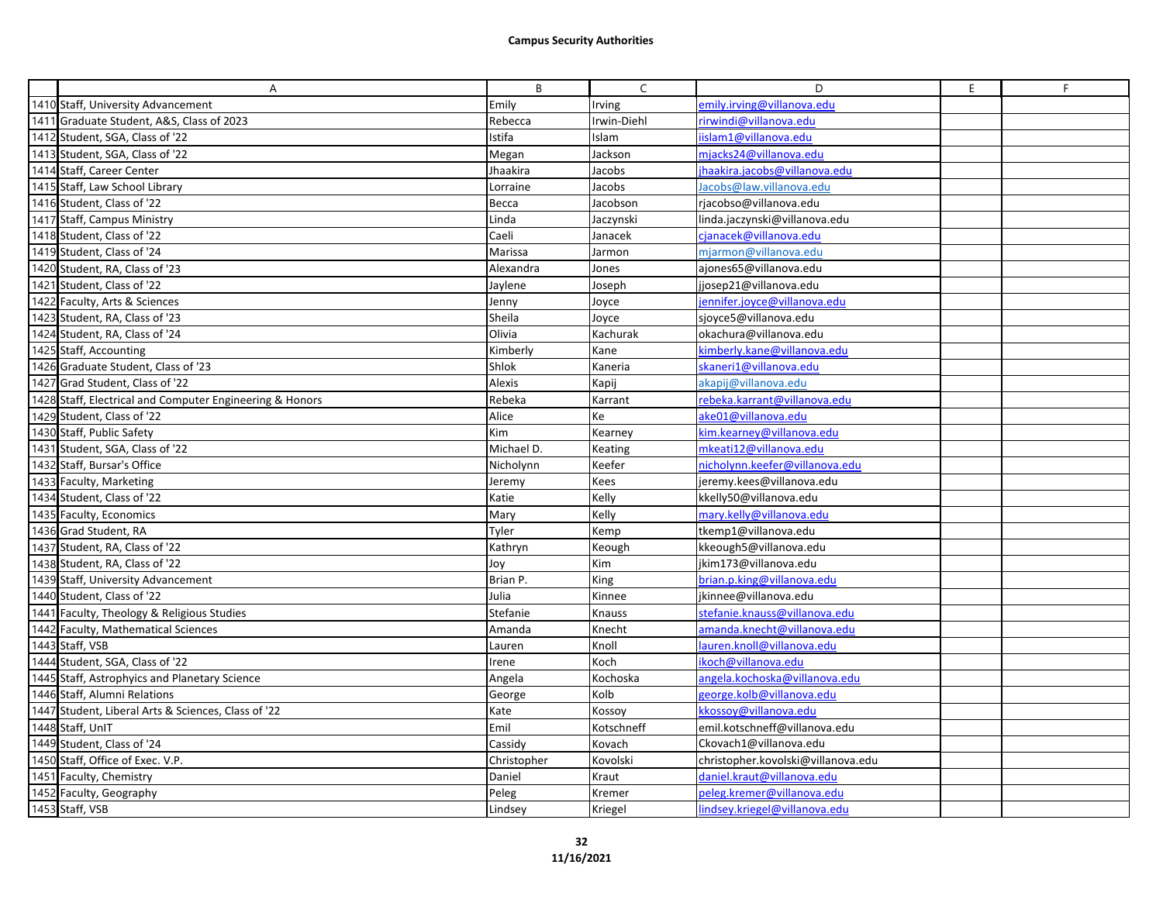| A                                                        | B           | $\mathsf{C}$ | D                                  | E. | F |
|----------------------------------------------------------|-------------|--------------|------------------------------------|----|---|
| 1410 Staff, University Advancement                       | Emily       | Irving       | emily.irving@villanova.edu         |    |   |
| 1411 Graduate Student, A&S, Class of 2023                | Rebecca     | Irwin-Diehl  | rirwindi@villanova.edu             |    |   |
| 1412 Student, SGA, Class of '22                          | Istifa      | Islam        | iislam1@villanova.edu              |    |   |
| 1413 Student, SGA, Class of '22                          | Megan       | Jackson      | mjacks24@villanova.edu             |    |   |
| 1414 Staff, Career Center                                | Jhaakira    | Jacobs       | jhaakira.jacobs@villanova.edu      |    |   |
| 1415 Staff, Law School Library                           | Lorraine    | Jacobs       | Jacobs@law.villanova.edu           |    |   |
| 1416 Student, Class of '22                               | Becca       | Jacobson     | rjacobso@villanova.edu             |    |   |
| 1417 Staff, Campus Ministry                              | Linda       | Jaczynski    | linda.jaczynski@villanova.edu      |    |   |
| 1418 Student, Class of '22                               | Caeli       | Janacek      | cjanacek@villanova.edu             |    |   |
| 1419 Student, Class of '24                               | Marissa     | Jarmon       | mjarmon@villanova.edu              |    |   |
| 1420 Student, RA, Class of '23                           | Alexandra   | Jones        | ajones65@villanova.edu             |    |   |
| 1421 Student, Class of '22                               | Jaylene     | Joseph       | jjosep21@villanova.edu             |    |   |
| 1422 Faculty, Arts & Sciences                            | Jenny       | Joyce        | jennifer.joyce@villanova.edu       |    |   |
| 1423 Student, RA, Class of '23                           | Sheila      | Joyce        | sjoyce5@villanova.edu              |    |   |
| 1424 Student, RA, Class of '24                           | Olivia      | Kachurak     | okachura@villanova.edu             |    |   |
| 1425 Staff, Accounting                                   | Kimberly    | Kane         | kimberly.kane@villanova.edu        |    |   |
| 1426 Graduate Student, Class of '23                      | Shlok       | Kaneria      | skaneri1@villanova.edu             |    |   |
| 1427 Grad Student, Class of '22                          | Alexis      | Kapij        | akapij@villanova.edu               |    |   |
| 1428 Staff, Electrical and Computer Engineering & Honors | Rebeka      | Karrant      | rebeka.karrant@villanova.edu       |    |   |
| 1429 Student, Class of '22                               | Alice       | Ke           | ake01@villanova.edu                |    |   |
| 1430 Staff, Public Safety                                | Kim         | Kearney      | kim.kearney@villanova.edu          |    |   |
| 1431 Student, SGA, Class of '22                          | Michael D.  | Keating      | mkeati12@villanova.edu             |    |   |
| 1432 Staff, Bursar's Office                              | Nicholynn   | Keefer       | nicholynn.keefer@villanova.edu     |    |   |
| 1433 Faculty, Marketing                                  | Jeremy      | Kees         | jeremy.kees@villanova.edu          |    |   |
| 1434 Student, Class of '22                               | Katie       | Kelly        | kkelly50@villanova.edu             |    |   |
| 1435 Faculty, Economics                                  | Mary        | Kelly        | mary.kelly@villanova.edu           |    |   |
| 1436 Grad Student, RA                                    | Tyler       | Kemp         | tkemp1@villanova.edu               |    |   |
| 1437 Student, RA, Class of '22                           | Kathryn     | Keough       | kkeough5@villanova.edu             |    |   |
| 1438 Student, RA, Class of '22                           | Joy         | Kim          | jkim173@villanova.edu              |    |   |
| 1439 Staff, University Advancement                       | Brian P.    | King         | brian.p.king@villanova.edu         |    |   |
| 1440 Student, Class of '22                               | Julia       | Kinnee       | jkinnee@villanova.edu              |    |   |
| 1441 Faculty, Theology & Religious Studies               | Stefanie    | Knauss       | stefanie.knauss@villanova.edu      |    |   |
| 1442 Faculty, Mathematical Sciences                      | Amanda      | Knecht       | amanda.knecht@villanova.edu        |    |   |
| 1443 Staff, VSB                                          | Lauren      | Knoll        | lauren.knoll@villanova.edu         |    |   |
| 1444 Student, SGA, Class of '22                          | Irene       | Koch         | ikoch@villanova.edu                |    |   |
| 1445 Staff, Astrophyics and Planetary Science            | Angela      | Kochoska     | angela.kochoska@villanova.edu      |    |   |
| 1446 Staff, Alumni Relations                             | George      | Kolb         | george.kolb@villanova.edu          |    |   |
| 1447 Student, Liberal Arts & Sciences, Class of '22      | Kate        | Kossoy       | kkossoy@villanova.edu              |    |   |
| 1448 Staff, UnIT                                         | Emil        | Kotschneff   | emil.kotschneff@villanova.edu      |    |   |
| 1449 Student, Class of '24                               | Cassidy     | Kovach       | Ckovach1@villanova.edu             |    |   |
| 1450 Staff, Office of Exec. V.P.                         | Christopher | Kovolski     | christopher.kovolski@villanova.edu |    |   |
| 1451 Faculty, Chemistry                                  | Daniel      | Kraut        | daniel.kraut@villanova.edu         |    |   |
| 1452 Faculty, Geography                                  | Peleg       | Kremer       | peleg.kremer@villanova.edu         |    |   |
| 1453 Staff, VSB                                          | Lindsey     | Kriegel      | lindsey.kriegel@villanova.edu      |    |   |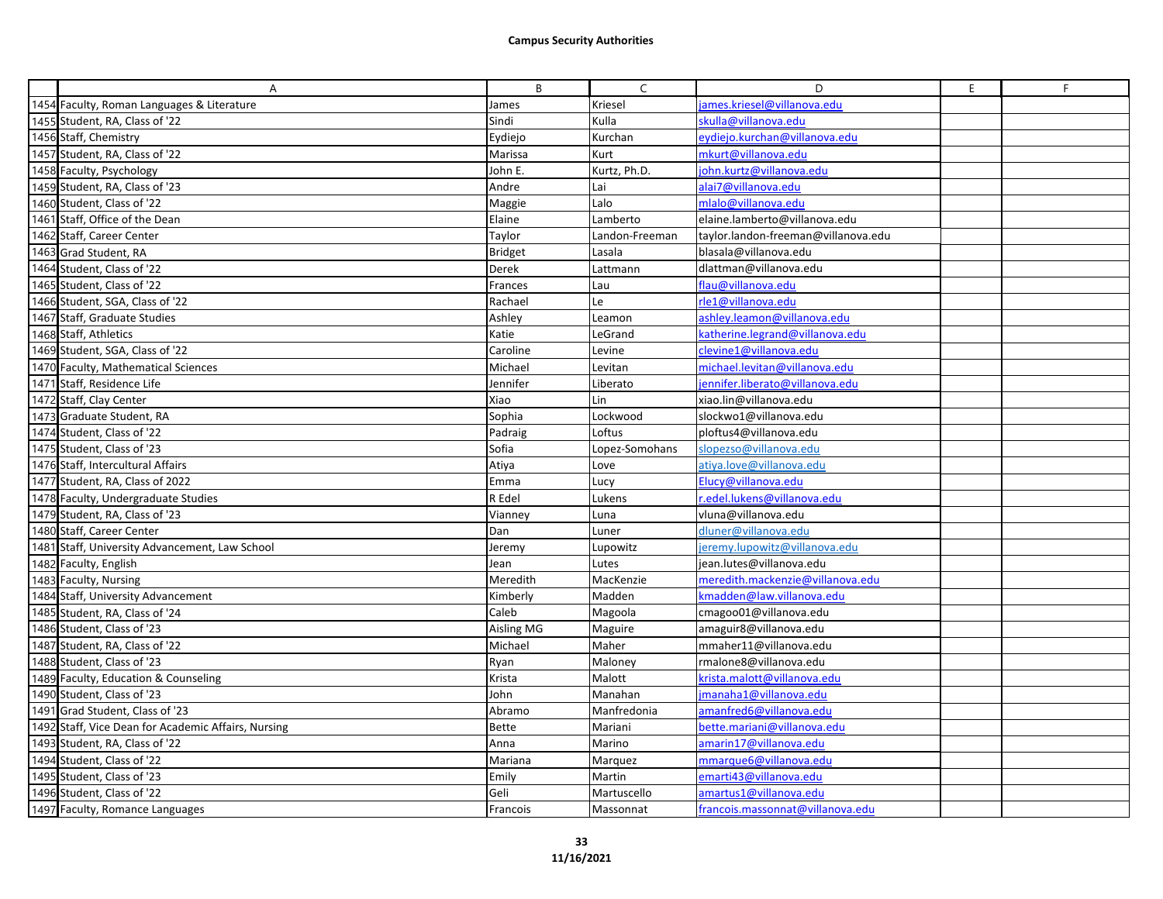| Α                                                   | B              | $\mathsf{C}$   | D                                   | E | F |
|-----------------------------------------------------|----------------|----------------|-------------------------------------|---|---|
| 1454 Faculty, Roman Languages & Literature          | James          | Kriesel        | ames.kriesel@villanova.edu          |   |   |
| 1455 Student, RA, Class of '22                      | Sindi          | Kulla          | skulla@villanova.edu                |   |   |
| 1456 Staff, Chemistry                               | Eydiejo        | Kurchan        | eydiejo.kurchan@villanova.edu       |   |   |
| 1457 Student, RA, Class of '22                      | Marissa        | Kurt           | mkurt@villanova.edu                 |   |   |
| 1458 Faculty, Psychology                            | John E.        | Kurtz, Ph.D.   | john.kurtz@villanova.edu            |   |   |
| 1459 Student, RA, Class of '23                      | Andre          | Lai            | alai7@villanova.edu                 |   |   |
| 1460 Student, Class of '22                          | Maggie         | Lalo           | mlalo@villanova.edu                 |   |   |
| 1461 Staff, Office of the Dean                      | Elaine         | Lamberto       | elaine.lamberto@villanova.edu       |   |   |
| 1462 Staff, Career Center                           | Taylor         | Landon-Freeman | taylor.landon-freeman@villanova.edu |   |   |
| 1463 Grad Student, RA                               | <b>Bridget</b> | Lasala         | blasala@villanova.edu               |   |   |
| 1464 Student, Class of '22                          | Derek          | Lattmann       | dlattman@villanova.edu              |   |   |
| 1465 Student, Class of '22                          | Frances        | Lau            | flau@villanova.edu                  |   |   |
| 1466 Student, SGA, Class of '22                     | Rachael        | Le             | rle1@villanova.edu                  |   |   |
| 1467 Staff, Graduate Studies                        | Ashley         | Leamon         | ashley.leamon@villanova.edu         |   |   |
| 1468 Staff, Athletics                               | Katie          | LeGrand        | katherine.legrand@villanova.edu     |   |   |
| 1469 Student, SGA, Class of '22                     | Caroline       | Levine         | clevine1@villanova.edu              |   |   |
| 1470 Faculty, Mathematical Sciences                 | Michael        | Levitan        | michael.levitan@villanova.edu       |   |   |
| 1471 Staff, Residence Life                          | Jennifer       | Liberato       | jennifer.liberato@villanova.edu     |   |   |
| 1472 Staff, Clay Center                             | Xiao           | Lin            | xiao.lin@villanova.edu              |   |   |
| 1473 Graduate Student, RA                           | Sophia         | Lockwood       | slockwo1@villanova.edu              |   |   |
| 1474 Student, Class of '22                          | Padraig        | Loftus         | ploftus4@villanova.edu              |   |   |
| 1475 Student, Class of '23                          | Sofia          | Lopez-Somohans | slopezso@villanova.edu              |   |   |
| 1476 Staff, Intercultural Affairs                   | Atiya          | Love           | atiya.love@villanova.edu            |   |   |
| 1477 Student, RA, Class of 2022                     | Emma           | Lucy           | Elucy@villanova.edu                 |   |   |
| 1478 Faculty, Undergraduate Studies                 | R Edel         | Lukens         | .edel.lukens@villanova.edu          |   |   |
| 1479 Student, RA, Class of '23                      | Vianney        | Luna           | vluna@villanova.edu                 |   |   |
| 1480 Staff, Career Center                           | Dan            | Luner          | dluner@villanova.edu                |   |   |
| 1481 Staff, University Advancement, Law School      | Jeremy         | Lupowitz       | jeremy.lupowitz@villanova.edu       |   |   |
| 1482 Faculty, English                               | Jean           | Lutes          | jean.lutes@villanova.edu            |   |   |
| 1483 Faculty, Nursing                               | Meredith       | MacKenzie      | meredith.mackenzie@villanova.edu    |   |   |
| 1484 Staff, University Advancement                  | Kimberly       | Madden         | kmadden@law.villanova.edu           |   |   |
| 1485 Student, RA, Class of '24                      | Caleb          | Magoola        | cmagoo01@villanova.edu              |   |   |
| 1486 Student, Class of '23                          | Aisling MG     | Maguire        | amaguir8@villanova.edu              |   |   |
| 1487 Student, RA, Class of '22                      | Michael        | Maher          | mmaher11@villanova.edu              |   |   |
| 1488 Student, Class of '23                          | Ryan           | Maloney        | rmalone8@villanova.edu              |   |   |
| 1489 Faculty, Education & Counseling                | Krista         | Malott         | krista.malott@villanova.edu         |   |   |
| 1490 Student, Class of '23                          | John           | Manahan        | jmanaha1@villanova.edu              |   |   |
| 1491 Grad Student, Class of '23                     | Abramo         | Manfredonia    | amanfred6@villanova.edu             |   |   |
| 1492 Staff, Vice Dean for Academic Affairs, Nursing | Bette          | Mariani        | bette.mariani@villanova.edu         |   |   |
| 1493 Student, RA, Class of '22                      | Anna           | Marino         | amarin17@villanova.edu              |   |   |
| 1494 Student, Class of '22                          | Mariana        | Marquez        | mmarque6@villanova.edu              |   |   |
| 1495 Student, Class of '23                          | Emily          | Martin         | emarti43@villanova.edu              |   |   |
| 1496 Student, Class of '22                          | Geli           | Martuscello    | amartus1@villanova.edu              |   |   |
| 1497 Faculty, Romance Languages                     | Francois       | Massonnat      | francois.massonnat@villanova.edu    |   |   |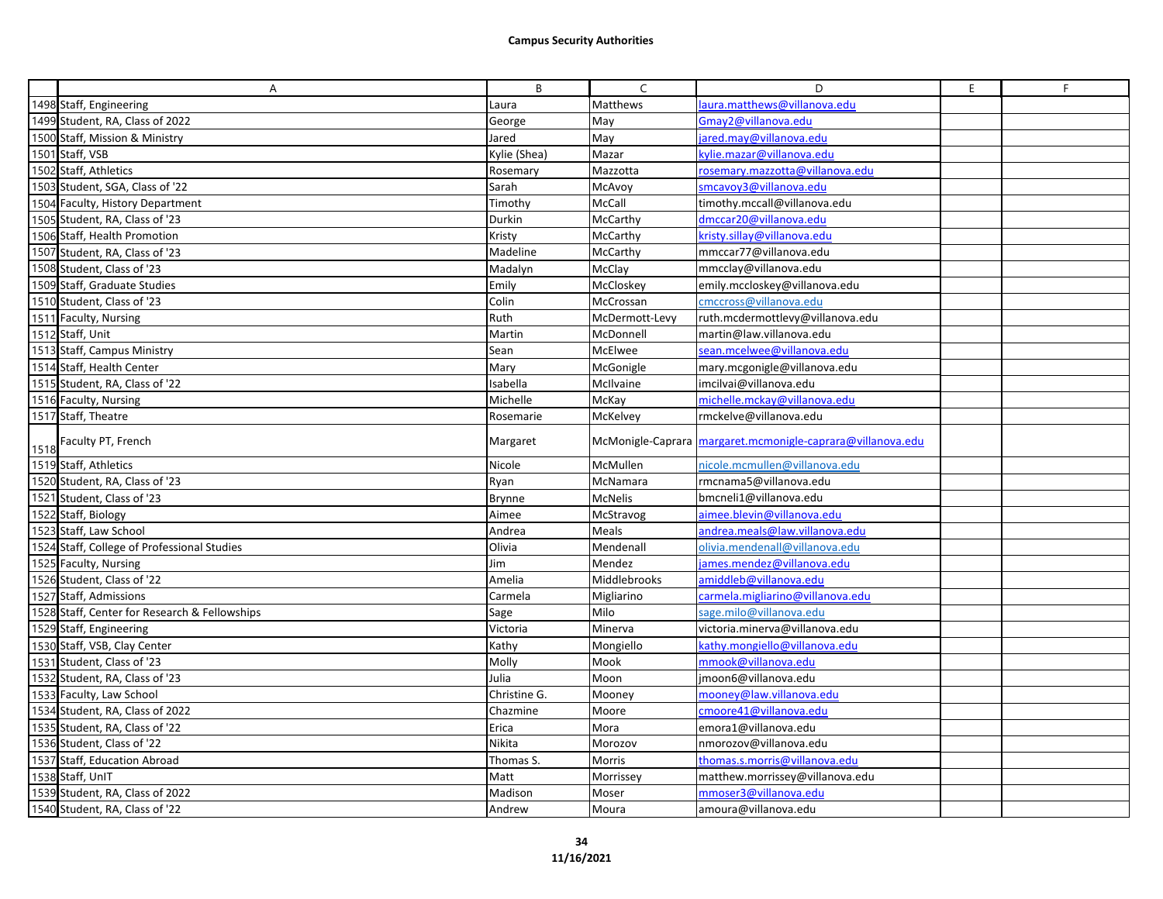|      | A                                             | B             | $\mathsf{C}$   | D                                                          | E. | F |
|------|-----------------------------------------------|---------------|----------------|------------------------------------------------------------|----|---|
|      | 1498 Staff, Engineering                       | Laura         | Matthews       | aura.matthews@villanova.edu                                |    |   |
|      | 1499 Student, RA, Class of 2022               | George        | May            | Gmay2@villanova.edu                                        |    |   |
|      | 1500 Staff, Mission & Ministry                | Jared         | May            | ared.may@villanova.edu                                     |    |   |
|      | 1501 Staff, VSB                               | Kylie (Shea)  | Mazar          | cylie.mazar@villanova.edu                                  |    |   |
|      | 1502 Staff, Athletics                         | Rosemary      | Mazzotta       | rosemary.mazzotta@villanova.edu                            |    |   |
|      | 1503 Student, SGA, Class of '22               | Sarah         | McAvoy         | smcavoy3@villanova.edu                                     |    |   |
|      | 1504 Faculty, History Department              | Timothy       | McCall         | timothy.mccall@villanova.edu                               |    |   |
|      | 1505 Student, RA, Class of '23                | Durkin        | McCarthy       | dmccar20@villanova.edu                                     |    |   |
|      | 1506 Staff, Health Promotion                  | Kristy        | McCarthy       | kristy.sillay@villanova.edu                                |    |   |
|      | 1507 Student, RA, Class of '23                | Madeline      | McCarthy       | mmccar77@villanova.edu                                     |    |   |
|      | 1508 Student, Class of '23                    | Madalyn       | McClay         | mmcclay@villanova.edu                                      |    |   |
|      | 1509 Staff, Graduate Studies                  | Emily         | McCloskey      | emily.mccloskey@villanova.edu                              |    |   |
|      | 1510 Student, Class of '23                    | Colin         | McCrossan      | cmccross@villanova.edu                                     |    |   |
|      | 1511 Faculty, Nursing                         | Ruth          | McDermott-Levy | ruth.mcdermottlevy@villanova.edu                           |    |   |
|      | 1512 Staff, Unit                              | Martin        | McDonnell      | martin@law.villanova.edu                                   |    |   |
|      | 1513 Staff, Campus Ministry                   | Sean          | McElwee        | sean.mcelwee@villanova.edu                                 |    |   |
|      | 1514 Staff, Health Center                     | Mary          | McGonigle      | mary.mcgonigle@villanova.edu                               |    |   |
|      | 1515 Student, RA, Class of '22                | Isabella      | McIlvaine      | imcilvai@villanova.edu                                     |    |   |
|      | 1516 Faculty, Nursing                         | Michelle      | McKay          | michelle.mckay@villanova.edu                               |    |   |
|      | 1517 Staff, Theatre                           | Rosemarie     | McKelvey       | rmckelve@villanova.edu                                     |    |   |
| 1518 | Faculty PT, French                            | Margaret      |                | McMonigle-Caprara margaret.mcmonigle-caprara@villanova.edu |    |   |
|      | 1519 Staff, Athletics                         | Nicole        | McMullen       | nicole.mcmullen@villanova.edu                              |    |   |
|      | 1520 Student, RA, Class of '23                | Ryan          | McNamara       | rmcnama5@villanova.edu                                     |    |   |
|      | 1521 Student, Class of '23                    | Brynne        | McNelis        | bmcneli1@villanova.edu                                     |    |   |
|      | 1522 Staff, Biology                           | Aimee         | McStravog      | aimee.blevin@villanova.edu                                 |    |   |
|      | 1523 Staff, Law School                        | Andrea        | Meals          | andrea.meals@law.villanova.edu                             |    |   |
|      | 1524 Staff, College of Professional Studies   | Olivia        | Mendenall      | olivia.mendenall@villanova.edu                             |    |   |
|      | 1525 Faculty, Nursing                         | Jim           | Mendez         | james.mendez@villanova.edu                                 |    |   |
|      | 1526 Student, Class of '22                    | Amelia        | Middlebrooks   | amiddleb@villanova.edu                                     |    |   |
|      | 1527 Staff, Admissions                        | Carmela       | Migliarino     | carmela.migliarino@villanova.edu                           |    |   |
|      | 1528 Staff, Center for Research & Fellowships | Sage          | Milo           | sage.milo@villanova.edu                                    |    |   |
|      | 1529 Staff, Engineering                       | Victoria      | Minerva        | victoria.minerva@villanova.edu                             |    |   |
|      | 1530 Staff, VSB, Clay Center                  | Kathy         | Mongiello      | kathy.mongiello@villanova.edu                              |    |   |
|      | 1531 Student, Class of '23                    | Molly         | Mook           | mmook@villanova.edu                                        |    |   |
|      | 1532 Student, RA, Class of '23                | Julia         | Moon           | jmoon6@villanova.edu                                       |    |   |
|      | 1533 Faculty, Law School                      | Christine G.  | Mooney         | mooney@law.villanova.edu                                   |    |   |
|      | 1534 Student, RA, Class of 2022               | Chazmine      | Moore          | cmoore41@villanova.edu                                     |    |   |
|      | 1535 Student, RA, Class of '22                | Erica         | Mora           | emora1@villanova.edu                                       |    |   |
|      | 1536 Student, Class of '22                    | <b>Nikita</b> | Morozov        | nmorozov@villanova.edu                                     |    |   |
|      | 1537 Staff, Education Abroad                  | Thomas S.     | Morris         | thomas.s.morris@villanova.edu                              |    |   |
|      | 1538 Staff, UnIT                              | Matt          | Morrissey      | matthew.morrissey@villanova.edu                            |    |   |
|      | 1539 Student, RA, Class of 2022               | Madison       | Moser          | mmoser3@villanova.edu                                      |    |   |
|      | 1540 Student, RA, Class of '22                | Andrew        | Moura          | amoura@villanova.edu                                       |    |   |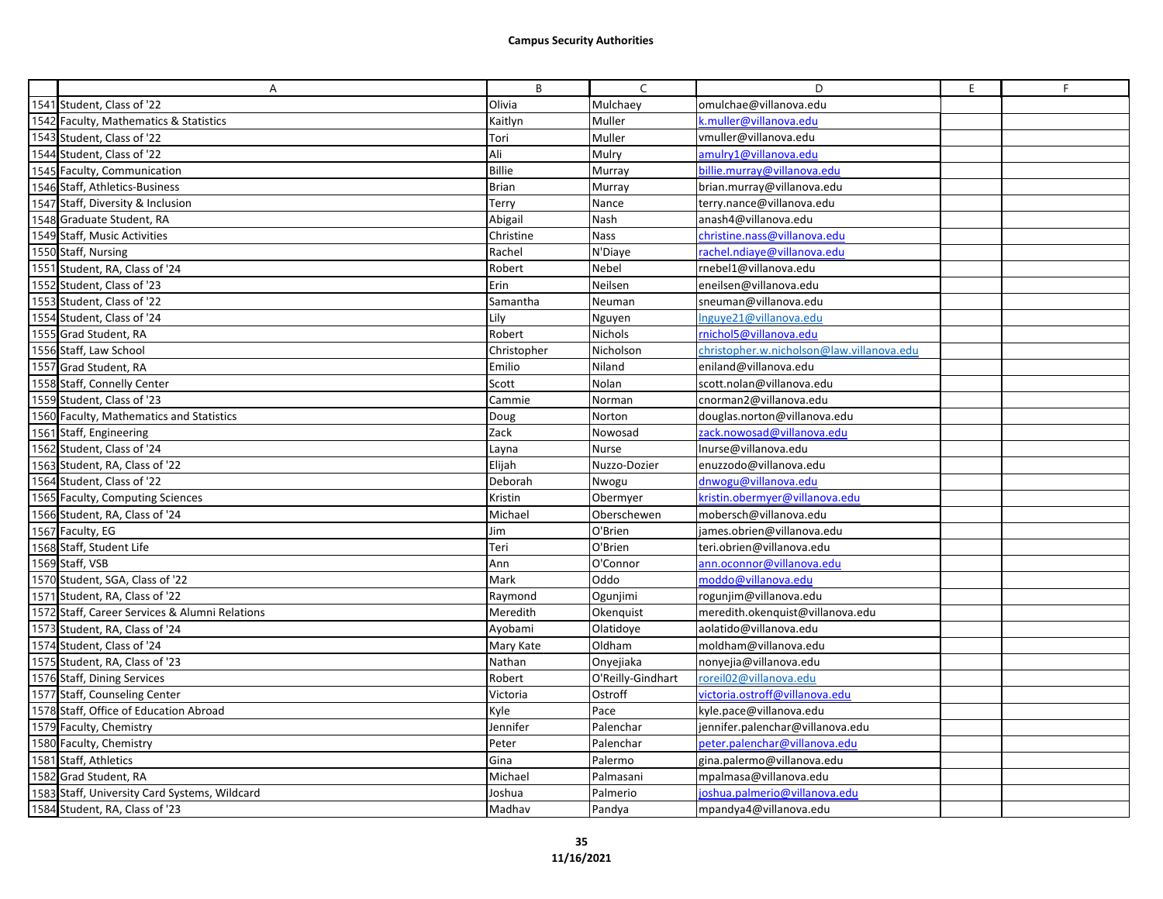| A                                              | B             | C                 | D                                         | E | F |
|------------------------------------------------|---------------|-------------------|-------------------------------------------|---|---|
| 1541 Student, Class of '22                     | Olivia        | Mulchaey          | omulchae@villanova.edu                    |   |   |
| 1542 Faculty, Mathematics & Statistics         | Kaitlyn       | Muller            | k.muller@villanova.edu                    |   |   |
| 1543 Student, Class of '22                     | Tori          | Muller            | vmuller@villanova.edu                     |   |   |
| 1544 Student, Class of '22                     | Ali           | Mulry             | amulry1@villanova.edu                     |   |   |
| 1545 Faculty, Communication                    | <b>Billie</b> | Murray            | billie.murray@villanova.edu               |   |   |
| 1546 Staff, Athletics-Business                 | <b>Brian</b>  | Murray            | brian.murray@villanova.edu                |   |   |
| 1547 Staff, Diversity & Inclusion              | Terry         | Nance             | terry.nance@villanova.edu                 |   |   |
| 1548 Graduate Student, RA                      | Abigail       | Nash              | anash4@villanova.edu                      |   |   |
| 1549 Staff, Music Activities                   | Christine     | Nass              | christine.nass@villanova.edu              |   |   |
| 1550 Staff, Nursing                            | Rachel        | N'Diaye           | rachel.ndiaye@villanova.edu               |   |   |
| 1551 Student, RA, Class of '24                 | Robert        | Nebel             | rnebel1@villanova.edu                     |   |   |
| 1552 Student, Class of '23                     | Erin          | Neilsen           | eneilsen@villanova.edu                    |   |   |
| 1553 Student, Class of '22                     | Samantha      | Neuman            | sneuman@villanova.edu                     |   |   |
| 1554 Student, Class of '24                     | Lily          | Nguyen            | Inguye21@villanova.edu                    |   |   |
| 1555 Grad Student, RA                          | Robert        | Nichols           | rnichol5@villanova.edu                    |   |   |
| 1556 Staff, Law School                         | Christopher   | Nicholson         | christopher.w.nicholson@law.villanova.edu |   |   |
| 1557 Grad Student, RA                          | Emilio        | Niland            | eniland@villanova.edu                     |   |   |
| 1558 Staff, Connelly Center                    | Scott         | Nolan             | scott.nolan@villanova.edu                 |   |   |
| 1559 Student, Class of '23                     | Cammie        | Norman            | cnorman2@villanova.edu                    |   |   |
| 1560 Faculty, Mathematics and Statistics       | Doug          | Norton            | douglas.norton@villanova.edu              |   |   |
| 1561 Staff, Engineering                        | Zack          | Nowosad           | zack.nowosad@villanova.edu                |   |   |
| 1562 Student, Class of '24                     | Layna         | Nurse             | Inurse@villanova.edu                      |   |   |
| 1563 Student, RA, Class of '22                 | Elijah        | Nuzzo-Dozier      | enuzzodo@villanova.edu                    |   |   |
| 1564 Student, Class of '22                     | Deborah       | Nwogu             | dnwogu@villanova.edu                      |   |   |
| 1565 Faculty, Computing Sciences               | Kristin       | Obermyer          | kristin.obermyer@villanova.edu            |   |   |
| 1566 Student, RA, Class of '24                 | Michael       | Oberschewen       | mobersch@villanova.edu                    |   |   |
| 1567 Faculty, EG                               | Jim           | O'Brien           | james.obrien@villanova.edu                |   |   |
| 1568 Staff, Student Life                       | Teri          | O'Brien           | teri.obrien@villanova.edu                 |   |   |
| 1569 Staff, VSB                                | Ann           | O'Connor          | ann.oconnor@villanova.edu                 |   |   |
| 1570 Student, SGA, Class of '22                | Mark          | Oddo              | moddo@villanova.edu                       |   |   |
| 1571 Student, RA, Class of '22                 | Raymond       | Ogunjimi          | rogunjim@villanova.edu                    |   |   |
| 1572 Staff, Career Services & Alumni Relations | Meredith      | Okenquist         | meredith.okenquist@villanova.edu          |   |   |
| 1573 Student, RA, Class of '24                 | Ayobami       | Olatidoye         | aolatido@villanova.edu                    |   |   |
| 1574 Student, Class of '24                     | Mary Kate     | Oldham            | moldham@villanova.edu                     |   |   |
| 1575 Student, RA, Class of '23                 | Nathan        | Onyejiaka         | nonyejia@villanova.edu                    |   |   |
| 1576 Staff, Dining Services                    | Robert        | O'Reilly-Gindhart | roreil02@villanova.edu                    |   |   |
| 1577 Staff, Counseling Center                  | Victoria      | Ostroff           | victoria.ostroff@villanova.edu            |   |   |
| 1578 Staff, Office of Education Abroad         | Kyle          | Pace              | kyle.pace@villanova.edu                   |   |   |
| 1579 Faculty, Chemistry                        | Jennifer      | Palenchar         | jennifer.palenchar@villanova.edu          |   |   |
| 1580 Faculty, Chemistry                        | Peter         | Palenchar         | peter.palenchar@villanova.edu             |   |   |
| 1581 Staff, Athletics                          | Gina          | Palermo           | gina.palermo@villanova.edu                |   |   |
| 1582 Grad Student, RA                          | Michael       | Palmasani         | mpalmasa@villanova.edu                    |   |   |
| 1583 Staff, University Card Systems, Wildcard  | Joshua        | Palmerio          | joshua.palmerio@villanova.edu             |   |   |
| 1584 Student, RA, Class of '23                 | Madhav        | Pandya            | mpandya4@villanova.edu                    |   |   |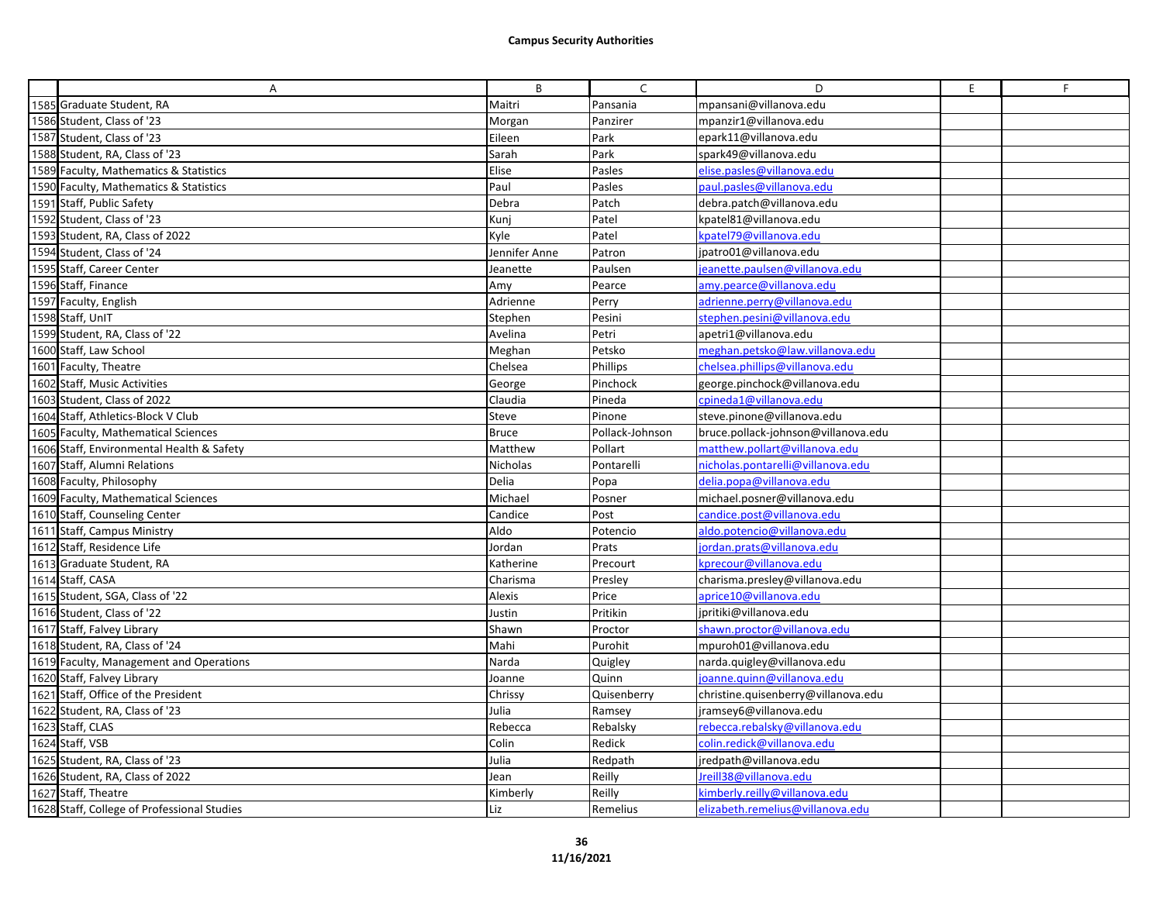| A                                           | B             | $\mathsf{C}$    | D                                   | E | F |
|---------------------------------------------|---------------|-----------------|-------------------------------------|---|---|
| 1585 Graduate Student, RA                   | Maitri        | Pansania        | mpansani@villanova.edu              |   |   |
| 1586 Student, Class of '23                  | Morgan        | Panzirer        | mpanzir1@villanova.edu              |   |   |
| 1587 Student, Class of '23                  | Eileen        | Park            | epark11@villanova.edu               |   |   |
| 1588 Student, RA, Class of '23              | Sarah         | Park            | spark49@villanova.edu               |   |   |
| 1589 Faculty, Mathematics & Statistics      | Elise         | Pasles          | elise.pasles@villanova.edu          |   |   |
| 1590 Faculty, Mathematics & Statistics      | Paul          | Pasles          | paul.pasles@villanova.edu           |   |   |
| 1591 Staff, Public Safety                   | Debra         | Patch           | debra.patch@villanova.edu           |   |   |
| 1592 Student, Class of '23                  | Kunj          | Patel           | kpatel81@villanova.edu              |   |   |
| 1593 Student, RA, Class of 2022             | Kyle          | Patel           | kpatel79@villanova.edu              |   |   |
| 1594 Student, Class of '24                  | Jennifer Anne | Patron          | jpatro01@villanova.edu              |   |   |
| 1595 Staff, Career Center                   | Jeanette      | Paulsen         | jeanette.paulsen@villanova.edu      |   |   |
| 1596 Staff, Finance                         | Amv           | Pearce          | amy.pearce@villanova.edu            |   |   |
| 1597 Faculty, English                       | Adrienne      | Perry           | adrienne.perry@villanova.edu        |   |   |
| 1598 Staff, UnIT                            | Stephen       | Pesini          | stephen.pesini@villanova.edu        |   |   |
| 1599 Student, RA, Class of '22              | Avelina       | Petri           | apetri1@villanova.edu               |   |   |
| 1600 Staff, Law School                      | Meghan        | Petsko          | meghan.petsko@law.villanova.edu     |   |   |
| 1601 Faculty, Theatre                       | Chelsea       | Phillips        | chelsea.phillips@villanova.edu      |   |   |
| 1602 Staff, Music Activities                | George        | Pinchock        | george.pinchock@villanova.edu       |   |   |
| 1603 Student, Class of 2022                 | Claudia       | Pineda          | cpineda1@villanova.edu              |   |   |
| 1604 Staff, Athletics-Block V Club          | Steve         | Pinone          | steve.pinone@villanova.edu          |   |   |
| 1605 Faculty, Mathematical Sciences         | <b>Bruce</b>  | Pollack-Johnson | bruce.pollack-johnson@villanova.edu |   |   |
| 1606 Staff, Environmental Health & Safety   | Matthew       | Pollart         | matthew.pollart@villanova.edu       |   |   |
| 1607 Staff, Alumni Relations                | Nicholas      | Pontarelli      | nicholas.pontarelli@villanova.edu   |   |   |
| 1608 Faculty, Philosophy                    | Delia         | Popa            | delia.popa@villanova.edu            |   |   |
| 1609 Faculty, Mathematical Sciences         | Michael       | Posner          | michael.posner@villanova.edu        |   |   |
| 1610 Staff, Counseling Center               | Candice       | Post            | candice.post@villanova.edu          |   |   |
| 1611 Staff, Campus Ministry                 | Aldo          | Potencio        | aldo.potencio@villanova.edu         |   |   |
| 1612 Staff, Residence Life                  | Jordan        | Prats           | jordan.prats@villanova.edu          |   |   |
| 1613 Graduate Student, RA                   | Katherine     | Precourt        | kprecour@villanova.edu              |   |   |
| 1614 Staff, CASA                            | Charisma      | Presley         | charisma.presley@villanova.edu      |   |   |
| 1615 Student, SGA, Class of '22             | Alexis        | Price           | aprice10@villanova.edu              |   |   |
| 1616 Student, Class of '22                  | Justin        | Pritikin        | jpritiki@villanova.edu              |   |   |
| 1617 Staff, Falvey Library                  | Shawn         | Proctor         | shawn.proctor@villanova.edu         |   |   |
| 1618 Student, RA, Class of '24              | Mahi          | Purohit         | mpuroh01@villanova.edu              |   |   |
| 1619 Faculty, Management and Operations     | Narda         | Quigley         | narda.quigley@villanova.edu         |   |   |
| 1620 Staff, Falvey Library                  | Joanne        | Quinn           | joanne.quinn@villanova.edu          |   |   |
| 1621 Staff, Office of the President         | Chrissy       | Quisenberry     | christine.quisenberry@villanova.edu |   |   |
| 1622 Student, RA, Class of '23              | Julia         | Ramsey          | jramsey6@villanova.edu              |   |   |
| 1623 Staff, CLAS                            | Rebecca       | Rebalsky        | rebecca.rebalsky@villanova.edu      |   |   |
| 1624 Staff, VSB                             | Colin         | Redick          | colin.redick@villanova.edu          |   |   |
| 1625 Student, RA, Class of '23              | Julia         | Redpath         | jredpath@villanova.edu              |   |   |
| 1626 Student, RA, Class of 2022             | Jean          | Reilly          | Ireill38@villanova.edu              |   |   |
| 1627 Staff, Theatre                         | Kimberly      | Reilly          | kimberly.reilly@villanova.edu       |   |   |
| 1628 Staff, College of Professional Studies | Liz           | Remelius        | elizabeth.remelius@villanova.edu    |   |   |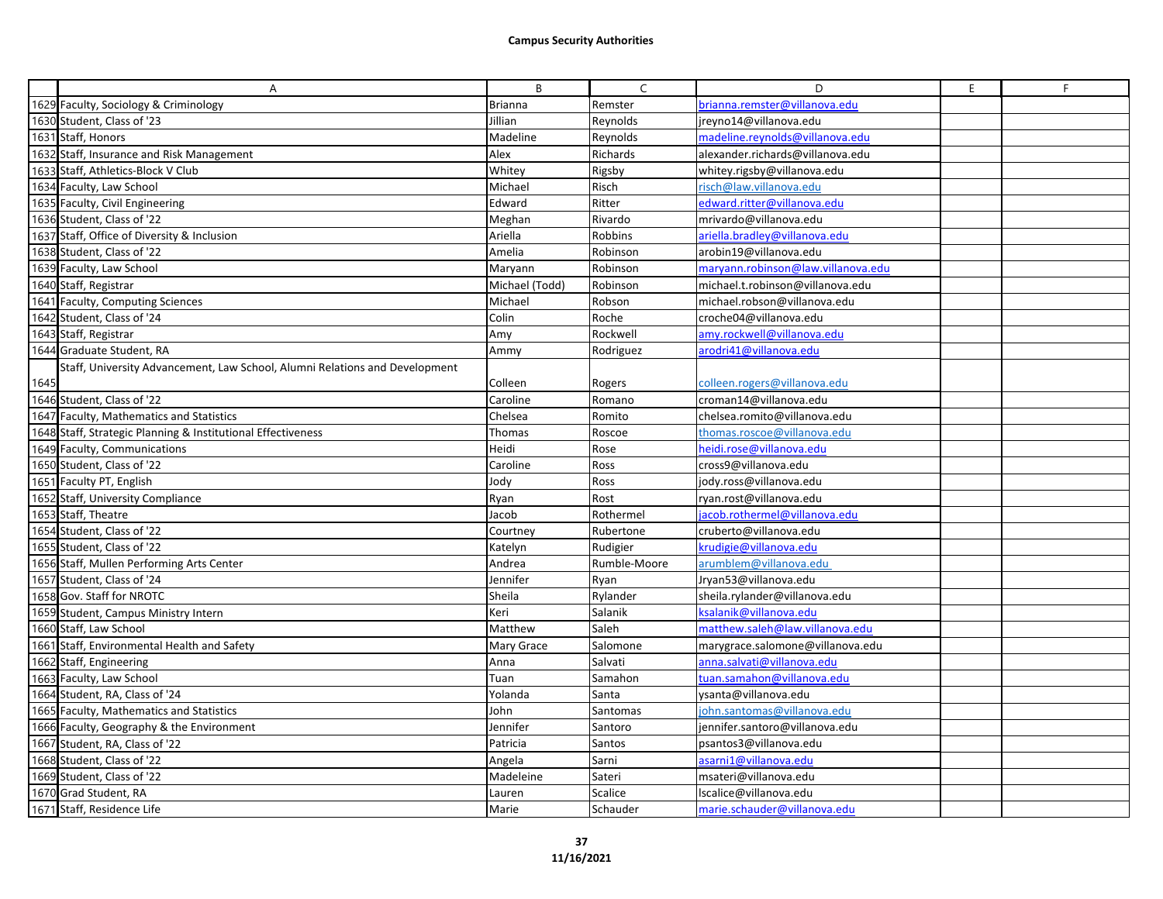|      | A                                                                           | B              | $\mathsf{C}$ | D                                  | E | F |
|------|-----------------------------------------------------------------------------|----------------|--------------|------------------------------------|---|---|
|      | 1629 Faculty, Sociology & Criminology                                       | <b>Brianna</b> | Remster      | orianna.remster@villanova.edu      |   |   |
|      | 1630 Student, Class of '23                                                  | Jillian        | Reynolds     | jreyno14@villanova.edu             |   |   |
|      | 1631 Staff, Honors                                                          | Madeline       | Reynolds     | madeline.reynolds@villanova.edu    |   |   |
|      | 1632 Staff, Insurance and Risk Management                                   | Alex           | Richards     | alexander.richards@villanova.edu   |   |   |
|      | 1633 Staff, Athletics-Block V Club                                          | Whitey         | Rigsby       | whitey.rigsby@villanova.edu        |   |   |
|      | 1634 Faculty, Law School                                                    | Michael        | Risch        | risch@law.villanova.edu            |   |   |
|      | 1635 Faculty, Civil Engineering                                             | Edward         | Ritter       | edward.ritter@villanova.edu        |   |   |
|      | 1636 Student, Class of '22                                                  | Meghan         | Rivardo      | mrivardo@villanova.edu             |   |   |
|      | 1637 Staff, Office of Diversity & Inclusion                                 | Ariella        | Robbins      | ariella.bradley@villanova.edu      |   |   |
|      | 1638 Student, Class of '22                                                  | Amelia         | Robinson     | arobin19@villanova.edu             |   |   |
|      | 1639 Faculty, Law School                                                    | Maryann        | Robinson     | maryann.robinson@law.villanova.edu |   |   |
|      | 1640 Staff, Registrar                                                       | Michael (Todd) | Robinson     | michael.t.robinson@villanova.edu   |   |   |
|      | 1641 Faculty, Computing Sciences                                            | Michael        | Robson       | michael.robson@villanova.edu       |   |   |
|      | 1642 Student, Class of '24                                                  | Colin          | Roche        | croche04@villanova.edu             |   |   |
|      | 1643 Staff, Registrar                                                       | Amy            | Rockwell     | amy.rockwell@villanova.edu         |   |   |
|      | 1644 Graduate Student, RA                                                   | Ammy           | Rodriguez    | arodri41@villanova.edu             |   |   |
|      | Staff, University Advancement, Law School, Alumni Relations and Development |                |              |                                    |   |   |
| 1645 |                                                                             | Colleen        | Rogers       | colleen.rogers@villanova.edu       |   |   |
|      | 1646 Student, Class of '22                                                  | Caroline       | Romano       | croman14@villanova.edu             |   |   |
|      | 1647 Faculty, Mathematics and Statistics                                    | Chelsea        | Romito       | chelsea.romito@villanova.edu       |   |   |
|      | 1648 Staff, Strategic Planning & Institutional Effectiveness                | Thomas         | Roscoe       | thomas.roscoe@villanova.edu        |   |   |
|      | 1649 Faculty, Communications                                                | Heidi          | Rose         | neidi.rose@villanova.edu           |   |   |
|      | 1650 Student, Class of '22                                                  | Caroline       | Ross         | cross9@villanova.edu               |   |   |
|      | 1651 Faculty PT, English                                                    | Jody           | Ross         | jody.ross@villanova.edu            |   |   |
|      | 1652 Staff, University Compliance                                           | Ryan           | Rost         | ryan.rost@villanova.edu            |   |   |
|      | 1653 Staff, Theatre                                                         | Jacob          | Rothermel    | acob.rothermel@villanova.edu       |   |   |
|      | 1654 Student, Class of '22                                                  | Courtnev       | Rubertone    | cruberto@villanova.edu             |   |   |
|      | 1655 Student, Class of '22                                                  | Katelyn        | Rudigier     | crudigie@villanova.edu             |   |   |
|      | 1656 Staff, Mullen Performing Arts Center                                   | Andrea         | Rumble-Moore | arumblem@villanova.edu             |   |   |
|      | 1657 Student, Class of '24                                                  | Jennifer       | Ryan         | Jryan53@villanova.edu              |   |   |
|      | 1658 Gov. Staff for NROTC                                                   | Sheila         | Rylander     | sheila.rylander@villanova.edu      |   |   |
|      | 1659 Student, Campus Ministry Intern                                        | Keri           | Salanik      | ksalanik@villanova.edu             |   |   |
|      | 1660 Staff, Law School                                                      | Matthew        | Saleh        | matthew.saleh@law.villanova.edu    |   |   |
|      | 1661 Staff, Environmental Health and Safety                                 | Mary Grace     | Salomone     | marygrace.salomone@villanova.edu   |   |   |
|      | 1662 Staff, Engineering                                                     | Anna           | Salvati      | anna.salvati@villanova.edu         |   |   |
|      | 1663 Faculty, Law School                                                    | Tuan           | Samahon      | tuan.samahon@villanova.edu         |   |   |
|      | 1664 Student, RA, Class of '24                                              | Yolanda        | Santa        | ysanta@villanova.edu               |   |   |
|      | 1665 Faculty, Mathematics and Statistics                                    | John           | Santomas     | john.santomas@villanova.edu        |   |   |
|      | 1666 Faculty, Geography & the Environment                                   | Jennifer       | Santoro      | jennifer.santoro@villanova.edu     |   |   |
|      | 1667 Student, RA, Class of '22                                              | Patricia       | Santos       | psantos3@villanova.edu             |   |   |
|      | 1668 Student, Class of '22                                                  | Angela         | Sarni        | asarni1@villanova.edu              |   |   |
|      | 1669 Student, Class of '22                                                  | Madeleine      | Sateri       | msateri@villanova.edu              |   |   |
|      | 1670 Grad Student, RA                                                       | Lauren         | Scalice      | lscalice@villanova.edu             |   |   |
|      | 1671 Staff, Residence Life                                                  | Marie          | Schauder     | marie.schauder@villanova.edu       |   |   |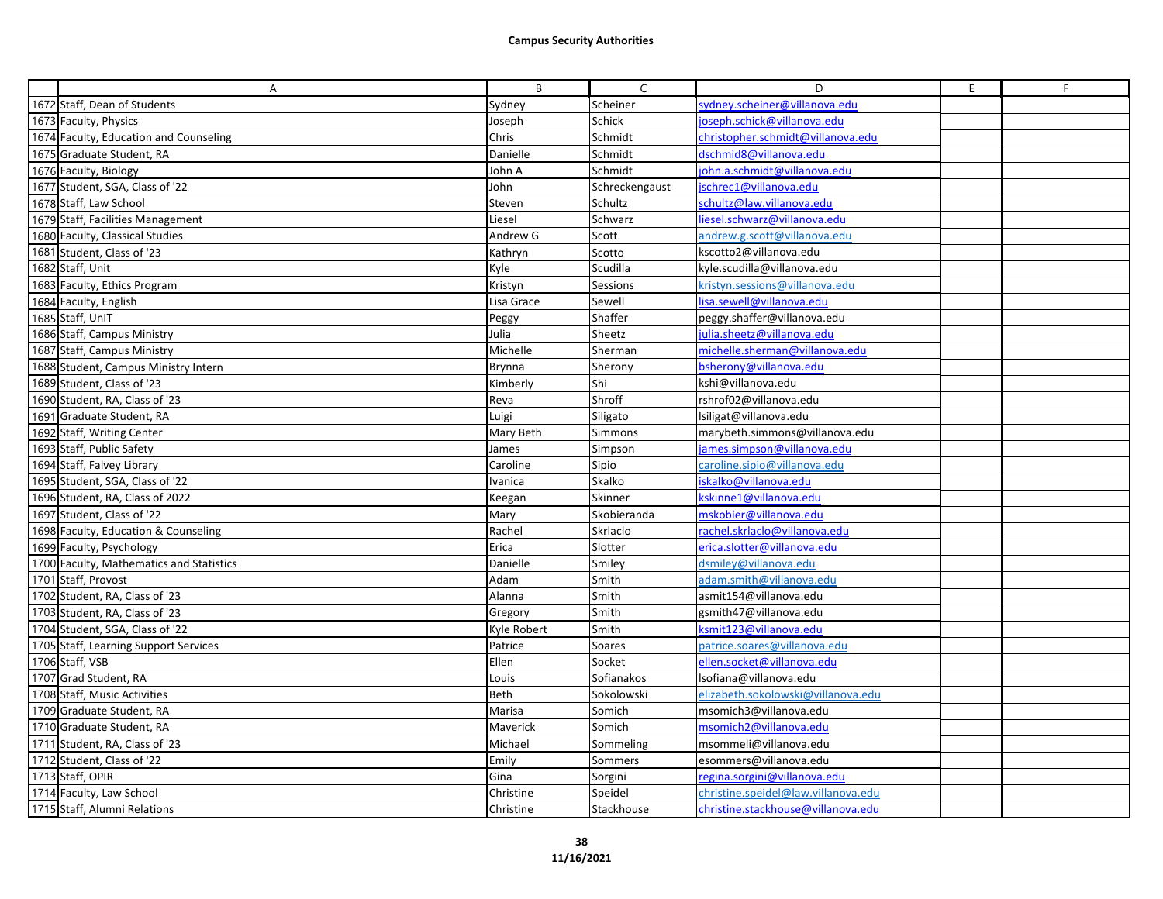| A                                        | B           | $\mathsf{C}$   | D                                   | E. | F |
|------------------------------------------|-------------|----------------|-------------------------------------|----|---|
| 1672 Staff, Dean of Students             | Sydney      | Scheiner       | sydney.scheiner@villanova.edu       |    |   |
| 1673 Faculty, Physics                    | Joseph      | Schick         | oseph.schick@villanova.edu          |    |   |
| 1674 Faculty, Education and Counseling   | Chris       | Schmidt        | christopher.schmidt@villanova.edu   |    |   |
| 1675 Graduate Student, RA                | Danielle    | Schmidt        | dschmid8@villanova.edu              |    |   |
| 1676 Faculty, Biology                    | John A      | Schmidt        | iohn.a.schmidt@villanova.edu        |    |   |
| 1677 Student, SGA, Class of '22          | John        | Schreckengaust | schrec1@villanova.edu               |    |   |
| 1678 Staff, Law School                   | Steven      | Schultz        | schultz@law.villanova.edu           |    |   |
| 1679 Staff, Facilities Management        | Liesel      | Schwarz        | liesel.schwarz@villanova.edu        |    |   |
| 1680 Faculty, Classical Studies          | Andrew G    | Scott          | andrew.g.scott@villanova.edu        |    |   |
| 1681 Student, Class of '23               | Kathryn     | Scotto         | kscotto2@villanova.edu              |    |   |
| 1682 Staff, Unit                         | Kyle        | Scudilla       | kyle.scudilla@villanova.edu         |    |   |
| 1683 Faculty, Ethics Program             | Kristyn     | Sessions       | kristyn.sessions@villanova.edu      |    |   |
| 1684 Faculty, English                    | Lisa Grace  | Sewell         | isa.sewell@villanova.edu            |    |   |
| 1685 Staff, UnIT                         | Peggy       | Shaffer        | peggy.shaffer@villanova.edu         |    |   |
| 1686 Staff, Campus Ministry              | Julia       | Sheetz         | julia.sheetz@villanova.edu          |    |   |
| 1687 Staff, Campus Ministry              | Michelle    | Sherman        | michelle.sherman@villanova.edu      |    |   |
| 1688 Student, Campus Ministry Intern     | Brynna      | Sherony        | bsherony@villanova.edu              |    |   |
| 1689 Student, Class of '23               | Kimberly    | Shi            | kshi@villanova.edu                  |    |   |
| 1690 Student, RA, Class of '23           | Reva        | Shroff         | rshrof02@villanova.edu              |    |   |
| 1691 Graduate Student, RA                | Luigi       | Siligato       | Isiligat@villanova.edu              |    |   |
| 1692 Staff, Writing Center               | Mary Beth   | Simmons        | marybeth.simmons@villanova.edu      |    |   |
| 1693 Staff, Public Safety                | James       | Simpson        | james.simpson@villanova.edu         |    |   |
| 1694 Staff, Falvey Library               | Caroline    | Sipio          | caroline.sipio@villanova.edu        |    |   |
| 1695 Student, SGA, Class of '22          | Ivanica     | Skalko         | iskalko@villanova.edu               |    |   |
| 1696 Student, RA, Class of 2022          | Keegan      | Skinner        | cskinne1@villanova.edu              |    |   |
| 1697 Student, Class of '22               | Mary        | Skobieranda    | mskobier@villanova.edu              |    |   |
| 1698 Faculty, Education & Counseling     | Rachel      | Skrlaclo       | rachel.skrlaclo@villanova.edu       |    |   |
| 1699 Faculty, Psychology                 | Erica       | Slotter        | erica.slotter@villanova.edu         |    |   |
| 1700 Faculty, Mathematics and Statistics | Danielle    | Smiley         | dsmiley@villanova.edu               |    |   |
| 1701 Staff, Provost                      | Adam        | Smith          | adam.smith@villanova.edu            |    |   |
| 1702 Student, RA, Class of '23           | Alanna      | Smith          | asmit154@villanova.edu              |    |   |
| 1703 Student, RA, Class of '23           | Gregory     | Smith          | gsmith47@villanova.edu              |    |   |
| 1704 Student, SGA, Class of '22          | Kyle Robert | Smith          | ksmit123@villanova.edu              |    |   |
| 1705 Staff, Learning Support Services    | Patrice     | Soares         | patrice.soares@villanova.edu        |    |   |
| 1706 Staff, VSB                          | Ellen       | Socket         | ellen.socket@villanova.edu          |    |   |
| 1707 Grad Student, RA                    | Louis       | Sofianakos     | Isofiana@villanova.edu              |    |   |
| 1708 Staff, Music Activities             | Beth        | Sokolowski     | elizabeth.sokolowski@villanova.edu  |    |   |
| 1709 Graduate Student, RA                | Marisa      | Somich         | msomich3@villanova.edu              |    |   |
| 1710 Graduate Student, RA                | Maverick    | Somich         | msomich2@villanova.edu              |    |   |
| 1711 Student, RA, Class of '23           | Michael     | Sommeling      | msommeli@villanova.edu              |    |   |
| 1712 Student, Class of '22               | Emily       | Sommers        | esommers@villanova.edu              |    |   |
| 1713 Staff, OPIR                         | Gina        | Sorgini        | regina.sorgini@villanova.edu        |    |   |
| 1714 Faculty, Law School                 | Christine   | Speidel        | christine.speidel@law.villanova.edu |    |   |
| 1715 Staff, Alumni Relations             | Christine   | Stackhouse     | christine.stackhouse@villanova.edu  |    |   |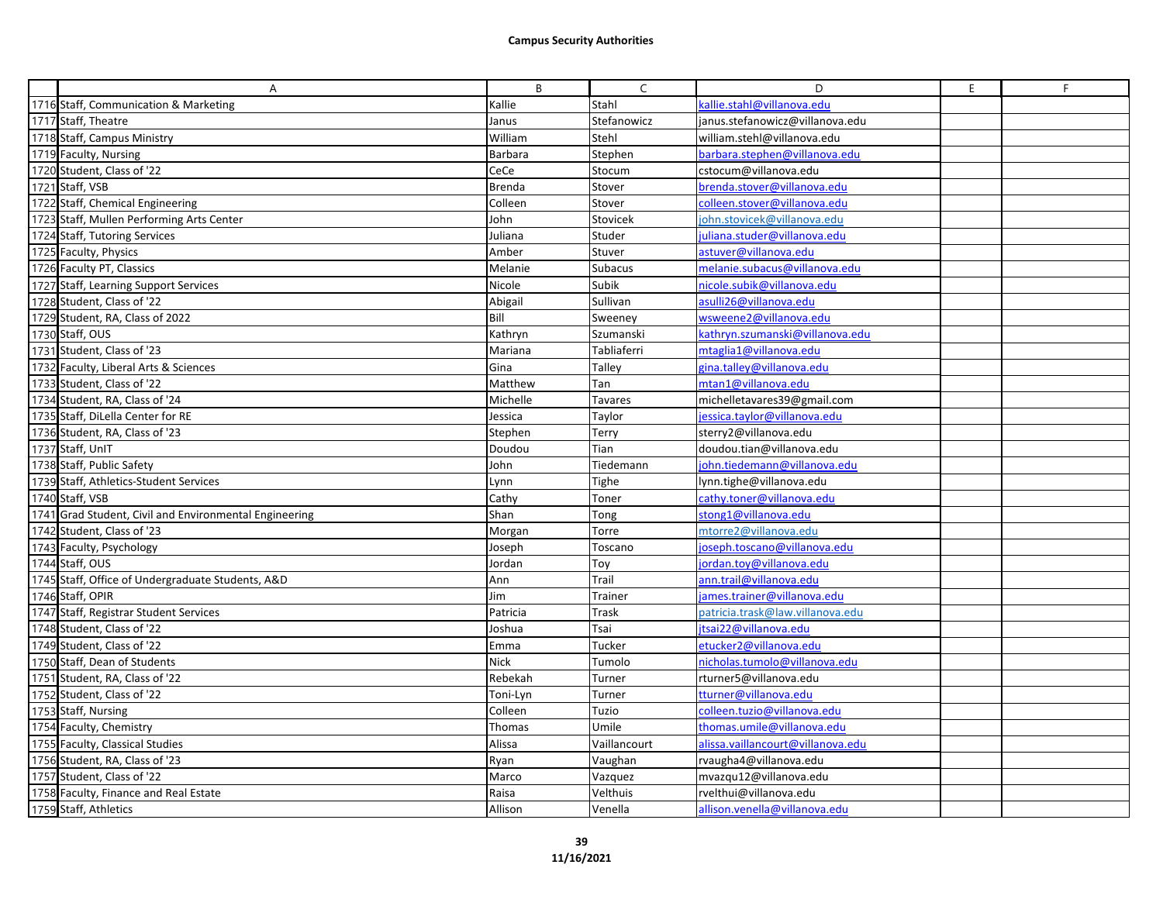| A                                                      | B              | C              | D                                 | E. | F |
|--------------------------------------------------------|----------------|----------------|-----------------------------------|----|---|
| 1716 Staff, Communication & Marketing                  | Kallie         | Stahl          | kallie.stahl@villanova.edu        |    |   |
| 1717 Staff, Theatre                                    | Janus          | Stefanowicz    | janus.stefanowicz@villanova.edu   |    |   |
| 1718 Staff, Campus Ministry                            | William        | Stehl          | william.stehl@villanova.edu       |    |   |
| 1719 Faculty, Nursing                                  | <b>Barbara</b> | Stephen        | barbara.stephen@villanova.edu     |    |   |
| 1720 Student, Class of '22                             | CeCe           | Stocum         | cstocum@villanova.edu             |    |   |
| 1721 Staff, VSB                                        | Brenda         | Stover         | brenda.stover@villanova.edu       |    |   |
| 1722 Staff, Chemical Engineering                       | Colleen        | Stover         | colleen.stover@villanova.edu      |    |   |
| 1723 Staff, Mullen Performing Arts Center              | John           | Stovicek       | ohn.stovicek@villanova.edu        |    |   |
| 1724 Staff, Tutoring Services                          | Juliana        | Studer         | juliana.studer@villanova.edu      |    |   |
| 1725 Faculty, Physics                                  | Amber          | Stuver         | astuver@villanova.edu             |    |   |
| 1726 Faculty PT, Classics                              | Melanie        | Subacus        | melanie.subacus@villanova.edu     |    |   |
| 1727 Staff, Learning Support Services                  | Nicole         | Subik          | nicole.subik@villanova.edu        |    |   |
| 1728 Student, Class of '22                             | Abigail        | Sullivan       | asulli26@villanova.edu            |    |   |
| 1729 Student, RA, Class of 2022                        | Bill           | Sweeney        | wsweene2@villanova.edu            |    |   |
| 1730 Staff, OUS                                        | Kathryn        | Szumanski      | kathryn.szumanski@villanova.edu   |    |   |
| 1731 Student, Class of '23                             | Mariana        | Tabliaferri    | mtaglia1@villanova.edu            |    |   |
| 1732 Faculty, Liberal Arts & Sciences                  | Gina           | Talley         | gina.talley@villanova.edu         |    |   |
| 1733 Student, Class of '22                             | Matthew        | Tan            | mtan1@villanova.edu               |    |   |
| 1734 Student, RA, Class of '24                         | Michelle       | <b>Tavares</b> | michelletavares39@gmail.com       |    |   |
| 1735 Staff, DiLella Center for RE                      | Jessica        | Taylor         | jessica.taylor@villanova.edu      |    |   |
| 1736 Student, RA, Class of '23                         | Stephen        | Terry          | sterry2@villanova.edu             |    |   |
| 1737 Staff, UnIT                                       | Doudou         | Tian           | doudou.tian@villanova.edu         |    |   |
| 1738 Staff, Public Safety                              | John           | Tiedemann      | john.tiedemann@villanova.edu      |    |   |
| 1739 Staff, Athletics-Student Services                 | Lynn           | Tighe          | lynn.tighe@villanova.edu          |    |   |
| 1740 Staff, VSB                                        | Cathy          | Toner          | cathy.toner@villanova.edu         |    |   |
| 1741 Grad Student, Civil and Environmental Engineering | Shan           | Tong           | stong1@villanova.edu              |    |   |
| 1742 Student, Class of '23                             | Morgan         | Torre          | mtorre2@villanova.edu             |    |   |
| 1743 Faculty, Psychology                               | Joseph         | Toscano        | joseph.toscano@villanova.edu      |    |   |
| 1744 Staff, OUS                                        | Jordan         | Toy            | jordan.toy@villanova.edu          |    |   |
| 1745 Staff, Office of Undergraduate Students, A&D      | Ann            | Trail          | ann.trail@villanova.edu           |    |   |
| 1746 Staff, OPIR                                       | Jim            | Trainer        | james.trainer@villanova.edu       |    |   |
| 1747 Staff, Registrar Student Services                 | Patricia       | Trask          | patricia.trask@law.villanova.edu  |    |   |
| 1748 Student, Class of '22                             | Joshua         | Tsai           | jtsai22@villanova.edu             |    |   |
| 1749 Student, Class of '22                             | Emma           | Tucker         | etucker2@villanova.edu            |    |   |
| 1750 Staff, Dean of Students                           | <b>Nick</b>    | Tumolo         | nicholas.tumolo@villanova.edu     |    |   |
| 1751 Student, RA, Class of '22                         | Rebekah        | Turner         | rturner5@villanova.edu            |    |   |
| 1752 Student, Class of '22                             | Toni-Lyn       | Turner         | tturner@villanova.edu             |    |   |
| 1753 Staff, Nursing                                    | Colleen        | Tuzio          | colleen.tuzio@villanova.edu       |    |   |
| 1754 Faculty, Chemistry                                | Thomas         | Umile          | thomas.umile@villanova.edu        |    |   |
| 1755 Faculty, Classical Studies                        | Alissa         | Vaillancourt   | alissa.vaillancourt@villanova.edu |    |   |
| 1756 Student, RA, Class of '23                         | Ryan           | Vaughan        | rvaugha4@villanova.edu            |    |   |
| 1757 Student, Class of '22                             | Marco          | Vazquez        | mvazqu12@villanova.edu            |    |   |
| 1758 Faculty, Finance and Real Estate                  | Raisa          | Velthuis       | rvelthui@villanova.edu            |    |   |
| 1759 Staff, Athletics                                  | Allison        | Venella        | allison.venella@villanova.edu     |    |   |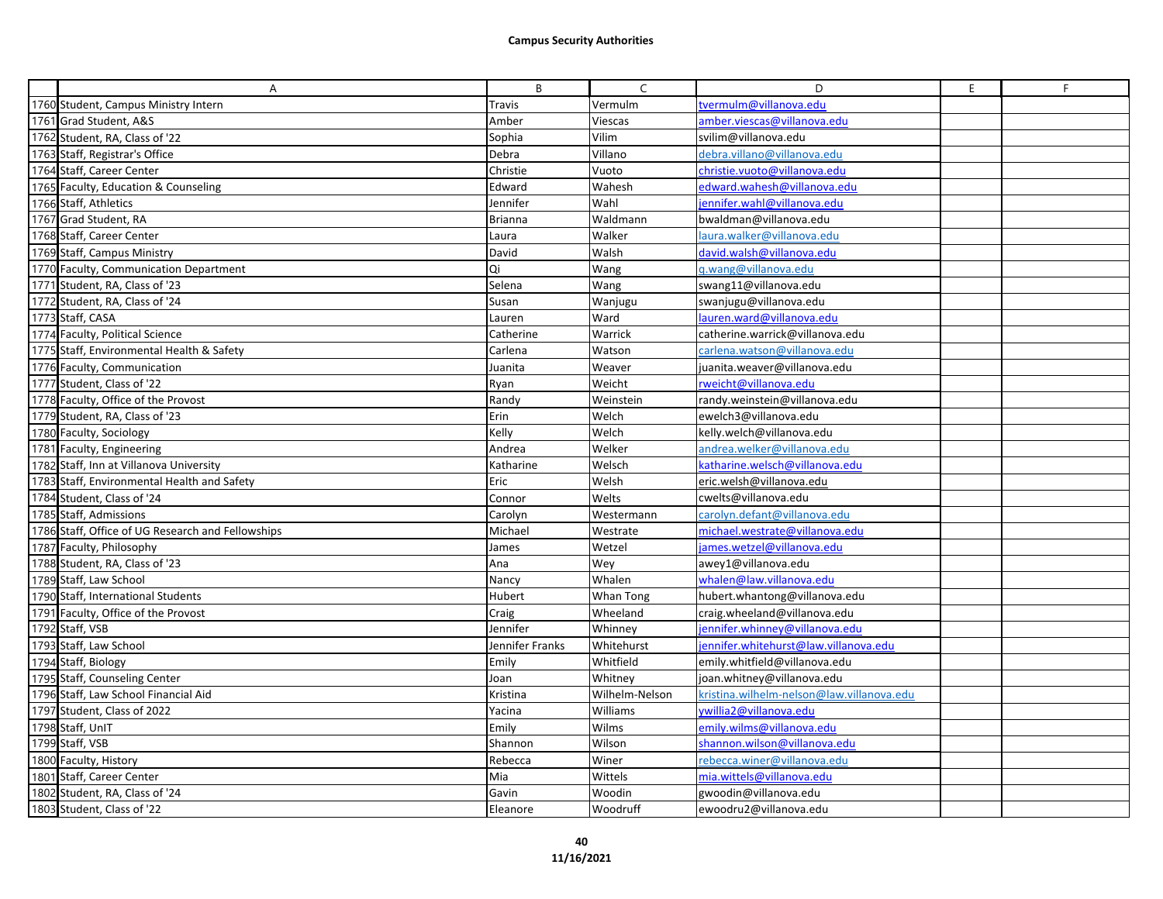| A                                                 | B               | $\mathsf{C}$   | D                                         | E. | F |
|---------------------------------------------------|-----------------|----------------|-------------------------------------------|----|---|
| 1760 Student, Campus Ministry Intern              | Travis          | Vermulm        | vermulm@villanova.edu                     |    |   |
| 1761 Grad Student, A&S                            | Amber           | Viescas        | amber.viescas@villanova.edu               |    |   |
| 1762 Student, RA, Class of '22                    | Sophia          | Vilim          | svilim@villanova.edu                      |    |   |
| 1763 Staff, Registrar's Office                    | Debra           | Villano        | debra.villano@villanova.edu               |    |   |
| 1764 Staff, Career Center                         | Christie        | Vuoto          | christie.vuoto@villanova.edu              |    |   |
| 1765 Faculty, Education & Counseling              | Edward          | Wahesh         | edward.wahesh@villanova.edu               |    |   |
| 1766 Staff, Athletics                             | Jennifer        | Wahl           | jennifer.wahl@villanova.edu               |    |   |
| 1767 Grad Student, RA                             | <b>Brianna</b>  | Waldmann       | bwaldman@villanova.edu                    |    |   |
| 1768 Staff, Career Center                         | Laura           | Walker         | laura.walker@villanova.edu                |    |   |
| 1769 Staff, Campus Ministry                       | David           | Walsh          | david.walsh@villanova.edu                 |    |   |
| 1770 Faculty, Communication Department            | Qi              | Wang           | q.wang@villanova.edu                      |    |   |
| 1771 Student, RA, Class of '23                    | Selena          | Wang           | swang11@villanova.edu                     |    |   |
| 1772 Student, RA, Class of '24                    | Susan           | Wanjugu        | swanjugu@villanova.edu                    |    |   |
| 1773 Staff, CASA                                  | Lauren          | Ward           | lauren.ward@villanova.edu                 |    |   |
| 1774 Faculty, Political Science                   | Catherine       | Warrick        | catherine.warrick@villanova.edu           |    |   |
| 1775 Staff, Environmental Health & Safety         | Carlena         | Watson         | carlena.watson@villanova.edu              |    |   |
| 1776 Faculty, Communication                       | Juanita         | Weaver         | juanita.weaver@villanova.edu              |    |   |
| 1777 Student, Class of '22                        | Ryan            | Weicht         | rweicht@villanova.edu                     |    |   |
| 1778 Faculty, Office of the Provost               | Randy           | Weinstein      | randy.weinstein@villanova.edu             |    |   |
| 1779 Student, RA, Class of '23                    | Erin            | Welch          | ewelch3@villanova.edu                     |    |   |
| 1780 Faculty, Sociology                           | Kelly           | Welch          | kelly.welch@villanova.edu                 |    |   |
| 1781 Faculty, Engineering                         | Andrea          | Welker         | andrea.welker@villanova.edu               |    |   |
| 1782 Staff, Inn at Villanova University           | Katharine       | Welsch         | katharine.welsch@villanova.edu            |    |   |
| 1783 Staff, Environmental Health and Safety       | Eric            | Welsh          | eric.welsh@villanova.edu                  |    |   |
| 1784 Student, Class of '24                        | Connor          | Welts          | cwelts@villanova.edu                      |    |   |
| 1785 Staff, Admissions                            | Carolyn         | Westermann     | carolyn.defant@villanova.edu              |    |   |
| 1786 Staff, Office of UG Research and Fellowships | Michael         | Westrate       | michael.westrate@villanova.edu            |    |   |
| 1787 Faculty, Philosophy                          | James           | Wetzel         | james.wetzel@villanova.edu                |    |   |
| 1788 Student, RA, Class of '23                    | Ana             | Wey            | awey1@villanova.edu                       |    |   |
| 1789 Staff, Law School                            | Nancy           | Whalen         | whalen@law.villanova.edu                  |    |   |
| 1790 Staff, International Students                | Hubert          | Whan Tong      | hubert.whantong@villanova.edu             |    |   |
| 1791 Faculty, Office of the Provost               | Craig           | Wheeland       | craig.wheeland@villanova.edu              |    |   |
| 1792 Staff, VSB                                   | Jennifer        | Whinney        | jennifer.whinney@villanova.edu            |    |   |
| 1793 Staff, Law School                            | Jennifer Franks | Whitehurst     | iennifer.whitehurst@law.villanova.edu     |    |   |
| 1794 Staff, Biology                               | Emily           | Whitfield      | emily.whitfield@villanova.edu             |    |   |
| 1795 Staff, Counseling Center                     | Joan            | Whitney        | joan.whitney@villanova.edu                |    |   |
| 1796 Staff, Law School Financial Aid              | Kristina        | Wilhelm-Nelson | kristina.wilhelm-nelson@law.villanova.edu |    |   |
| 1797 Student, Class of 2022                       | Yacina          | Williams       | vwillia 2@villanova.edu                   |    |   |
| 1798 Staff, UnIT                                  | Emily           | Wilms          | emily.wilms@villanova.edu                 |    |   |
| 1799 Staff, VSB                                   | Shannon         | Wilson         | shannon.wilson@villanova.edu              |    |   |
| 1800 Faculty, History                             | Rebecca         | Winer          | rebecca.winer@villanova.edu               |    |   |
| 1801 Staff, Career Center                         | Mia             | Wittels        | mia.wittels@villanova.edu                 |    |   |
| 1802 Student, RA, Class of '24                    | Gavin           | Woodin         | gwoodin@villanova.edu                     |    |   |
| 1803 Student, Class of '22                        | Eleanore        | Woodruff       | ewoodru2@villanova.edu                    |    |   |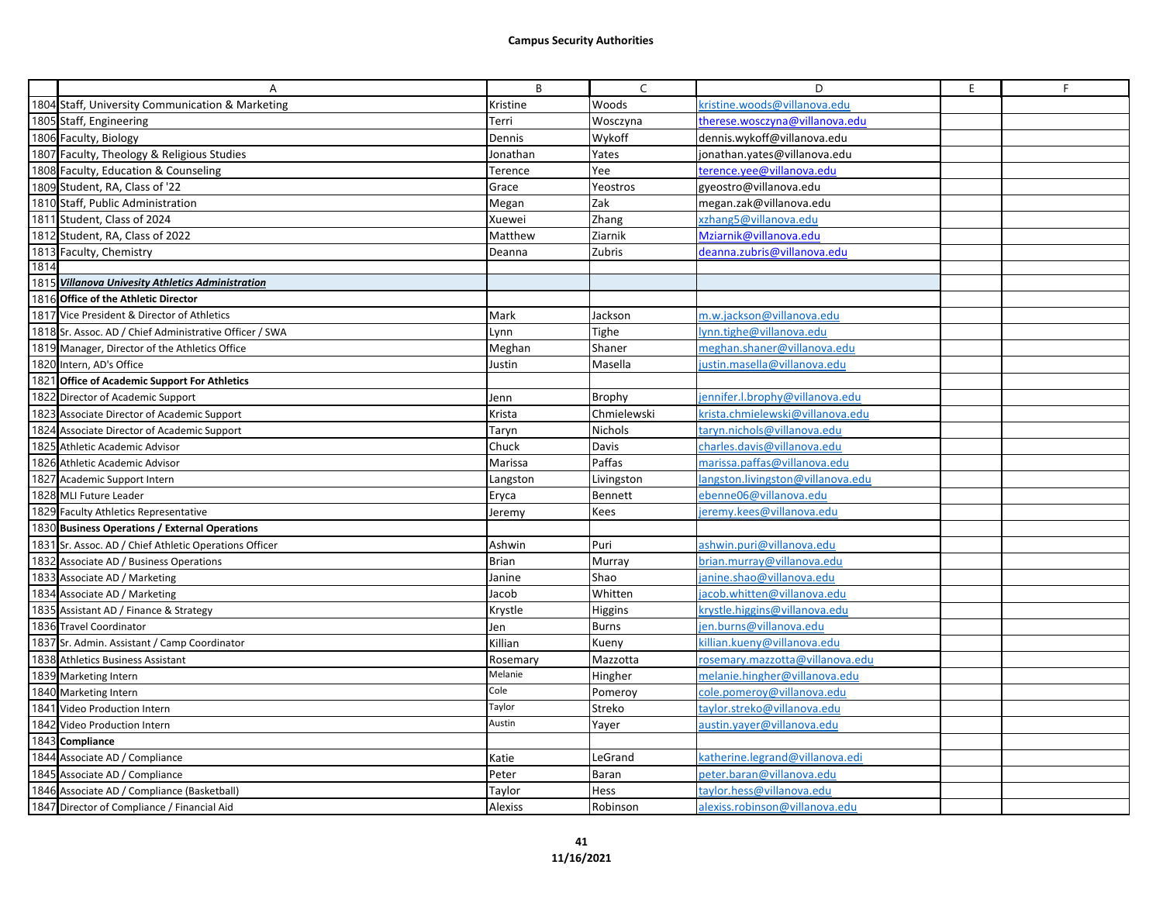|      | Α                                                       | B              | $\mathsf{C}$ | D                                 | E. | F. |
|------|---------------------------------------------------------|----------------|--------------|-----------------------------------|----|----|
|      | 1804 Staff, University Communication & Marketing        | Kristine       | Woods        | kristine.woods@villanova.edu      |    |    |
|      | 1805 Staff, Engineering                                 | Terri          | Wosczyna     | therese.wosczyna@villanova.edu    |    |    |
|      | 1806 Faculty, Biology                                   | Dennis         | Wykoff       | dennis.wykoff@villanova.edu       |    |    |
|      | 1807 Faculty, Theology & Religious Studies              | Jonathan       | Yates        | jonathan.yates@villanova.edu      |    |    |
|      | 1808 Faculty, Education & Counseling                    | Terence        | Yee          | terence.yee@villanova.edu         |    |    |
|      | 1809 Student, RA, Class of '22                          | Grace          | Yeostros     | gyeostro@villanova.edu            |    |    |
|      | 1810 Staff, Public Administration                       | Megan          | Zak          | megan.zak@villanova.edu           |    |    |
|      | 1811 Student, Class of 2024                             | Xuewei         | Zhang        | xzhang5@villanova.edu             |    |    |
|      | 1812 Student, RA, Class of 2022                         | Matthew        | Ziarnik      | Mziarnik@villanova.edu            |    |    |
|      | 1813 Faculty, Chemistry                                 | Deanna         | Zubris       | deanna.zubris@villanova.edu       |    |    |
| 1814 |                                                         |                |              |                                   |    |    |
|      | 1815 Villanova Univesity Athletics Administration       |                |              |                                   |    |    |
|      | 1816 Office of the Athletic Director                    |                |              |                                   |    |    |
|      | 1817 Vice President & Director of Athletics             | Mark           | Jackson      | m.w.iackson@villanova.edu         |    |    |
|      | 1818 Sr. Assoc. AD / Chief Administrative Officer / SWA | Lynn           | Tighe        | lynn.tighe@villanova.edu          |    |    |
|      | 1819 Manager, Director of the Athletics Office          | Meghan         | Shaner       | meghan.shaner@villanova.edu       |    |    |
|      | 1820 Intern, AD's Office                                | Justin         | Masella      | ustin.masella@villanova.edu       |    |    |
|      | 1821 Office of Academic Support For Athletics           |                |              |                                   |    |    |
|      | 1822 Director of Academic Support                       | Jenn           | Brophy       | jennifer.l.brophy@villanova.edu   |    |    |
|      | 1823 Associate Director of Academic Support             | Krista         | Chmielewski  | krista.chmielewski@villanova.edu  |    |    |
|      | 1824 Associate Director of Academic Support             | Taryn          | Nichols      | taryn.nichols@villanova.edu       |    |    |
|      | 1825 Athletic Academic Advisor                          | Chuck          | Davis        | charles.davis@villanova.edu       |    |    |
|      | 1826 Athletic Academic Advisor                          | Marissa        | Paffas       | marissa.paffas@villanova.edu      |    |    |
|      | 1827 Academic Support Intern                            | Langston       | Livingston   | langston.livingston@villanova.edu |    |    |
|      | 1828 MLI Future Leader                                  | Eryca          | Bennett      | ebenne06@villanova.edu            |    |    |
|      | 1829 Faculty Athletics Representative                   | Jeremy         | Kees         | eremy.kees@villanova.edu          |    |    |
|      | 1830 Business Operations / External Operations          |                |              |                                   |    |    |
|      | 1831 Sr. Assoc. AD / Chief Athletic Operations Officer  | Ashwin         | Puri         | ashwin.puri@villanova.edu         |    |    |
|      | 1832 Associate AD / Business Operations                 | <b>Brian</b>   | Murray       | brian.murray@villanova.edu        |    |    |
|      | 1833 Associate AD / Marketing                           | Janine         | Shao         | janine.shao@villanova.edu         |    |    |
|      | 1834 Associate AD / Marketing                           | Jacob          | Whitten      | jacob.whitten@villanova.edu       |    |    |
|      | 1835 Assistant AD / Finance & Strategy                  | Krystle        | Higgins      | krystle.higgins@villanova.edu     |    |    |
|      | 1836 Travel Coordinator                                 | Jen            | <b>Burns</b> | ien.burns@villanova.edu           |    |    |
|      | 1837 Sr. Admin. Assistant / Camp Coordinator            | Killian        | Kueny        | killian.kueny@villanova.edu       |    |    |
|      | 1838 Athletics Business Assistant                       | Rosemary       | Mazzotta     | rosemary.mazzotta@villanova.edu   |    |    |
|      | 1839 Marketing Intern                                   | Melanie        | Hingher      | melanie.hingher@villanova.edu     |    |    |
|      | 1840 Marketing Intern                                   | Cole           | Pomeroy      | cole.pomeroy@villanova.edu        |    |    |
|      | 1841 Video Production Intern                            | Taylor         | Streko       | taylor.streko@villanova.edu       |    |    |
|      | 1842 Video Production Intern                            | Austin         | Yayer        | austin.yayer@villanova.edu        |    |    |
|      | 1843 Compliance                                         |                |              |                                   |    |    |
|      | 1844 Associate AD / Compliance                          | Katie          | LeGrand      | katherine.legrand@villanova.edi   |    |    |
|      | 1845 Associate AD / Compliance                          | Peter          | <b>Baran</b> | peter.baran@villanova.edu         |    |    |
|      | 1846 Associate AD / Compliance (Basketball)             | Taylor         | Hess         | taylor.hess@villanova.edu         |    |    |
|      | 1847 Director of Compliance / Financial Aid             | <b>Alexiss</b> | Robinson     | alexiss.robinson@villanova.edu    |    |    |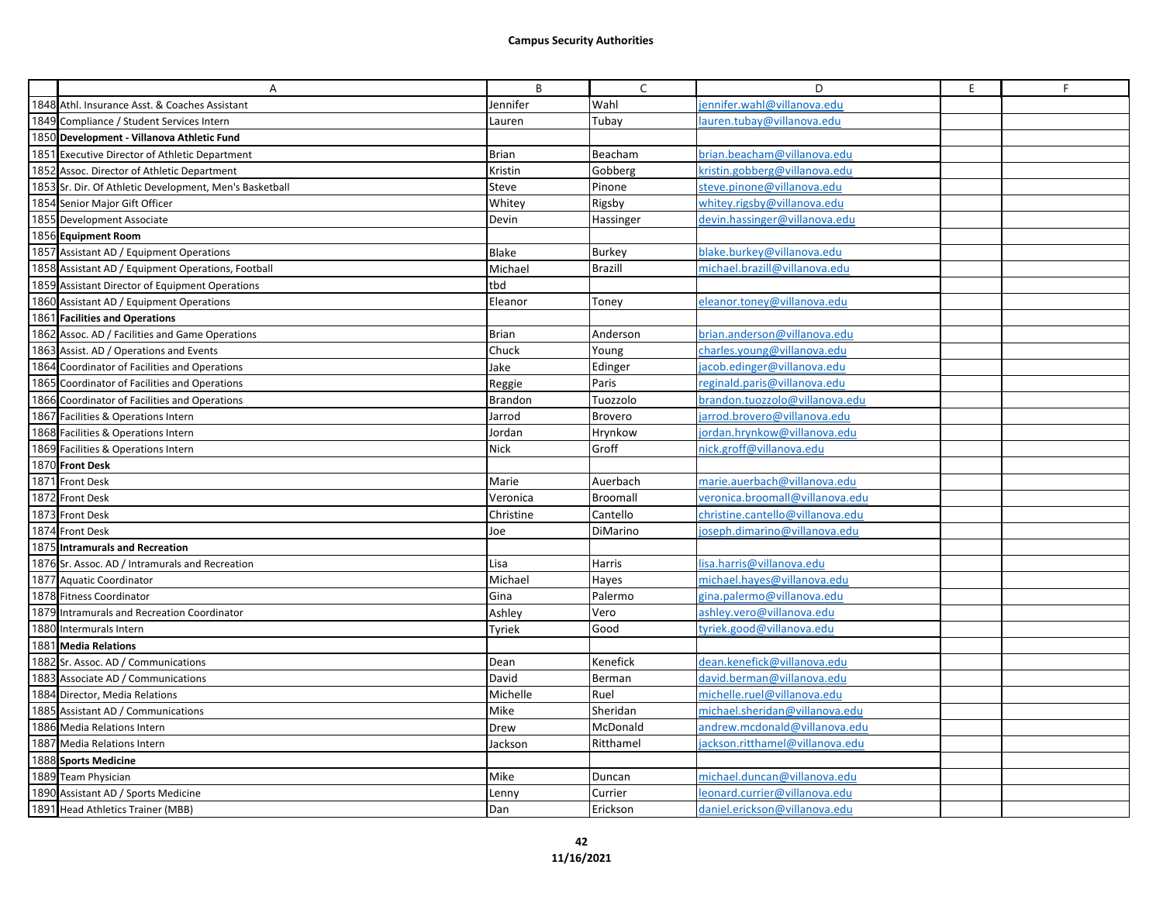| A                                                       | B              | C              | D                                | E. | F |
|---------------------------------------------------------|----------------|----------------|----------------------------------|----|---|
| 1848 Athl. Insurance Asst. & Coaches Assistant          | Jennifer       | Wahl           | ennifer.wahl@villanova.edu       |    |   |
| 1849 Compliance / Student Services Intern               | Lauren         | Tubay          | auren.tubay@villanova.edu        |    |   |
| 1850 Development - Villanova Athletic Fund              |                |                |                                  |    |   |
| 1851 Executive Director of Athletic Department          | <b>Brian</b>   | Beacham        | brian.beacham@villanova.edu      |    |   |
| 1852 Assoc. Director of Athletic Department             | Kristin        | Gobberg        | kristin.gobberg@villanova.edu    |    |   |
| 1853 Sr. Dir. Of Athletic Development, Men's Basketball | Steve          | Pinone         | steve.pinone@villanova.edu       |    |   |
| 1854 Senior Major Gift Officer                          | Whitey         | Rigsby         | whitey.rigsby@villanova.edu      |    |   |
| 1855 Development Associate                              | Devin          | Hassinger      | devin.hassinger@villanova.edu    |    |   |
| 1856 Equipment Room                                     |                |                |                                  |    |   |
| 1857 Assistant AD / Equipment Operations                | Blake          | <b>Burkey</b>  | blake.burkey@villanova.edu       |    |   |
| 1858 Assistant AD / Equipment Operations, Football      | Michael        | <b>Brazill</b> | michael.brazill@villanova.edu    |    |   |
| 1859 Assistant Director of Equipment Operations         | tbd            |                |                                  |    |   |
| 1860 Assistant AD / Equipment Operations                | Eleanor        | Toney          | eleanor.toney@villanova.edu      |    |   |
| 1861 Facilities and Operations                          |                |                |                                  |    |   |
| 1862 Assoc. AD / Facilities and Game Operations         | <b>Brian</b>   | Anderson       | brian.anderson@villanova.edu     |    |   |
| 1863 Assist. AD / Operations and Events                 | Chuck          | Young          | charles.young@villanova.edu      |    |   |
| 1864 Coordinator of Facilities and Operations           | Jake           | Edinger        | jacob.edinger@villanova.edu      |    |   |
| 1865 Coordinator of Facilities and Operations           | Reggie         | Paris          | reginald.paris@villanova.edu     |    |   |
| 1866 Coordinator of Facilities and Operations           | <b>Brandon</b> | Tuozzolo       | brandon.tuozzolo@villanova.edu   |    |   |
| 1867 Facilities & Operations Intern                     | Jarrod         | <b>Brovero</b> | jarrod.brovero@villanova.edu     |    |   |
| 1868 Facilities & Operations Intern                     | Jordan         | Hrynkow        | jordan.hrynkow@villanova.edu     |    |   |
| 1869 Facilities & Operations Intern                     | <b>Nick</b>    | Groff          | nick.groff@villanova.edu         |    |   |
| 1870 Front Desk                                         |                |                |                                  |    |   |
| 1871 Front Desk                                         | Marie          | Auerbach       | marie.auerbach@villanova.edu     |    |   |
| 1872 Front Desk                                         | Veronica       | Broomall       | veronica.broomall@villanova.edu  |    |   |
| 1873 Front Desk                                         | Christine      | Cantello       | christine.cantello@villanova.edu |    |   |
| 1874 Front Desk                                         | Joe            | DiMarino       | joseph.dimarino@villanova.edu    |    |   |
| 1875 Intramurals and Recreation                         |                |                |                                  |    |   |
| 1876 Sr. Assoc. AD / Intramurals and Recreation         | Lisa           | Harris         | lisa.harris@villanova.edu        |    |   |
| 1877 Aquatic Coordinator                                | Michael        | Hayes          | michael.hayes@villanova.edu      |    |   |
| 1878 Fitness Coordinator                                | Gina           | Palermo        | gina.palermo@villanova.edu       |    |   |
| 1879 Intramurals and Recreation Coordinator             | Ashley         | Vero           | ashley.vero@villanova.edu        |    |   |
| 1880 Intermurals Intern                                 | Tyriek         | Good           | tyriek.good@villanova.edu        |    |   |
| 1881 Media Relations                                    |                |                |                                  |    |   |
| 1882 Sr. Assoc. AD / Communications                     | Dean           | Kenefick       | dean.kenefick@villanova.edu      |    |   |
| 1883 Associate AD / Communications                      | David          | Berman         | david.berman@villanova.edu       |    |   |
| 1884 Director, Media Relations                          | Michelle       | Ruel           | michelle.ruel@villanova.edu      |    |   |
| 1885 Assistant AD / Communications                      | Mike           | Sheridan       | michael.sheridan@villanova.edu   |    |   |
| 1886 Media Relations Intern                             | Drew           | McDonald       | andrew.mcdonald@villanova.edu    |    |   |
| 1887 Media Relations Intern                             | Jackson        | Ritthamel      | ackson.ritthamel@villanova.edu   |    |   |
| 1888 Sports Medicine                                    |                |                |                                  |    |   |
| 1889 Team Physician                                     | Mike           | Duncan         | michael.duncan@villanova.edu     |    |   |
| 1890 Assistant AD / Sports Medicine                     | Lenny          | Currier        | leonard.currier@villanova.edu    |    |   |
| 1891 Head Athletics Trainer (MBB)                       | Dan            | Erickson       | daniel.erickson@villanova.edu    |    |   |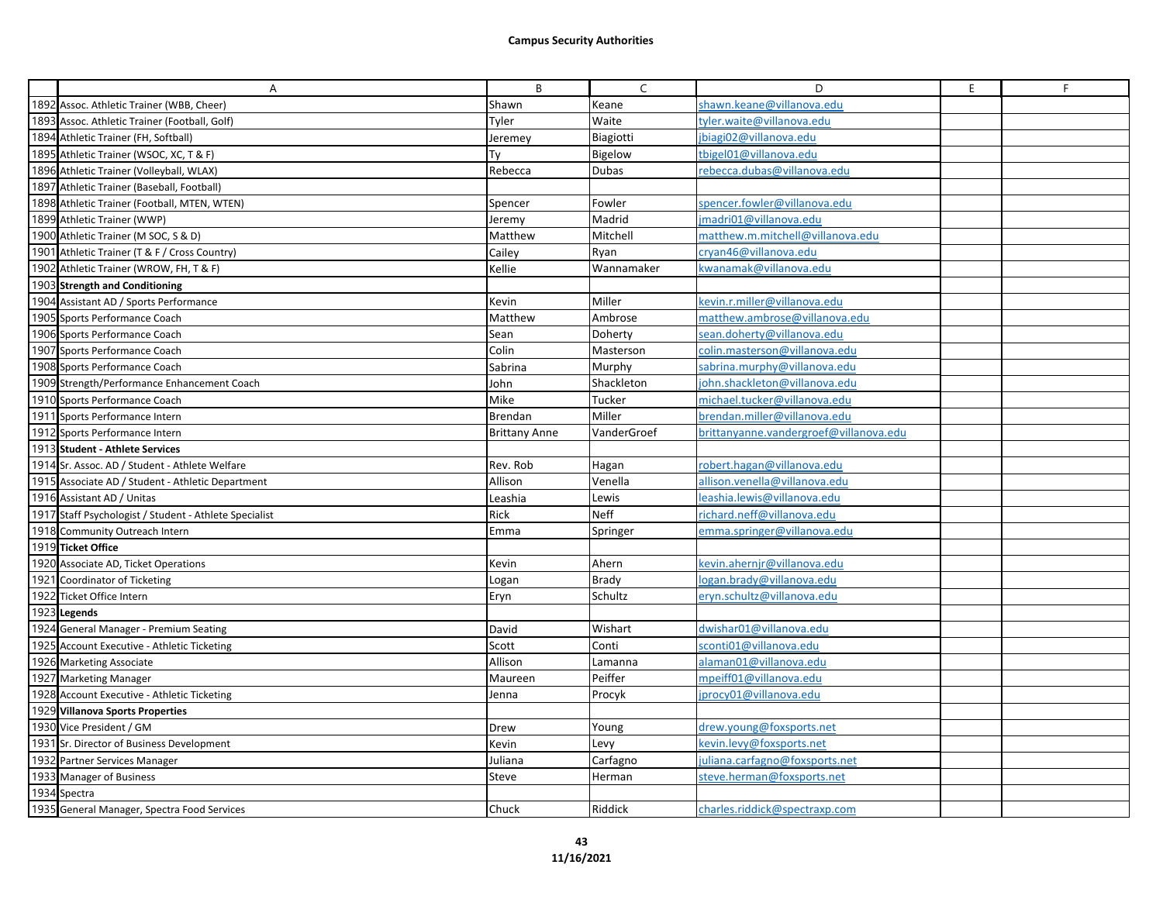| Α                                                      | B                    | $\mathsf{C}$ | D                                      | E | F. |
|--------------------------------------------------------|----------------------|--------------|----------------------------------------|---|----|
| 1892 Assoc. Athletic Trainer (WBB, Cheer)              | Shawn                | Keane        | shawn.keane@villanova.edu              |   |    |
| 1893 Assoc. Athletic Trainer (Football, Golf)          | Tyler                | Waite        | tyler.waite@villanova.edu              |   |    |
| 1894 Athletic Trainer (FH, Softball)                   | Jeremey              | Biagiotti    | jbiagi02@villanova.edu                 |   |    |
| 1895 Athletic Trainer (WSOC, XC, T & F)                | Tν                   | Bigelow      | tbigeI01@villanova.edu                 |   |    |
| 1896 Athletic Trainer (Volleyball, WLAX)               | Rebecca              | Dubas        | rebecca.dubas@villanova.edu            |   |    |
| 1897 Athletic Trainer (Baseball, Football)             |                      |              |                                        |   |    |
| 1898 Athletic Trainer (Football, MTEN, WTEN)           | Spencer              | Fowler       | spencer.fowler@villanova.edu           |   |    |
| 1899 Athletic Trainer (WWP)                            | Jeremy               | Madrid       | madri01@villanova.edu                  |   |    |
| 1900 Athletic Trainer (M SOC, S & D)                   | Matthew              | Mitchell     | matthew.m.mitchell@villanova.edu       |   |    |
| 1901 Athletic Trainer (T & F / Cross Country)          | Cailey               | Ryan         | cryan46@villanova.edu                  |   |    |
| 1902 Athletic Trainer (WROW, FH, T & F)                | Kellie               | Wannamaker   | wanamak@villanova.edu                  |   |    |
| 1903 Strength and Conditioning                         |                      |              |                                        |   |    |
| 1904 Assistant AD / Sports Performance                 | Kevin                | Miller       | kevin.r.miller@villanova.edu           |   |    |
| 1905 Sports Performance Coach                          | Matthew              | Ambrose      | matthew.ambrose@villanova.edu          |   |    |
| 1906 Sports Performance Coach                          | Sean                 | Doherty      | sean.doherty@villanova.edu             |   |    |
| 1907 Sports Performance Coach                          | Colin                | Masterson    | colin.masterson@villanova.edu          |   |    |
| 1908 Sports Performance Coach                          | Sabrina              | Murphy       | sabrina.murphy@villanova.edu           |   |    |
| 1909 Strength/Performance Enhancement Coach            | John                 | Shackleton   | john.shackleton@villanova.edu          |   |    |
| 1910 Sports Performance Coach                          | Mike                 | Tucker       | michael.tucker@villanova.edu           |   |    |
| 1911 Sports Performance Intern                         | Brendan              | Miller       | brendan.miller@villanova.edu           |   |    |
| 1912 Sports Performance Intern                         | <b>Brittany Anne</b> | VanderGroef  | brittanyanne.vandergroef@villanova.edu |   |    |
| 1913 Student - Athlete Services                        |                      |              |                                        |   |    |
| 1914 Sr. Assoc. AD / Student - Athlete Welfare         | Rev. Rob             | Hagan        | robert.hagan@villanova.edu             |   |    |
| 1915 Associate AD / Student - Athletic Department      | Allison              | Venella      | allison.venella@villanova.edu          |   |    |
| 1916 Assistant AD / Unitas                             | Leashia              | Lewis        | eashia.lewis@villanova.edu             |   |    |
| 1917 Staff Psychologist / Student - Athlete Specialist | Rick                 | <b>Neff</b>  | richard.neff@villanova.edu             |   |    |
| 1918 Community Outreach Intern                         | Emma                 | Springer     | emma.springer@villanova.edu            |   |    |
| 1919 Ticket Office                                     |                      |              |                                        |   |    |
| 1920 Associate AD, Ticket Operations                   | Kevin                | Ahern        | kevin.ahernjr@villanova.edu            |   |    |
| 1921 Coordinator of Ticketing                          | Logan                | <b>Brady</b> | logan.brady@villanova.edu              |   |    |
| 1922 Ticket Office Intern                              | Eryn                 | Schultz      | eryn.schultz@villanova.edu             |   |    |
| 1923 Legends                                           |                      |              |                                        |   |    |
| 1924 General Manager - Premium Seating                 | David                | Wishart      | dwishar01@villanova.edu                |   |    |
| 1925 Account Executive - Athletic Ticketing            | Scott                | Conti        | sconti01@villanova.edu                 |   |    |
| 1926 Marketing Associate                               | Allison              | Lamanna      | alaman01@villanova.edu                 |   |    |
| 1927 Marketing Manager                                 | Maureen              | Peiffer      | mpeiff01@villanova.edu                 |   |    |
| 1928 Account Executive - Athletic Ticketing            | Jenna                | Procyk       | iprocy01@villanova.edu                 |   |    |
| 1929 Villanova Sports Properties                       |                      |              |                                        |   |    |
| 1930 Vice President / GM                               | Drew                 | Young        | drew.young@foxsports.net               |   |    |
| 1931 Sr. Director of Business Development              | Kevin                | Levy         | kevin.levy@foxsports.net               |   |    |
| 1932 Partner Services Manager                          | Juliana              | Carfagno     | juliana.carfagno@foxsports.net         |   |    |
| 1933 Manager of Business                               | Steve                | Herman       | steve.herman@foxsports.net             |   |    |
| 1934 Spectra                                           |                      |              |                                        |   |    |
| 1935 General Manager, Spectra Food Services            | Chuck                | Riddick      | charles.riddick@spectraxp.com          |   |    |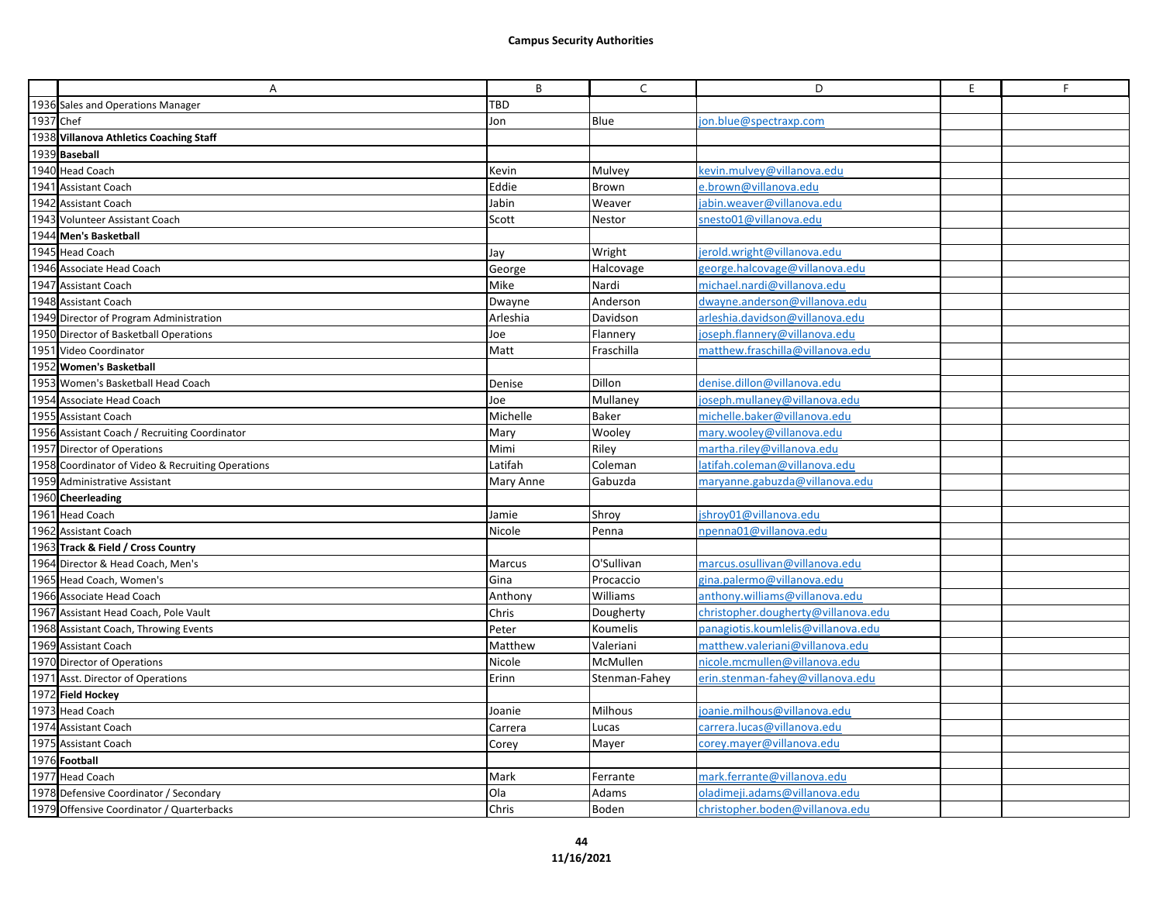|           | A                                                 | B         | C             | D                                   | E | F |
|-----------|---------------------------------------------------|-----------|---------------|-------------------------------------|---|---|
|           | 1936 Sales and Operations Manager                 | TBD       |               |                                     |   |   |
| 1937 Chef |                                                   | Jon       | Blue          | jon.blue@spectraxp.com              |   |   |
|           | 1938 Villanova Athletics Coaching Staff           |           |               |                                     |   |   |
|           | 1939 Baseball                                     |           |               |                                     |   |   |
|           | 1940 Head Coach                                   | Kevin     | Mulvey        | kevin.mulvey@villanova.edu          |   |   |
|           | 1941 Assistant Coach                              | Eddie     | Brown         | e.brown@villanova.edu               |   |   |
|           | 1942 Assistant Coach                              | Jabin     | Weaver        | jabin.weaver@villanova.edu          |   |   |
|           | 1943 Volunteer Assistant Coach                    | Scott     | Nestor        | snesto01@villanova.edu              |   |   |
|           | 1944 Men's Basketball                             |           |               |                                     |   |   |
|           | 1945 Head Coach                                   | Jay       | Wright        | jerold.wright@villanova.edu         |   |   |
|           | 1946 Associate Head Coach                         | George    | Halcovage     | george.halcovage@villanova.edu      |   |   |
|           | 1947 Assistant Coach                              | Mike      | Nardi         | michael.nardi@villanova.edu         |   |   |
|           | 1948 Assistant Coach                              | Dwayne    | Anderson      | dwayne.anderson@villanova.edu       |   |   |
|           | 1949 Director of Program Administration           | Arleshia  | Davidson      | arleshia.davidson@villanova.edu     |   |   |
|           | 1950 Director of Basketball Operations            | Joe       | Flannery      | joseph.flannery@villanova.edu       |   |   |
|           | 1951 Video Coordinator                            | Matt      | Fraschilla    | matthew.fraschilla@villanova.edu    |   |   |
|           | 1952 Women's Basketball                           |           |               |                                     |   |   |
|           | 1953 Women's Basketball Head Coach                | Denise    | Dillon        | denise.dillon@villanova.edu         |   |   |
|           | 1954 Associate Head Coach                         | Joe       | Mullaney      | joseph.mullaney@villanova.edu       |   |   |
|           | 1955 Assistant Coach                              | Michelle  | Baker         | michelle.baker@villanova.edu        |   |   |
|           | 1956 Assistant Coach / Recruiting Coordinator     | Mary      | Wooley        | mary.wooley@villanova.edu           |   |   |
|           | 1957 Director of Operations                       | Mimi      | Riley         | martha.riley@villanova.edu          |   |   |
|           | 1958 Coordinator of Video & Recruiting Operations | Latifah   | Coleman       | latifah.coleman@villanova.edu       |   |   |
|           | 1959 Administrative Assistant                     | Mary Anne | Gabuzda       | maryanne.gabuzda@villanova.edu      |   |   |
|           | 1960 Cheerleading                                 |           |               |                                     |   |   |
|           | 1961 Head Coach                                   | Jamie     | Shroy         | jshroy01@villanova.edu              |   |   |
|           | 1962 Assistant Coach                              | Nicole    | Penna         | npenna01@villanova.edu              |   |   |
|           | 1963 Track & Field / Cross Country                |           |               |                                     |   |   |
|           | 1964 Director & Head Coach, Men's                 | Marcus    | O'Sullivan    | marcus.osullivan@villanova.edu      |   |   |
|           | 1965 Head Coach, Women's                          | Gina      | Procaccio     | gina.palermo@villanova.edu          |   |   |
|           | 1966 Associate Head Coach                         | Anthony   | Williams      | anthony.williams@villanova.edu      |   |   |
|           | 1967 Assistant Head Coach, Pole Vault             | Chris     | Dougherty     | christopher.dougherty@villanova.edu |   |   |
|           | 1968 Assistant Coach, Throwing Events             | Peter     | Koumelis      | panagiotis.koumlelis@villanova.edu  |   |   |
|           | 1969 Assistant Coach                              | Matthew   | Valeriani     | matthew.valeriani@villanova.edu     |   |   |
|           | 1970 Director of Operations                       | Nicole    | McMullen      | nicole.mcmullen@villanova.edu       |   |   |
|           | 1971 Asst. Director of Operations                 | Erinn     | Stenman-Fahey | erin.stenman-fahey@villanova.edu    |   |   |
|           | 1972 Field Hockey                                 |           |               |                                     |   |   |
|           | 1973 Head Coach                                   | Joanie    | Milhous       | joanie.milhous@villanova.edu        |   |   |
|           | 1974 Assistant Coach                              | Carrera   | Lucas         | carrera.lucas@villanova.edu         |   |   |
|           | 1975 Assistant Coach                              | Corey     | Mayer         | corey.mayer@villanova.edu           |   |   |
|           | 1976 Football                                     |           |               |                                     |   |   |
|           | 1977 Head Coach                                   | Mark      | Ferrante      | mark.ferrante@villanova.edu         |   |   |
|           | 1978 Defensive Coordinator / Secondary            | Ola       | Adams         | oladimeji.adams@villanova.edu       |   |   |
|           | 1979 Offensive Coordinator / Quarterbacks         | Chris     | Boden         | christopher.boden@villanova.edu     |   |   |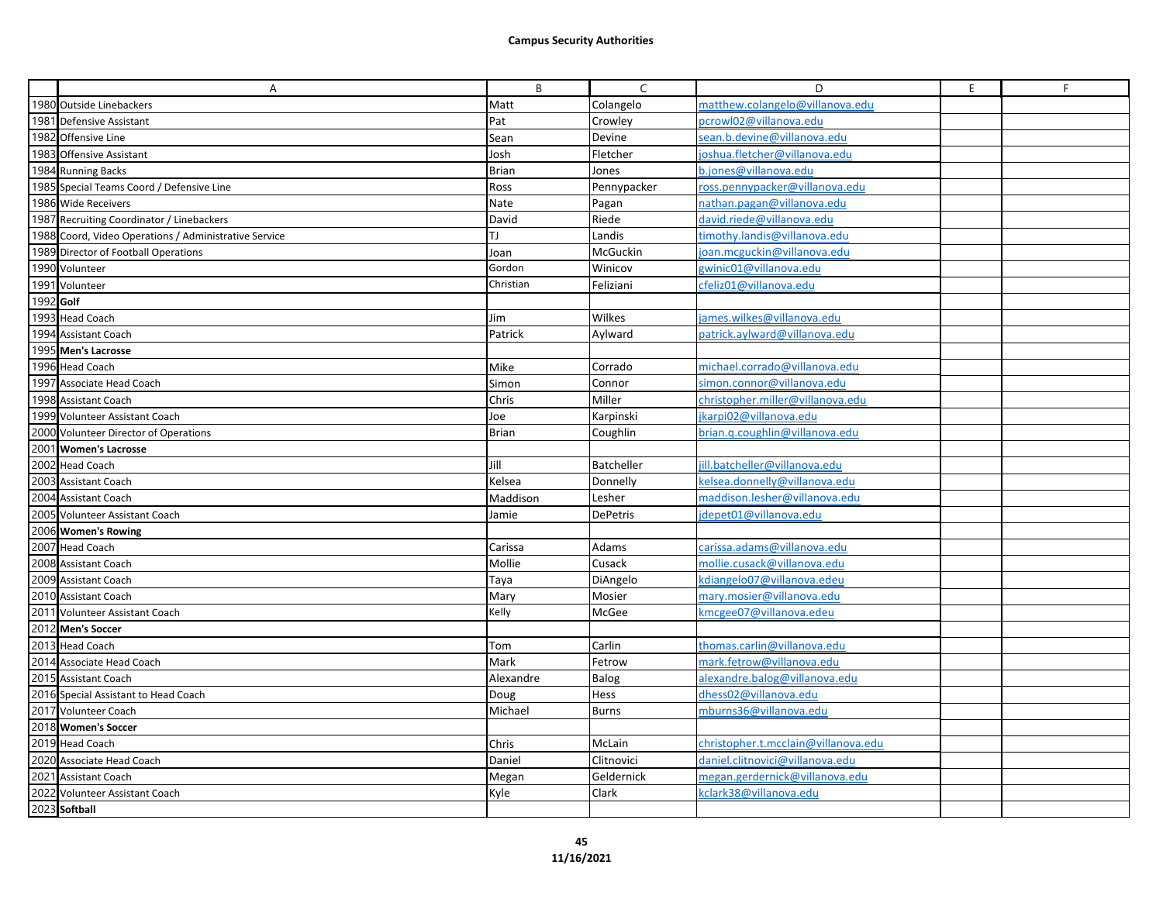|           | Α                                                     | B            | C               | D                                   | E | F. |
|-----------|-------------------------------------------------------|--------------|-----------------|-------------------------------------|---|----|
|           | 1980 Outside Linebackers                              | Matt         | Colangelo       | matthew.colangelo@villanova.edu     |   |    |
|           | 1981 Defensive Assistant                              | Pat          | Crowley         | pcrowl02@villanova.edu              |   |    |
|           | 1982 Offensive Line                                   | Sean         | Devine          | sean.b.devine@villanova.edu         |   |    |
|           | 1983 Offensive Assistant                              | Josh         | Fletcher        | ioshua.fletcher@villanova.edu       |   |    |
|           | 1984 Running Backs                                    | <b>Brian</b> | Jones           | b.jones@villanova.edu               |   |    |
|           | 1985 Special Teams Coord / Defensive Line             | Ross         | Pennypacker     | ross.pennypacker@villanova.edu      |   |    |
|           | 1986 Wide Receivers                                   | Nate         | Pagan           | nathan.pagan@villanova.edu          |   |    |
|           | 1987 Recruiting Coordinator / Linebackers             | David        | Riede           | david.riede@villanova.edu           |   |    |
|           | 1988 Coord, Video Operations / Administrative Service | TJ.          | Landis          | timothy.landis@villanova.edu        |   |    |
|           | 1989 Director of Football Operations                  | Joan         | McGuckin        | joan.mcguckin@villanova.edu         |   |    |
|           | 1990 Volunteer                                        | Gordon       | Winicov         | gwinic01@villanova.edu              |   |    |
|           | 1991 Volunteer                                        | Christian    | Feliziani       | cfeliz01@villanova.edu              |   |    |
| 1992 Golf |                                                       |              |                 |                                     |   |    |
|           | 1993 Head Coach                                       | Jim          | Wilkes          | james.wilkes@villanova.edu          |   |    |
|           | 1994 Assistant Coach                                  | Patrick      | Aylward         | patrick.aylward@villanova.edu       |   |    |
|           | 1995 Men's Lacrosse                                   |              |                 |                                     |   |    |
|           | 1996 Head Coach                                       | Mike         | Corrado         | michael.corrado@villanova.edu       |   |    |
|           | 1997 Associate Head Coach                             | Simon        | Connor          | simon.connor@villanova.edu          |   |    |
|           | 1998 Assistant Coach                                  | Chris        | Miller          | christopher.miller@villanova.edu    |   |    |
|           | 1999 Volunteer Assistant Coach                        | Joe          | Karpinski       | ikarpi02@villanova.edu              |   |    |
|           | 2000 Volunteer Director of Operations                 | <b>Brian</b> | Coughlin        | brian.g.coughlin@villanova.edu      |   |    |
|           | 2001 Women's Lacrosse                                 |              |                 |                                     |   |    |
|           | 2002 Head Coach                                       | Jill         | Batcheller      | jill.batcheller@villanova.edu       |   |    |
|           | 2003 Assistant Coach                                  | Kelsea       | Donnelly        | kelsea.donnelly@villanova.edu       |   |    |
|           | 2004 Assistant Coach                                  | Maddison     | Lesher          | maddison.lesher@villanova.edu       |   |    |
|           | 2005 Volunteer Assistant Coach                        | Jamie        | <b>DePetris</b> | idepet01@villanova.edu              |   |    |
|           | 2006 Women's Rowing                                   |              |                 |                                     |   |    |
|           | 2007 Head Coach                                       | Carissa      | Adams           | carissa.adams@villanova.edu         |   |    |
|           | 2008 Assistant Coach                                  | Mollie       | Cusack          | mollie.cusack@villanova.edu         |   |    |
|           | 2009 Assistant Coach                                  | Taya         | DiAngelo        | kdiangelo07@villanova.edeu          |   |    |
|           | 2010 Assistant Coach                                  | Mary         | Mosier          | mary.mosier@villanova.edu           |   |    |
|           | 2011 Volunteer Assistant Coach                        | Kelly        | McGee           | kmcgee07@villanova.edeu             |   |    |
|           | 2012 Men's Soccer                                     |              |                 |                                     |   |    |
|           | 2013 Head Coach                                       | Tom          | Carlin          | thomas.carlin@villanova.edu         |   |    |
|           | 2014 Associate Head Coach                             | Mark         | Fetrow          | mark.fetrow@villanova.edu           |   |    |
|           | 2015 Assistant Coach                                  | Alexandre    | Balog           | alexandre.balog@villanova.edu       |   |    |
|           | 2016 Special Assistant to Head Coach                  | Doug         | Hess            | dhess02@villanova.edu               |   |    |
|           | 2017 Volunteer Coach                                  | Michael      | Burns           | mburns36@villanova.edu              |   |    |
|           | 2018 Women's Soccer                                   |              |                 |                                     |   |    |
|           | 2019 Head Coach                                       | Chris        | McLain          | christopher.t.mcclain@villanova.edu |   |    |
|           | 2020 Associate Head Coach                             | Daniel       | Clitnovici      | daniel.clitnovici@villanova.edu     |   |    |
|           | 2021 Assistant Coach                                  | Megan        | Geldernick      | megan.gerdernick@villanova.edu      |   |    |
|           | 2022 Volunteer Assistant Coach                        | Kyle         | Clark           | kclark38@villanova.edu              |   |    |
|           | 2023 Softball                                         |              |                 |                                     |   |    |